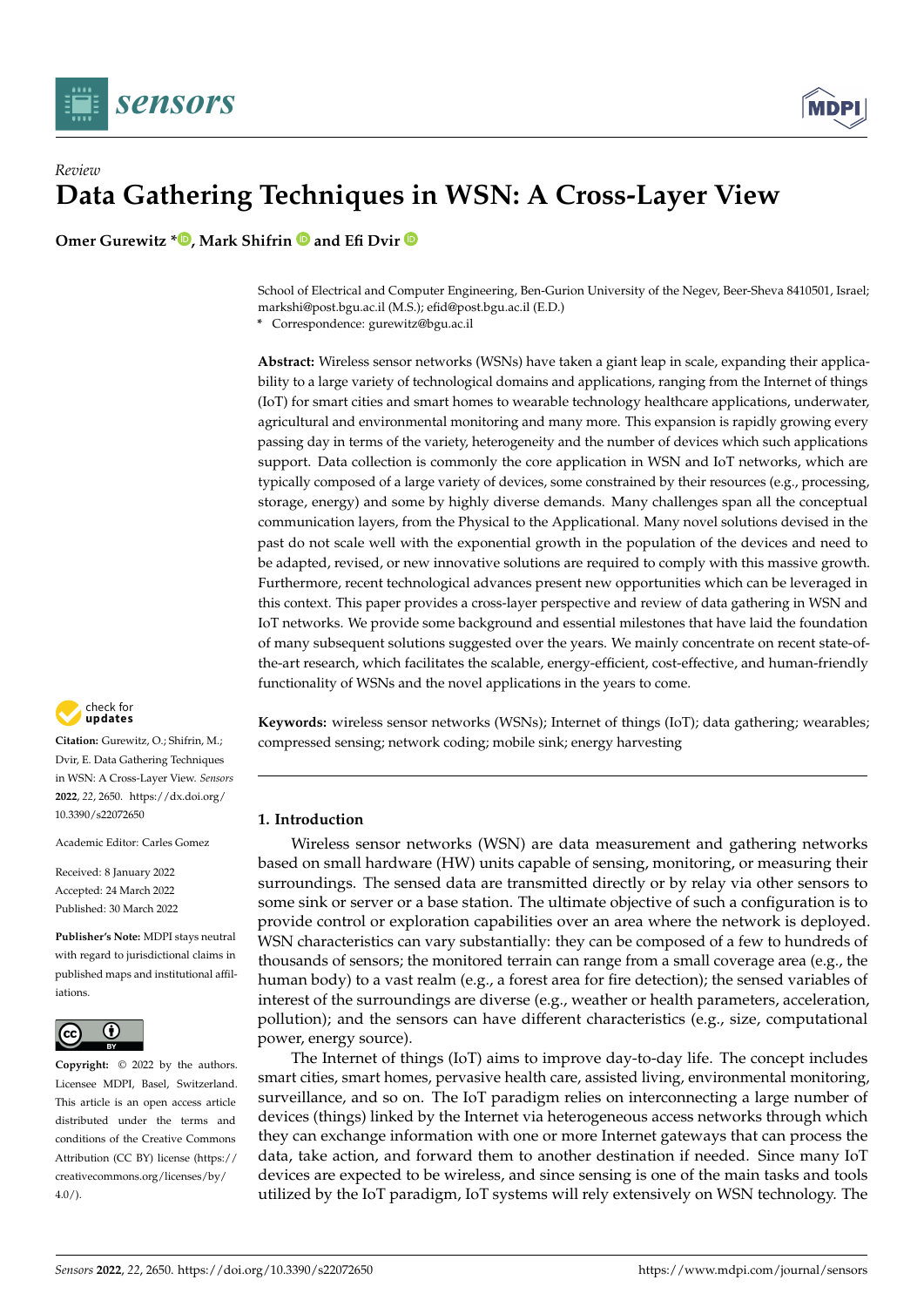



# *Review* **Data Gathering Techniques in WSN: A Cross-Layer View**

**Omer Gurewitz [\\*](https://orcid.org/0000-0002-2685-2856) D**, Mark Shifrin **D** and Efi Dvir **D** 

School of Electrical and Computer Engineering, Ben-Gurion University of the Negev, Beer-Sheva 8410501, Israel; markshi@post.bgu.ac.il (M.S.); efid@post.bgu.ac.il (E.D.) **\*** Correspondence: gurewitz@bgu.ac.il

**Abstract:** Wireless sensor networks (WSNs) have taken a giant leap in scale, expanding their applicability to a large variety of technological domains and applications, ranging from the Internet of things (IoT) for smart cities and smart homes to wearable technology healthcare applications, underwater, agricultural and environmental monitoring and many more. This expansion is rapidly growing every passing day in terms of the variety, heterogeneity and the number of devices which such applications support. Data collection is commonly the core application in WSN and IoT networks, which are typically composed of a large variety of devices, some constrained by their resources (e.g., processing, storage, energy) and some by highly diverse demands. Many challenges span all the conceptual communication layers, from the Physical to the Applicational. Many novel solutions devised in the past do not scale well with the exponential growth in the population of the devices and need to be adapted, revised, or new innovative solutions are required to comply with this massive growth. Furthermore, recent technological advances present new opportunities which can be leveraged in this context. This paper provides a cross-layer perspective and review of data gathering in WSN and IoT networks. We provide some background and essential milestones that have laid the foundation of many subsequent solutions suggested over the years. We mainly concentrate on recent state-ofthe-art research, which facilitates the scalable, energy-efficient, cost-effective, and human-friendly functionality of WSNs and the novel applications in the years to come.



**Citation:** Gurewitz, O.; Shifrin, M.; Dvir, E. Data Gathering Techniques in WSN: A Cross-Layer View. *Sensors* **2022**, *22*, 2650. [https://dx.doi.org/](https://doi.org/10.3390/s22072650) [10.3390/s22072650](https://doi.org/10.3390/s22072650)

Academic Editor: Carles Gomez

Received: 8 January 2022 Accepted: 24 March 2022 Published: 30 March 2022

**Publisher's Note:** MDPI stays neutral with regard to jurisdictional claims in published maps and institutional affiliations.



**Copyright:** © 2022 by the authors. Licensee MDPI, Basel, Switzerland. This article is an open access article distributed under the terms and conditions of the Creative Commons Attribution (CC BY) license [\(https://](https://creativecommons.org/licenses/by/4.0/) [creativecommons.org/licenses/by/](https://creativecommons.org/licenses/by/4.0/)  $4.0/$ ).

**Keywords:** wireless sensor networks (WSNs); Internet of things (IoT); data gathering; wearables; compressed sensing; network coding; mobile sink; energy harvesting

# **1. Introduction**

Wireless sensor networks (WSN) are data measurement and gathering networks based on small hardware (HW) units capable of sensing, monitoring, or measuring their surroundings. The sensed data are transmitted directly or by relay via other sensors to some sink or server or a base station. The ultimate objective of such a configuration is to provide control or exploration capabilities over an area where the network is deployed. WSN characteristics can vary substantially: they can be composed of a few to hundreds of thousands of sensors; the monitored terrain can range from a small coverage area (e.g., the human body) to a vast realm (e.g., a forest area for fire detection); the sensed variables of interest of the surroundings are diverse (e.g., weather or health parameters, acceleration, pollution); and the sensors can have different characteristics (e.g., size, computational power, energy source).

The Internet of things (IoT) aims to improve day-to-day life. The concept includes smart cities, smart homes, pervasive health care, assisted living, environmental monitoring, surveillance, and so on. The IoT paradigm relies on interconnecting a large number of devices (things) linked by the Internet via heterogeneous access networks through which they can exchange information with one or more Internet gateways that can process the data, take action, and forward them to another destination if needed. Since many IoT devices are expected to be wireless, and since sensing is one of the main tasks and tools utilized by the IoT paradigm, IoT systems will rely extensively on WSN technology. The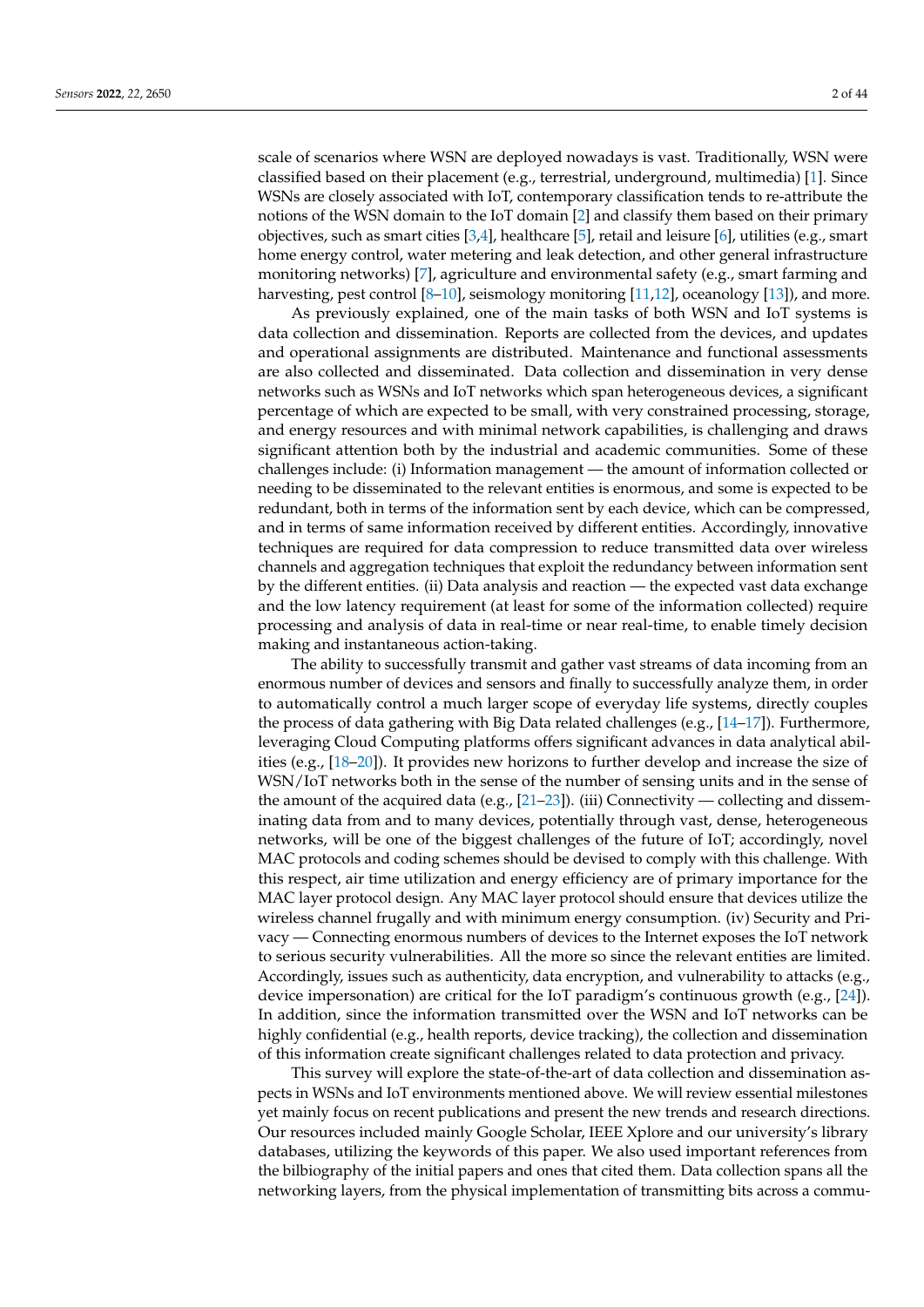scale of scenarios where WSN are deployed nowadays is vast. Traditionally, WSN were classified based on their placement (e.g., terrestrial, underground, multimedia) [\[1\]](#page-34-0). Since WSNs are closely associated with IoT, contemporary classification tends to re-attribute the notions of the WSN domain to the IoT domain [\[2\]](#page-34-1) and classify them based on their primary objectives, such as smart cities [\[3,](#page-34-2)[4\]](#page-34-3), healthcare [\[5\]](#page-34-4), retail and leisure [\[6\]](#page-34-5), utilities (e.g., smart home energy control, water metering and leak detection, and other general infrastructure monitoring networks) [\[7\]](#page-34-6), agriculture and environmental safety (e.g., smart farming and harvesting, pest control [\[8](#page-34-7)[–10\]](#page-34-8), seismology monitoring [\[11,](#page-34-9)[12\]](#page-34-10), oceanology [\[13\]](#page-34-11)), and more.

As previously explained, one of the main tasks of both WSN and IoT systems is data collection and dissemination. Reports are collected from the devices, and updates and operational assignments are distributed. Maintenance and functional assessments are also collected and disseminated. Data collection and dissemination in very dense networks such as WSNs and IoT networks which span heterogeneous devices, a significant percentage of which are expected to be small, with very constrained processing, storage, and energy resources and with minimal network capabilities, is challenging and draws significant attention both by the industrial and academic communities. Some of these challenges include: (i) Information management — the amount of information collected or needing to be disseminated to the relevant entities is enormous, and some is expected to be redundant, both in terms of the information sent by each device, which can be compressed, and in terms of same information received by different entities. Accordingly, innovative techniques are required for data compression to reduce transmitted data over wireless channels and aggregation techniques that exploit the redundancy between information sent by the different entities. (ii) Data analysis and reaction — the expected vast data exchange and the low latency requirement (at least for some of the information collected) require processing and analysis of data in real-time or near real-time, to enable timely decision making and instantaneous action-taking.

The ability to successfully transmit and gather vast streams of data incoming from an enormous number of devices and sensors and finally to successfully analyze them, in order to automatically control a much larger scope of everyday life systems, directly couples the process of data gathering with Big Data related challenges (e.g., [\[14](#page-34-12)[–17\]](#page-35-0)). Furthermore, leveraging Cloud Computing platforms offers significant advances in data analytical abilities (e.g., [\[18](#page-35-1)[–20\]](#page-35-2)). It provides new horizons to further develop and increase the size of WSN/IoT networks both in the sense of the number of sensing units and in the sense of the amount of the acquired data (e.g., [\[21](#page-35-3)[–23\]](#page-35-4)). (iii) Connectivity — collecting and disseminating data from and to many devices, potentially through vast, dense, heterogeneous networks, will be one of the biggest challenges of the future of IoT; accordingly, novel MAC protocols and coding schemes should be devised to comply with this challenge. With this respect, air time utilization and energy efficiency are of primary importance for the MAC layer protocol design. Any MAC layer protocol should ensure that devices utilize the wireless channel frugally and with minimum energy consumption. (iv) Security and Privacy — Connecting enormous numbers of devices to the Internet exposes the IoT network to serious security vulnerabilities. All the more so since the relevant entities are limited. Accordingly, issues such as authenticity, data encryption, and vulnerability to attacks (e.g., device impersonation) are critical for the IoT paradigm's continuous growth (e.g., [\[24\]](#page-35-5)). In addition, since the information transmitted over the WSN and IoT networks can be highly confidential (e.g., health reports, device tracking), the collection and dissemination of this information create significant challenges related to data protection and privacy.

This survey will explore the state-of-the-art of data collection and dissemination aspects in WSNs and IoT environments mentioned above. We will review essential milestones yet mainly focus on recent publications and present the new trends and research directions. Our resources included mainly Google Scholar, IEEE Xplore and our university's library databases, utilizing the keywords of this paper. We also used important references from the bilbiography of the initial papers and ones that cited them. Data collection spans all the networking layers, from the physical implementation of transmitting bits across a commu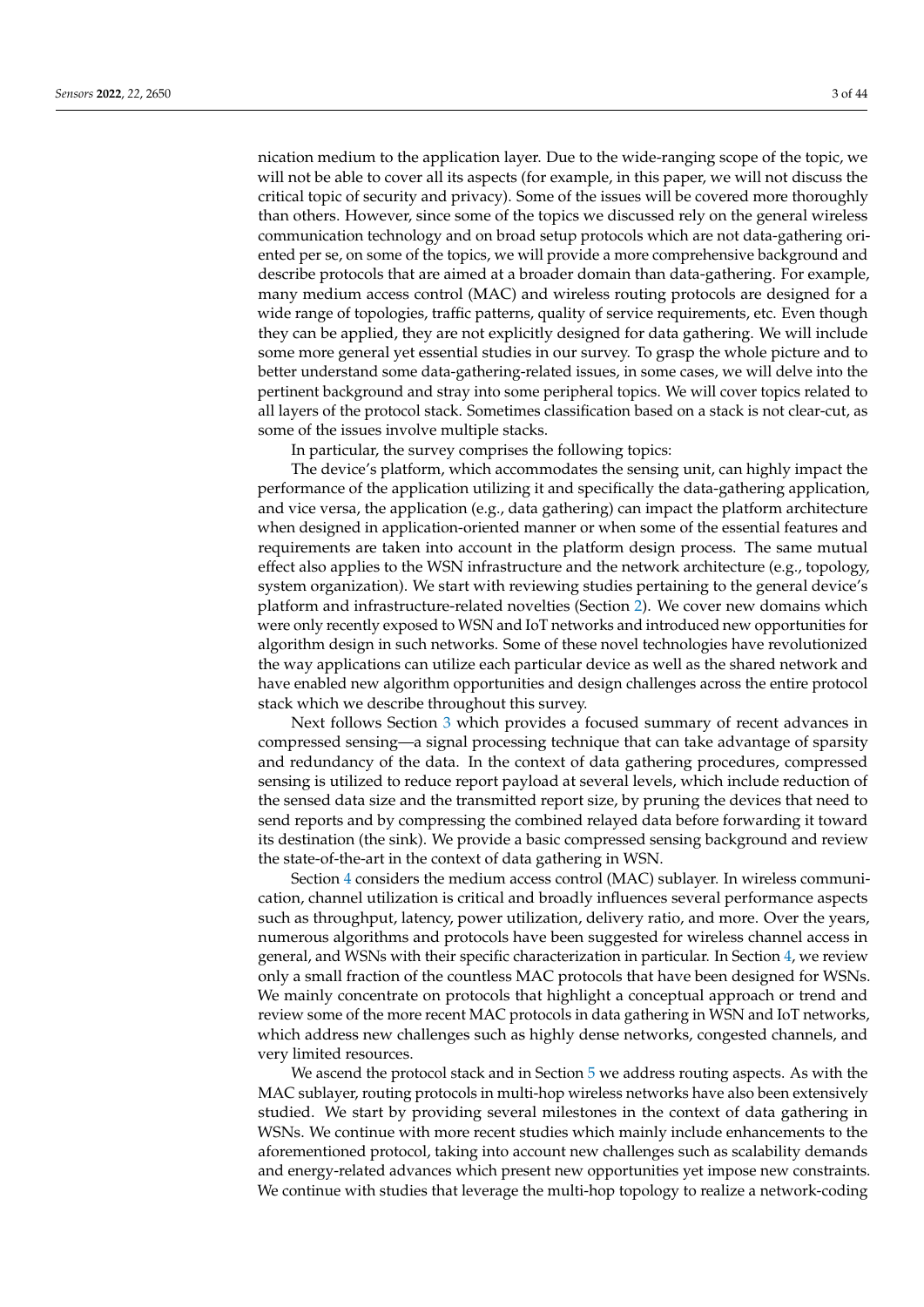nication medium to the application layer. Due to the wide-ranging scope of the topic, we will not be able to cover all its aspects (for example, in this paper, we will not discuss the critical topic of security and privacy). Some of the issues will be covered more thoroughly than others. However, since some of the topics we discussed rely on the general wireless communication technology and on broad setup protocols which are not data-gathering oriented per se, on some of the topics, we will provide a more comprehensive background and describe protocols that are aimed at a broader domain than data-gathering. For example, many medium access control (MAC) and wireless routing protocols are designed for a wide range of topologies, traffic patterns, quality of service requirements, etc. Even though they can be applied, they are not explicitly designed for data gathering. We will include some more general yet essential studies in our survey. To grasp the whole picture and to better understand some data-gathering-related issues, in some cases, we will delve into the pertinent background and stray into some peripheral topics. We will cover topics related to all layers of the protocol stack. Sometimes classification based on a stack is not clear-cut, as some of the issues involve multiple stacks.

In particular, the survey comprises the following topics:

The device's platform, which accommodates the sensing unit, can highly impact the performance of the application utilizing it and specifically the data-gathering application, and vice versa, the application (e.g., data gathering) can impact the platform architecture when designed in application-oriented manner or when some of the essential features and requirements are taken into account in the platform design process. The same mutual effect also applies to the WSN infrastructure and the network architecture (e.g., topology, system organization). We start with reviewing studies pertaining to the general device's platform and infrastructure-related novelties (Section [2\)](#page-3-0). We cover new domains which were only recently exposed to WSN and IoT networks and introduced new opportunities for algorithm design in such networks. Some of these novel technologies have revolutionized the way applications can utilize each particular device as well as the shared network and have enabled new algorithm opportunities and design challenges across the entire protocol stack which we describe throughout this survey.

Next follows Section [3](#page-8-0) which provides a focused summary of recent advances in compressed sensing—a signal processing technique that can take advantage of sparsity and redundancy of the data. In the context of data gathering procedures, compressed sensing is utilized to reduce report payload at several levels, which include reduction of the sensed data size and the transmitted report size, by pruning the devices that need to send reports and by compressing the combined relayed data before forwarding it toward its destination (the sink). We provide a basic compressed sensing background and review the state-of-the-art in the context of data gathering in WSN.

Section [4](#page-12-0) considers the medium access control (MAC) sublayer. In wireless communication, channel utilization is critical and broadly influences several performance aspects such as throughput, latency, power utilization, delivery ratio, and more. Over the years, numerous algorithms and protocols have been suggested for wireless channel access in general, and WSNs with their specific characterization in particular. In Section [4,](#page-12-0) we review only a small fraction of the countless MAC protocols that have been designed for WSNs. We mainly concentrate on protocols that highlight a conceptual approach or trend and review some of the more recent MAC protocols in data gathering in WSN and IoT networks, which address new challenges such as highly dense networks, congested channels, and very limited resources.

We ascend the protocol stack and in Section [5](#page-15-0) we address routing aspects. As with the MAC sublayer, routing protocols in multi-hop wireless networks have also been extensively studied. We start by providing several milestones in the context of data gathering in WSNs. We continue with more recent studies which mainly include enhancements to the aforementioned protocol, taking into account new challenges such as scalability demands and energy-related advances which present new opportunities yet impose new constraints. We continue with studies that leverage the multi-hop topology to realize a network-coding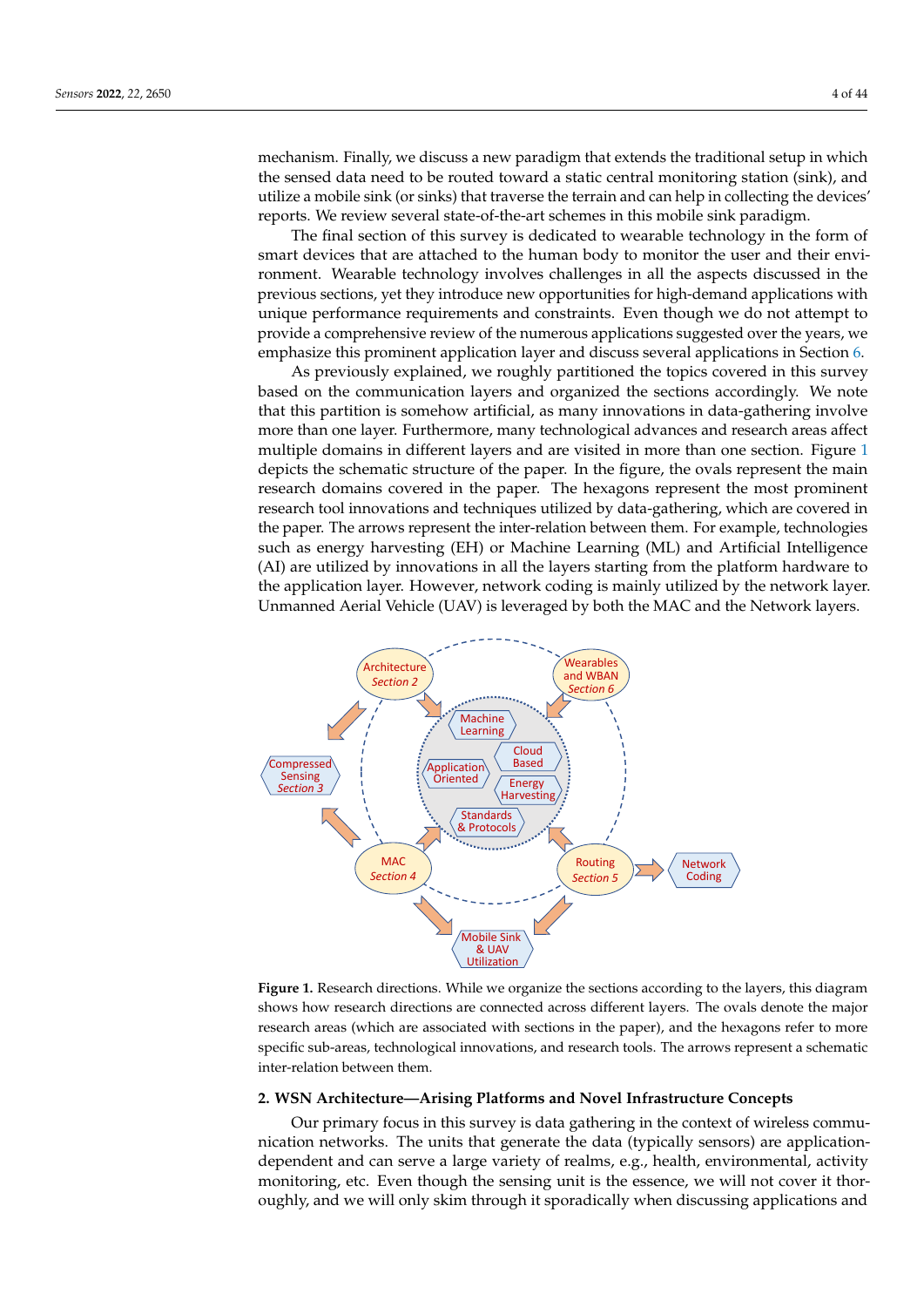mechanism. Finally, we discuss a new paradigm that extends the traditional setup in which the sensed data need to be routed toward a static central monitoring station (sink), and utilize a mobile sink (or sinks) that traverse the terrain and can help in collecting the devices' reports. We review several state-of-the-art schemes in this mobile sink paradigm.

The final section of this survey is dedicated to wearable technology in the form of smart devices that are attached to the human body to monitor the user and their environment. Wearable technology involves challenges in all the aspects discussed in the previous sections, yet they introduce new opportunities for high-demand applications with unique performance requirements and constraints. Even though we do not attempt to provide a comprehensive review of the numerous applications suggested over the years, we emphasize this prominent application layer and discuss several applications in Section [6.](#page-28-0)

As previously explained, we roughly partitioned the topics covered in this survey based on the communication layers and organized the sections accordingly. We note that this partition is somehow artificial, as many innovations in data-gathering involve more than one layer. Furthermore, many technological advances and research areas affect multiple domains in different layers and are visited in more than one section. Figure [1](#page-3-1) depicts the schematic structure of the paper. In the figure, the ovals represent the main research domains covered in the paper. The hexagons represent the most prominent research tool innovations and techniques utilized by data-gathering, which are covered in the paper. The arrows represent the inter-relation between them. For example, technologies such as energy harvesting (EH) or Machine Learning (ML) and Artificial Intelligence (AI) are utilized by innovations in all the layers starting from the platform hardware to the application layer. However, network coding is mainly utilized by the network layer. Unmanned Aerial Vehicle (UAV) is leveraged by both the MAC and the Network layers.

<span id="page-3-1"></span>

**Figure 1.** Research directions. While we organize the sections according to the layers, this diagram shows how research directions are connected across different layers. The ovals denote the major research areas (which are associated with sections in the paper), and the hexagons refer to more specific sub-areas, technological innovations, and research tools. The arrows represent a schematic inter-relation between them.

# <span id="page-3-0"></span>**2. WSN Architecture—Arising Platforms and Novel Infrastructure Concepts**

Our primary focus in this survey is data gathering in the context of wireless communication networks. The units that generate the data (typically sensors) are applicationdependent and can serve a large variety of realms, e.g., health, environmental, activity monitoring, etc. Even though the sensing unit is the essence, we will not cover it thoroughly, and we will only skim through it sporadically when discussing applications and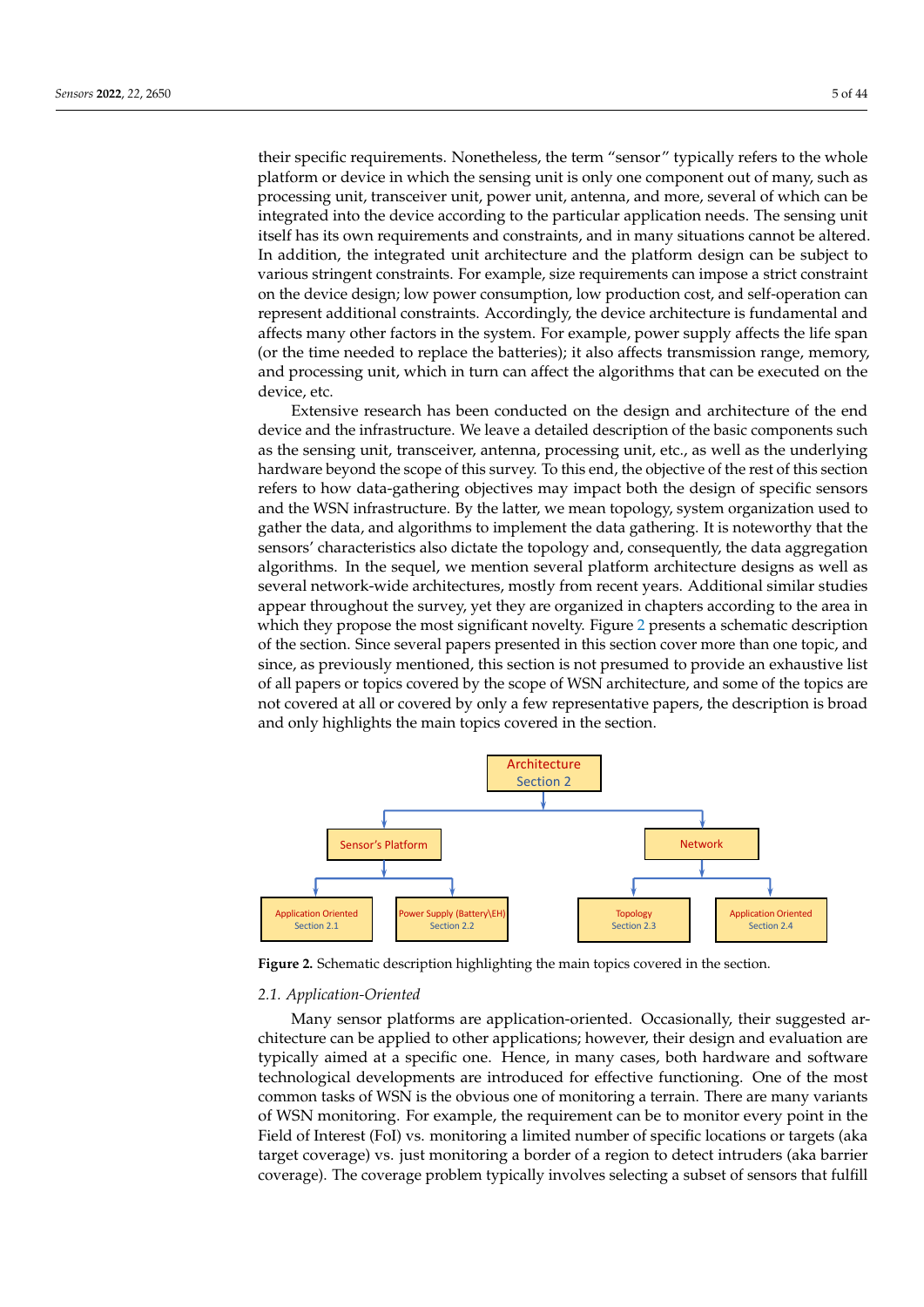their specific requirements. Nonetheless, the term "sensor" typically refers to the whole platform or device in which the sensing unit is only one component out of many, such as processing unit, transceiver unit, power unit, antenna, and more, several of which can be integrated into the device according to the particular application needs. The sensing unit itself has its own requirements and constraints, and in many situations cannot be altered. In addition, the integrated unit architecture and the platform design can be subject to various stringent constraints. For example, size requirements can impose a strict constraint on the device design; low power consumption, low production cost, and self-operation can represent additional constraints. Accordingly, the device architecture is fundamental and affects many other factors in the system. For example, power supply affects the life span (or the time needed to replace the batteries); it also affects transmission range, memory, and processing unit, which in turn can affect the algorithms that can be executed on the device, etc.

Extensive research has been conducted on the design and architecture of the end device and the infrastructure. We leave a detailed description of the basic components such as the sensing unit, transceiver, antenna, processing unit, etc., as well as the underlying hardware beyond the scope of this survey. To this end, the objective of the rest of this section refers to how data-gathering objectives may impact both the design of specific sensors and the WSN infrastructure. By the latter, we mean topology, system organization used to gather the data, and algorithms to implement the data gathering. It is noteworthy that the sensors' characteristics also dictate the topology and, consequently, the data aggregation algorithms. In the sequel, we mention several platform architecture designs as well as several network-wide architectures, mostly from recent years. Additional similar studies appear throughout the survey, yet they are organized in chapters according to the area in which they propose the most significant novelty. Figure [2](#page-4-0) presents a schematic description of the section. Since several papers presented in this section cover more than one topic, and since, as previously mentioned, this section is not presumed to provide an exhaustive list of all papers or topics covered by the scope of WSN architecture, and some of the topics are not covered at all or covered by only a few representative papers, the description is broad and only highlights the main topics covered in the section.

<span id="page-4-0"></span>

**Figure 2.** Schematic description highlighting the main topics covered in the section.

#### *2.1. Application-Oriented*

Many sensor platforms are application-oriented. Occasionally, their suggested architecture can be applied to other applications; however, their design and evaluation are typically aimed at a specific one. Hence, in many cases, both hardware and software technological developments are introduced for effective functioning. One of the most common tasks of WSN is the obvious one of monitoring a terrain. There are many variants of WSN monitoring. For example, the requirement can be to monitor every point in the Field of Interest (FoI) vs. monitoring a limited number of specific locations or targets (aka target coverage) vs. just monitoring a border of a region to detect intruders (aka barrier coverage). The coverage problem typically involves selecting a subset of sensors that fulfill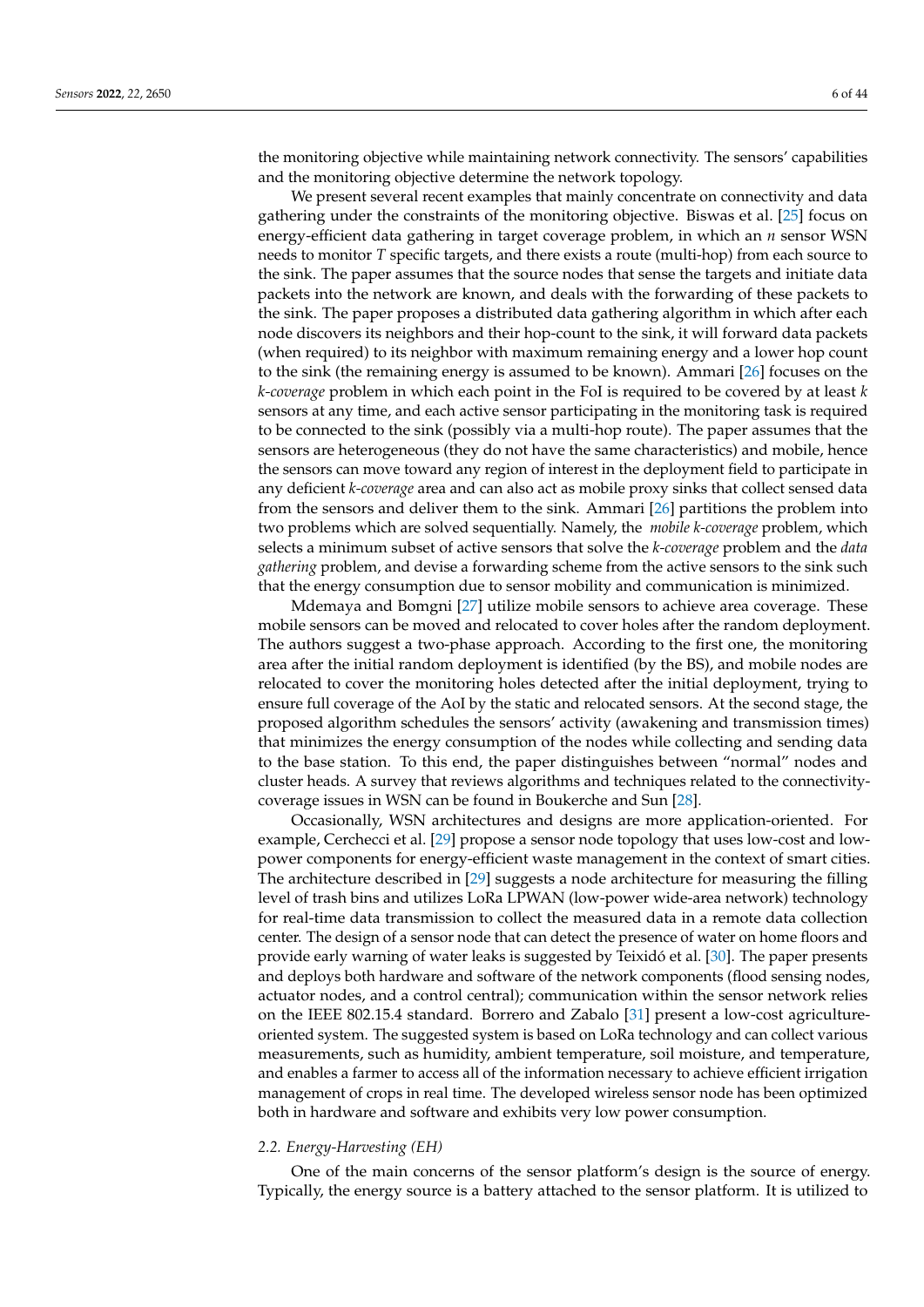the monitoring objective while maintaining network connectivity. The sensors' capabilities and the monitoring objective determine the network topology.

We present several recent examples that mainly concentrate on connectivity and data gathering under the constraints of the monitoring objective. Biswas et al. [\[25\]](#page-35-6) focus on energy-efficient data gathering in target coverage problem, in which an *n* sensor WSN needs to monitor *T* specific targets, and there exists a route (multi-hop) from each source to the sink. The paper assumes that the source nodes that sense the targets and initiate data packets into the network are known, and deals with the forwarding of these packets to the sink. The paper proposes a distributed data gathering algorithm in which after each node discovers its neighbors and their hop-count to the sink, it will forward data packets (when required) to its neighbor with maximum remaining energy and a lower hop count to the sink (the remaining energy is assumed to be known). Ammari [\[26\]](#page-35-7) focuses on the *k-coverage* problem in which each point in the FoI is required to be covered by at least *k* sensors at any time, and each active sensor participating in the monitoring task is required to be connected to the sink (possibly via a multi-hop route). The paper assumes that the sensors are heterogeneous (they do not have the same characteristics) and mobile, hence the sensors can move toward any region of interest in the deployment field to participate in any deficient *k-coverage* area and can also act as mobile proxy sinks that collect sensed data from the sensors and deliver them to the sink. Ammari [\[26\]](#page-35-7) partitions the problem into two problems which are solved sequentially. Namely, the *mobile k-coverage* problem, which selects a minimum subset of active sensors that solve the *k-coverage* problem and the *data gathering* problem, and devise a forwarding scheme from the active sensors to the sink such that the energy consumption due to sensor mobility and communication is minimized.

Mdemaya and Bomgni [\[27\]](#page-35-8) utilize mobile sensors to achieve area coverage. These mobile sensors can be moved and relocated to cover holes after the random deployment. The authors suggest a two-phase approach. According to the first one, the monitoring area after the initial random deployment is identified (by the BS), and mobile nodes are relocated to cover the monitoring holes detected after the initial deployment, trying to ensure full coverage of the AoI by the static and relocated sensors. At the second stage, the proposed algorithm schedules the sensors' activity (awakening and transmission times) that minimizes the energy consumption of the nodes while collecting and sending data to the base station. To this end, the paper distinguishes between "normal" nodes and cluster heads. A survey that reviews algorithms and techniques related to the connectivitycoverage issues in WSN can be found in Boukerche and Sun [\[28\]](#page-35-9).

Occasionally, WSN architectures and designs are more application-oriented. For example, Cerchecci et al. [\[29\]](#page-35-10) propose a sensor node topology that uses low-cost and lowpower components for energy-efficient waste management in the context of smart cities. The architecture described in [\[29\]](#page-35-10) suggests a node architecture for measuring the filling level of trash bins and utilizes LoRa LPWAN (low-power wide-area network) technology for real-time data transmission to collect the measured data in a remote data collection center. The design of a sensor node that can detect the presence of water on home floors and provide early warning of water leaks is suggested by Teixidó et al. [\[30\]](#page-35-11). The paper presents and deploys both hardware and software of the network components (flood sensing nodes, actuator nodes, and a control central); communication within the sensor network relies on the IEEE 802.15.4 standard. Borrero and Zabalo [\[31\]](#page-35-12) present a low-cost agricultureoriented system. The suggested system is based on LoRa technology and can collect various measurements, such as humidity, ambient temperature, soil moisture, and temperature, and enables a farmer to access all of the information necessary to achieve efficient irrigation management of crops in real time. The developed wireless sensor node has been optimized both in hardware and software and exhibits very low power consumption.

#### *2.2. Energy-Harvesting (EH)*

One of the main concerns of the sensor platform's design is the source of energy. Typically, the energy source is a battery attached to the sensor platform. It is utilized to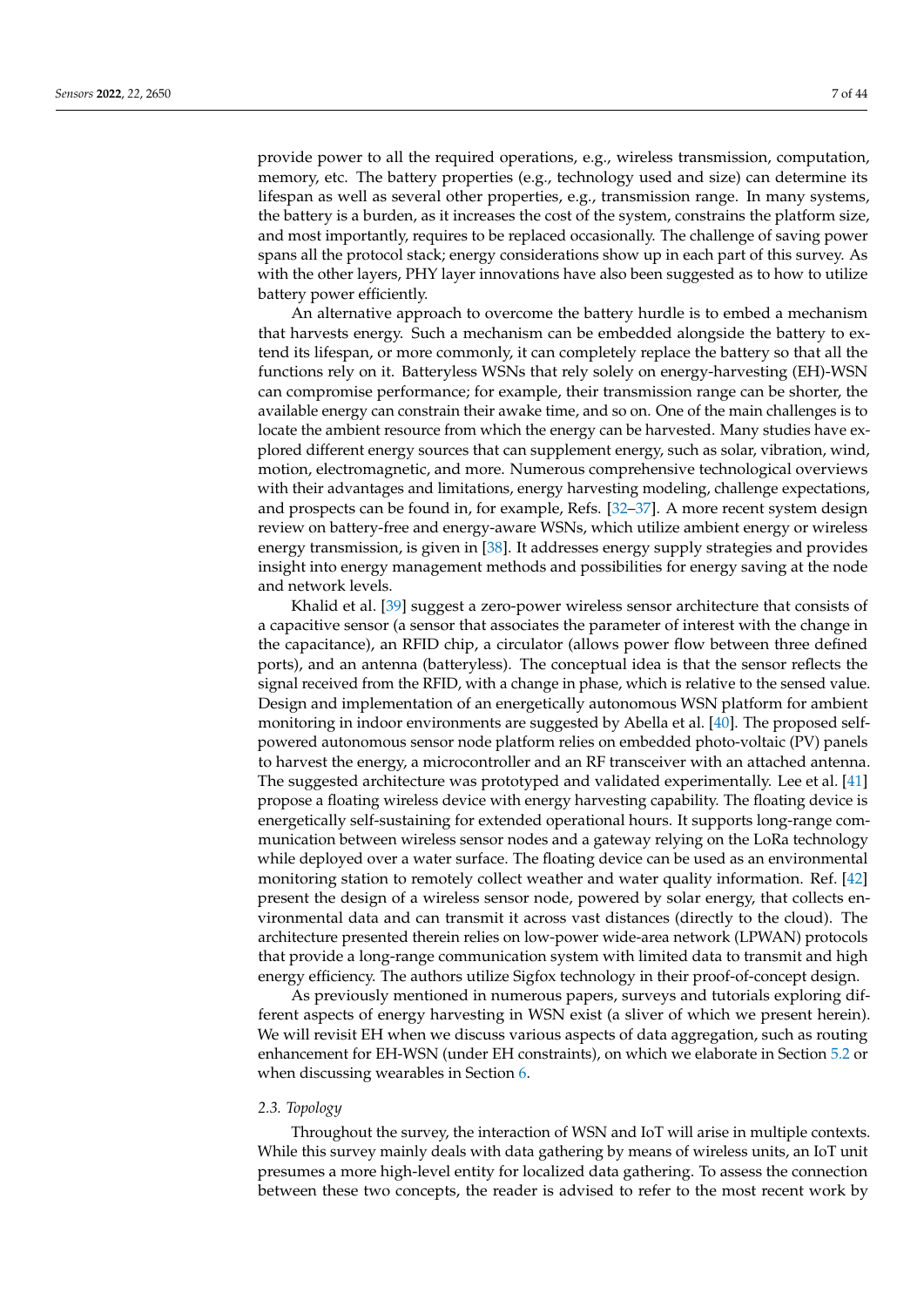provide power to all the required operations, e.g., wireless transmission, computation, memory, etc. The battery properties (e.g., technology used and size) can determine its lifespan as well as several other properties, e.g., transmission range. In many systems, the battery is a burden, as it increases the cost of the system, constrains the platform size, and most importantly, requires to be replaced occasionally. The challenge of saving power spans all the protocol stack; energy considerations show up in each part of this survey. As with the other layers, PHY layer innovations have also been suggested as to how to utilize battery power efficiently.

An alternative approach to overcome the battery hurdle is to embed a mechanism that harvests energy. Such a mechanism can be embedded alongside the battery to extend its lifespan, or more commonly, it can completely replace the battery so that all the functions rely on it. Batteryless WSNs that rely solely on energy-harvesting (EH)-WSN can compromise performance; for example, their transmission range can be shorter, the available energy can constrain their awake time, and so on. One of the main challenges is to locate the ambient resource from which the energy can be harvested. Many studies have explored different energy sources that can supplement energy, such as solar, vibration, wind, motion, electromagnetic, and more. Numerous comprehensive technological overviews with their advantages and limitations, energy harvesting modeling, challenge expectations, and prospects can be found in, for example, Refs. [\[32–](#page-35-13)[37\]](#page-35-14). A more recent system design review on battery-free and energy-aware WSNs, which utilize ambient energy or wireless energy transmission, is given in [\[38\]](#page-35-15). It addresses energy supply strategies and provides insight into energy management methods and possibilities for energy saving at the node and network levels.

Khalid et al. [\[39\]](#page-35-16) suggest a zero-power wireless sensor architecture that consists of a capacitive sensor (a sensor that associates the parameter of interest with the change in the capacitance), an RFID chip, a circulator (allows power flow between three defined ports), and an antenna (batteryless). The conceptual idea is that the sensor reflects the signal received from the RFID, with a change in phase, which is relative to the sensed value. Design and implementation of an energetically autonomous WSN platform for ambient monitoring in indoor environments are suggested by Abella et al. [\[40\]](#page-35-17). The proposed selfpowered autonomous sensor node platform relies on embedded photo-voltaic (PV) panels to harvest the energy, a microcontroller and an RF transceiver with an attached antenna. The suggested architecture was prototyped and validated experimentally. Lee et al. [\[41\]](#page-35-18) propose a floating wireless device with energy harvesting capability. The floating device is energetically self-sustaining for extended operational hours. It supports long-range communication between wireless sensor nodes and a gateway relying on the LoRa technology while deployed over a water surface. The floating device can be used as an environmental monitoring station to remotely collect weather and water quality information. Ref. [\[42\]](#page-35-19) present the design of a wireless sensor node, powered by solar energy, that collects environmental data and can transmit it across vast distances (directly to the cloud). The architecture presented therein relies on low-power wide-area network (LPWAN) protocols that provide a long-range communication system with limited data to transmit and high energy efficiency. The authors utilize Sigfox technology in their proof-of-concept design.

As previously mentioned in numerous papers, surveys and tutorials exploring different aspects of energy harvesting in WSN exist (a sliver of which we present herein). We will revisit EH when we discuss various aspects of data aggregation, such as routing enhancement for EH-WSN (under EH constraints), on which we elaborate in Section [5.2](#page-20-0) or when discussing wearables in Section [6.](#page-28-0)

## *2.3. Topology*

Throughout the survey, the interaction of WSN and IoT will arise in multiple contexts. While this survey mainly deals with data gathering by means of wireless units, an IoT unit presumes a more high-level entity for localized data gathering. To assess the connection between these two concepts, the reader is advised to refer to the most recent work by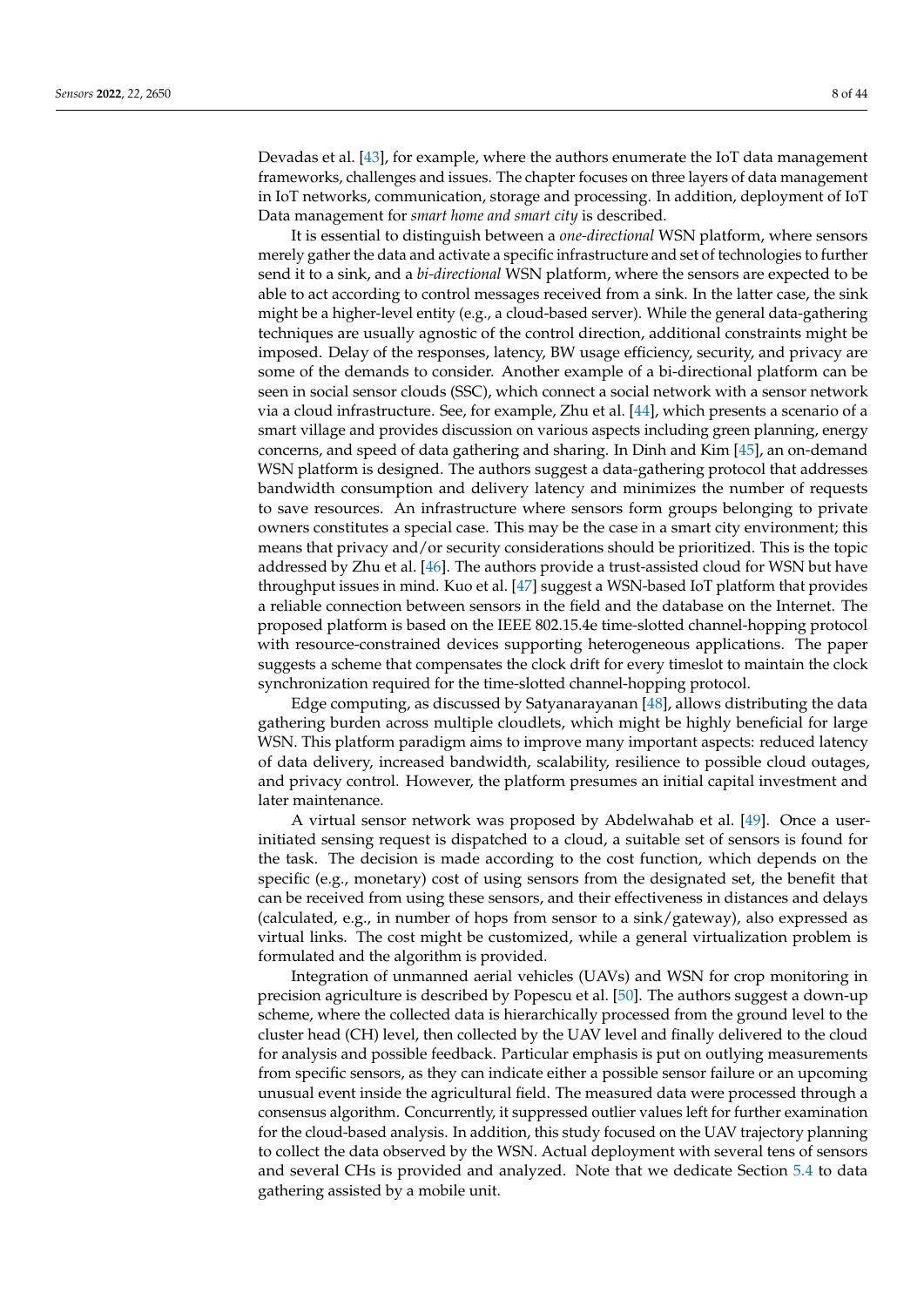Devadas et al. [\[43\]](#page-35-20), for example, where the authors enumerate the IoT data management frameworks, challenges and issues. The chapter focuses on three layers of data management in IoT networks, communication, storage and processing. In addition, deployment of IoT Data management for *smart home and smart city* is described.

It is essential to distinguish between a *one-directional* WSN platform, where sensors merely gather the data and activate a specific infrastructure and set of technologies to further send it to a sink, and a *bi-directional* WSN platform, where the sensors are expected to be able to act according to control messages received from a sink. In the latter case, the sink might be a higher-level entity (e.g., a cloud-based server). While the general data-gathering techniques are usually agnostic of the control direction, additional constraints might be imposed. Delay of the responses, latency, BW usage efficiency, security, and privacy are some of the demands to consider. Another example of a bi-directional platform can be seen in social sensor clouds (SSC), which connect a social network with a sensor network via a cloud infrastructure. See, for example, Zhu et al. [\[44\]](#page-36-0), which presents a scenario of a smart village and provides discussion on various aspects including green planning, energy concerns, and speed of data gathering and sharing. In Dinh and Kim [\[45\]](#page-36-1), an on-demand WSN platform is designed. The authors suggest a data-gathering protocol that addresses bandwidth consumption and delivery latency and minimizes the number of requests to save resources. An infrastructure where sensors form groups belonging to private owners constitutes a special case. This may be the case in a smart city environment; this means that privacy and/or security considerations should be prioritized. This is the topic addressed by Zhu et al. [\[46\]](#page-36-2). The authors provide a trust-assisted cloud for WSN but have throughput issues in mind. Kuo et al. [\[47\]](#page-36-3) suggest a WSN-based IoT platform that provides a reliable connection between sensors in the field and the database on the Internet. The proposed platform is based on the IEEE 802.15.4e time-slotted channel-hopping protocol with resource-constrained devices supporting heterogeneous applications. The paper suggests a scheme that compensates the clock drift for every timeslot to maintain the clock synchronization required for the time-slotted channel-hopping protocol.

Edge computing, as discussed by Satyanarayanan [\[48\]](#page-36-4), allows distributing the data gathering burden across multiple cloudlets, which might be highly beneficial for large WSN. This platform paradigm aims to improve many important aspects: reduced latency of data delivery, increased bandwidth, scalability, resilience to possible cloud outages, and privacy control. However, the platform presumes an initial capital investment and later maintenance.

A virtual sensor network was proposed by Abdelwahab et al. [\[49\]](#page-36-5). Once a userinitiated sensing request is dispatched to a cloud, a suitable set of sensors is found for the task. The decision is made according to the cost function, which depends on the specific (e.g., monetary) cost of using sensors from the designated set, the benefit that can be received from using these sensors, and their effectiveness in distances and delays (calculated, e.g., in number of hops from sensor to a sink/gateway), also expressed as virtual links. The cost might be customized, while a general virtualization problem is formulated and the algorithm is provided.

Integration of unmanned aerial vehicles (UAVs) and WSN for crop monitoring in precision agriculture is described by Popescu et al. [\[50\]](#page-36-6). The authors suggest a down-up scheme, where the collected data is hierarchically processed from the ground level to the cluster head (CH) level, then collected by the UAV level and finally delivered to the cloud for analysis and possible feedback. Particular emphasis is put on outlying measurements from specific sensors, as they can indicate either a possible sensor failure or an upcoming unusual event inside the agricultural field. The measured data were processed through a consensus algorithm. Concurrently, it suppressed outlier values left for further examination for the cloud-based analysis. In addition, this study focused on the UAV trajectory planning to collect the data observed by the WSN. Actual deployment with several tens of sensors and several CHs is provided and analyzed. Note that we dedicate Section [5.4](#page-25-0) to data gathering assisted by a mobile unit.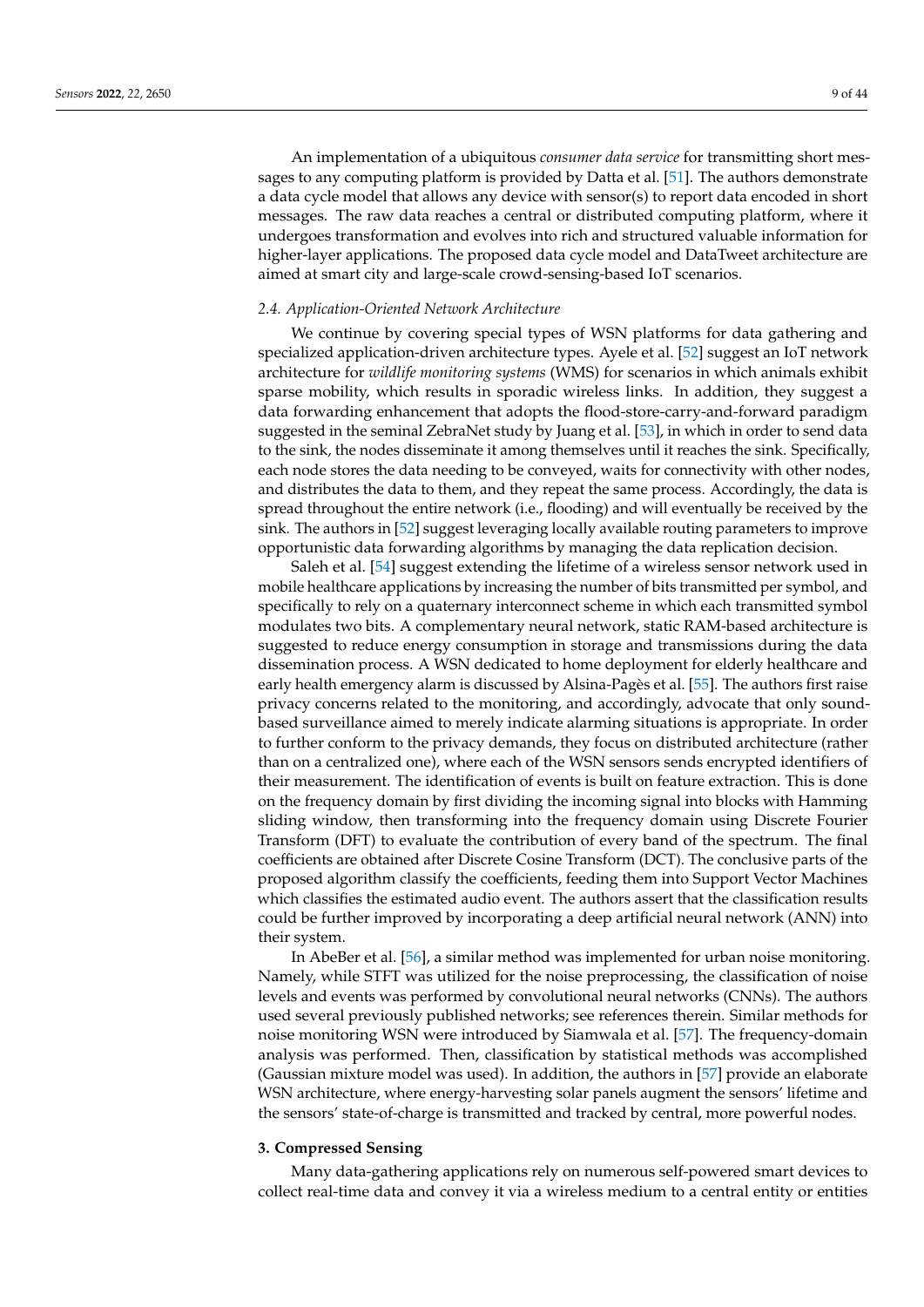An implementation of a ubiquitous *consumer data service* for transmitting short messages to any computing platform is provided by Datta et al. [\[51\]](#page-36-7). The authors demonstrate a data cycle model that allows any device with sensor(s) to report data encoded in short messages. The raw data reaches a central or distributed computing platform, where it undergoes transformation and evolves into rich and structured valuable information for higher-layer applications. The proposed data cycle model and DataTweet architecture are aimed at smart city and large-scale crowd-sensing-based IoT scenarios.

#### *2.4. Application-Oriented Network Architecture*

We continue by covering special types of WSN platforms for data gathering and specialized application-driven architecture types. Ayele et al. [\[52\]](#page-36-8) suggest an IoT network architecture for *wildlife monitoring systems* (WMS) for scenarios in which animals exhibit sparse mobility, which results in sporadic wireless links. In addition, they suggest a data forwarding enhancement that adopts the flood-store-carry-and-forward paradigm suggested in the seminal ZebraNet study by Juang et al. [\[53\]](#page-36-9), in which in order to send data to the sink, the nodes disseminate it among themselves until it reaches the sink. Specifically, each node stores the data needing to be conveyed, waits for connectivity with other nodes, and distributes the data to them, and they repeat the same process. Accordingly, the data is spread throughout the entire network (i.e., flooding) and will eventually be received by the sink. The authors in [\[52\]](#page-36-8) suggest leveraging locally available routing parameters to improve opportunistic data forwarding algorithms by managing the data replication decision.

Saleh et al. [\[54\]](#page-36-10) suggest extending the lifetime of a wireless sensor network used in mobile healthcare applications by increasing the number of bits transmitted per symbol, and specifically to rely on a quaternary interconnect scheme in which each transmitted symbol modulates two bits. A complementary neural network, static RAM-based architecture is suggested to reduce energy consumption in storage and transmissions during the data dissemination process. A WSN dedicated to home deployment for elderly healthcare and early health emergency alarm is discussed by Alsina-Pagès et al. [\[55\]](#page-36-11). The authors first raise privacy concerns related to the monitoring, and accordingly, advocate that only soundbased surveillance aimed to merely indicate alarming situations is appropriate. In order to further conform to the privacy demands, they focus on distributed architecture (rather than on a centralized one), where each of the WSN sensors sends encrypted identifiers of their measurement. The identification of events is built on feature extraction. This is done on the frequency domain by first dividing the incoming signal into blocks with Hamming sliding window, then transforming into the frequency domain using Discrete Fourier Transform (DFT) to evaluate the contribution of every band of the spectrum. The final coefficients are obtained after Discrete Cosine Transform (DCT). The conclusive parts of the proposed algorithm classify the coefficients, feeding them into Support Vector Machines which classifies the estimated audio event. The authors assert that the classification results could be further improved by incorporating a deep artificial neural network (ANN) into their system.

In AbeBer et al. [\[56\]](#page-36-12), a similar method was implemented for urban noise monitoring. Namely, while STFT was utilized for the noise preprocessing, the classification of noise levels and events was performed by convolutional neural networks (CNNs). The authors used several previously published networks; see references therein. Similar methods for noise monitoring WSN were introduced by Siamwala et al. [\[57\]](#page-36-13). The frequency-domain analysis was performed. Then, classification by statistical methods was accomplished (Gaussian mixture model was used). In addition, the authors in [\[57\]](#page-36-13) provide an elaborate WSN architecture, where energy-harvesting solar panels augment the sensors' lifetime and the sensors' state-of-charge is transmitted and tracked by central, more powerful nodes.

## <span id="page-8-0"></span>**3. Compressed Sensing**

Many data-gathering applications rely on numerous self-powered smart devices to collect real-time data and convey it via a wireless medium to a central entity or entities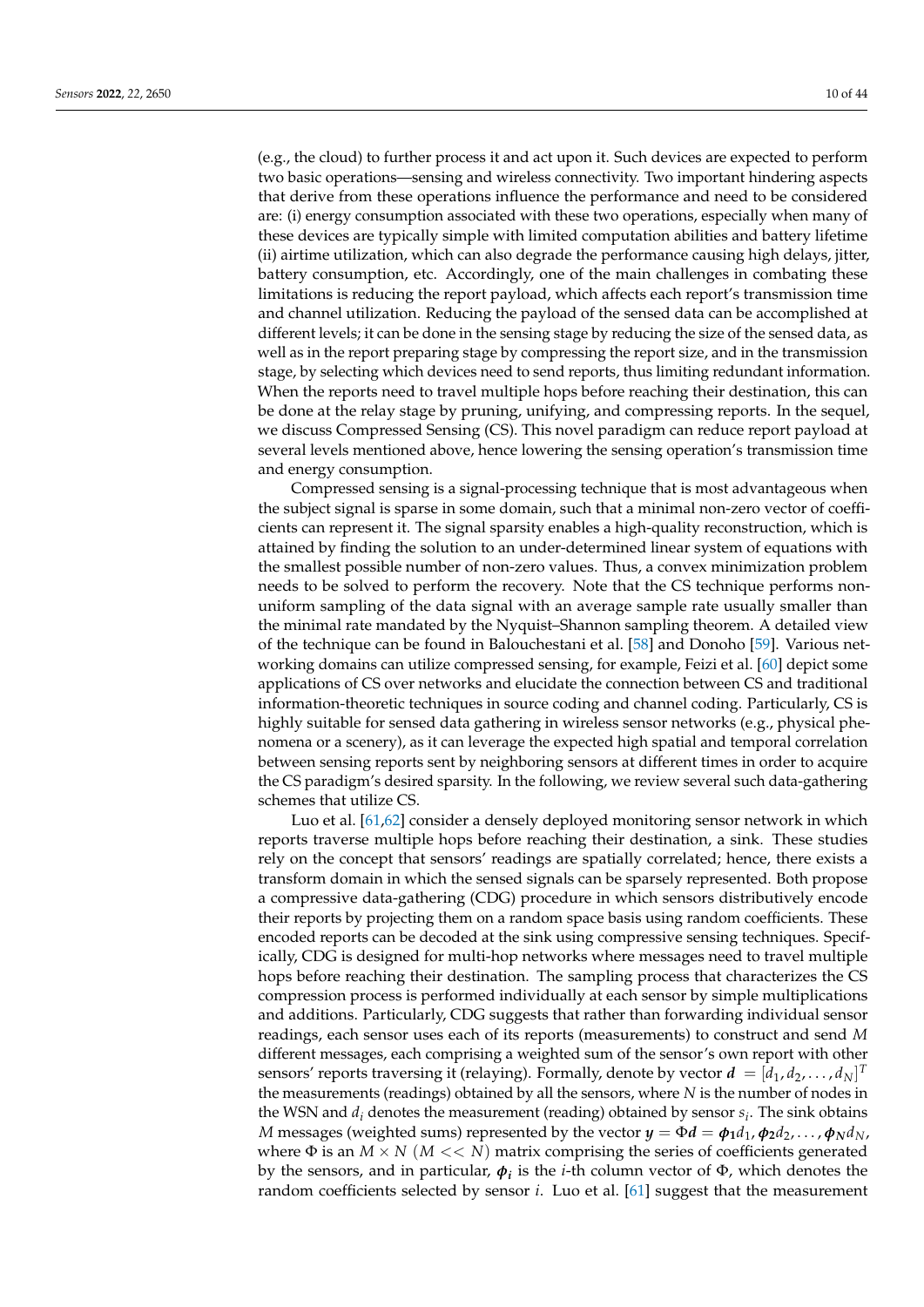(e.g., the cloud) to further process it and act upon it. Such devices are expected to perform two basic operations—sensing and wireless connectivity. Two important hindering aspects that derive from these operations influence the performance and need to be considered are: (i) energy consumption associated with these two operations, especially when many of these devices are typically simple with limited computation abilities and battery lifetime (ii) airtime utilization, which can also degrade the performance causing high delays, jitter, battery consumption, etc. Accordingly, one of the main challenges in combating these limitations is reducing the report payload, which affects each report's transmission time and channel utilization. Reducing the payload of the sensed data can be accomplished at different levels; it can be done in the sensing stage by reducing the size of the sensed data, as well as in the report preparing stage by compressing the report size, and in the transmission stage, by selecting which devices need to send reports, thus limiting redundant information. When the reports need to travel multiple hops before reaching their destination, this can be done at the relay stage by pruning, unifying, and compressing reports. In the sequel, we discuss Compressed Sensing (CS). This novel paradigm can reduce report payload at several levels mentioned above, hence lowering the sensing operation's transmission time and energy consumption.

Compressed sensing is a signal-processing technique that is most advantageous when the subject signal is sparse in some domain, such that a minimal non-zero vector of coefficients can represent it. The signal sparsity enables a high-quality reconstruction, which is attained by finding the solution to an under-determined linear system of equations with the smallest possible number of non-zero values. Thus, a convex minimization problem needs to be solved to perform the recovery. Note that the CS technique performs nonuniform sampling of the data signal with an average sample rate usually smaller than the minimal rate mandated by the Nyquist–Shannon sampling theorem. A detailed view of the technique can be found in Balouchestani et al. [\[58\]](#page-36-14) and Donoho [\[59\]](#page-36-15). Various networking domains can utilize compressed sensing, for example, Feizi et al. [\[60\]](#page-36-16) depict some applications of CS over networks and elucidate the connection between CS and traditional information-theoretic techniques in source coding and channel coding. Particularly, CS is highly suitable for sensed data gathering in wireless sensor networks (e.g., physical phenomena or a scenery), as it can leverage the expected high spatial and temporal correlation between sensing reports sent by neighboring sensors at different times in order to acquire the CS paradigm's desired sparsity. In the following, we review several such data-gathering schemes that utilize CS.

Luo et al. [\[61](#page-36-17)[,62\]](#page-36-18) consider a densely deployed monitoring sensor network in which reports traverse multiple hops before reaching their destination, a sink. These studies rely on the concept that sensors' readings are spatially correlated; hence, there exists a transform domain in which the sensed signals can be sparsely represented. Both propose a compressive data-gathering (CDG) procedure in which sensors distributively encode their reports by projecting them on a random space basis using random coefficients. These encoded reports can be decoded at the sink using compressive sensing techniques. Specifically, CDG is designed for multi-hop networks where messages need to travel multiple hops before reaching their destination. The sampling process that characterizes the CS compression process is performed individually at each sensor by simple multiplications and additions. Particularly, CDG suggests that rather than forwarding individual sensor readings, each sensor uses each of its reports (measurements) to construct and send *M* different messages, each comprising a weighted sum of the sensor's own report with other sensors' reports traversing it (relaying). Formally, denote by vector  $\boldsymbol{d} = [d_1, d_2, \dots, d_N]^T$ the measurements (readings) obtained by all the sensors, where *N* is the number of nodes in the WSN and *d<sup>i</sup>* denotes the measurement (reading) obtained by sensor *s<sup>i</sup>* . The sink obtains *M* messages (weighted sums) represented by the vector  $y = \Phi d = \phi_1 d_1$ ,  $\phi_2 d_2$ , ...,  $\phi_N d_N$ , where  $\Phi$  is an  $M \times N$  ( $M \ll N$ ) matrix comprising the series of coefficients generated by the sensors, and in particular, *φ<sup>i</sup>* is the *i*-th column vector of Φ, which denotes the random coefficients selected by sensor *i*. Luo et al. [\[61\]](#page-36-17) suggest that the measurement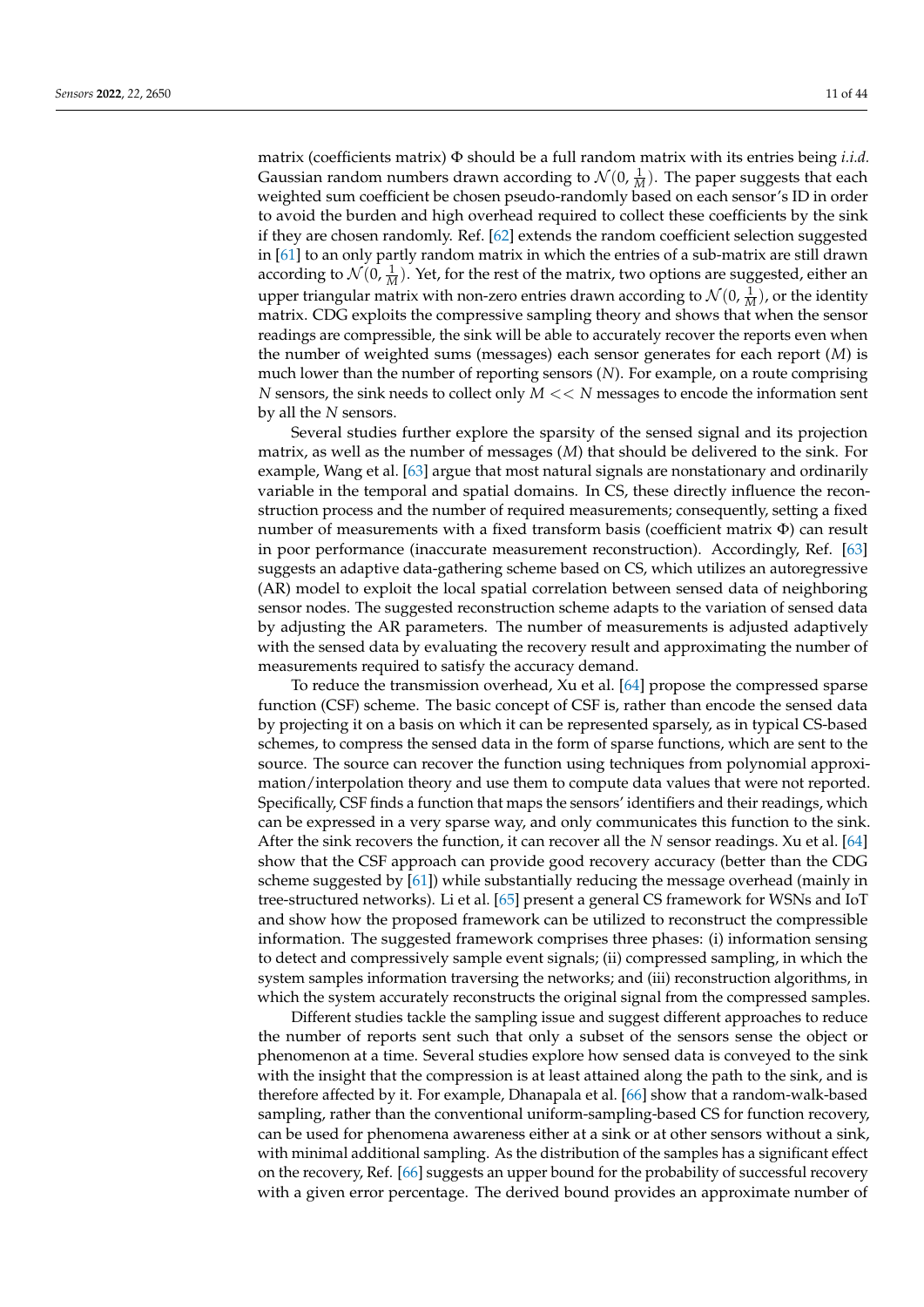matrix (coefficients matrix) Φ should be a full random matrix with its entries being *i.i.d.* Gaussian random numbers drawn according to  $\mathcal{N}(0, \frac{1}{M}).$  The paper suggests that each weighted sum coefficient be chosen pseudo-randomly based on each sensor's ID in order to avoid the burden and high overhead required to collect these coefficients by the sink if they are chosen randomly. Ref. [\[62\]](#page-36-18) extends the random coefficient selection suggested in [\[61\]](#page-36-17) to an only partly random matrix in which the entries of a sub-matrix are still drawn according to  $\mathcal{N}(0, \frac{1}{M})$ . Yet, for the rest of the matrix, two options are suggested, either an upper triangular matrix with non-zero entries drawn according to  $\mathcal{N}(0, \frac{1}{M})$ , or the identity matrix. CDG exploits the compressive sampling theory and shows that when the sensor readings are compressible, the sink will be able to accurately recover the reports even when the number of weighted sums (messages) each sensor generates for each report (*M*) is much lower than the number of reporting sensors (*N*). For example, on a route comprising *N* sensors, the sink needs to collect only  $M \ll N$  messages to encode the information sent by all the *N* sensors.

Several studies further explore the sparsity of the sensed signal and its projection matrix, as well as the number of messages (*M*) that should be delivered to the sink. For example, Wang et al. [\[63\]](#page-36-19) argue that most natural signals are nonstationary and ordinarily variable in the temporal and spatial domains. In CS, these directly influence the reconstruction process and the number of required measurements; consequently, setting a fixed number of measurements with a fixed transform basis (coefficient matrix Φ) can result in poor performance (inaccurate measurement reconstruction). Accordingly, Ref. [\[63\]](#page-36-19) suggests an adaptive data-gathering scheme based on CS, which utilizes an autoregressive (AR) model to exploit the local spatial correlation between sensed data of neighboring sensor nodes. The suggested reconstruction scheme adapts to the variation of sensed data by adjusting the AR parameters. The number of measurements is adjusted adaptively with the sensed data by evaluating the recovery result and approximating the number of measurements required to satisfy the accuracy demand.

To reduce the transmission overhead, Xu et al. [\[64\]](#page-36-20) propose the compressed sparse function (CSF) scheme. The basic concept of CSF is, rather than encode the sensed data by projecting it on a basis on which it can be represented sparsely, as in typical CS-based schemes, to compress the sensed data in the form of sparse functions, which are sent to the source. The source can recover the function using techniques from polynomial approximation/interpolation theory and use them to compute data values that were not reported. Specifically, CSF finds a function that maps the sensors' identifiers and their readings, which can be expressed in a very sparse way, and only communicates this function to the sink. After the sink recovers the function, it can recover all the *N* sensor readings. Xu et al. [\[64\]](#page-36-20) show that the CSF approach can provide good recovery accuracy (better than the CDG scheme suggested by [\[61\]](#page-36-17)) while substantially reducing the message overhead (mainly in tree-structured networks). Li et al. [\[65\]](#page-36-21) present a general CS framework for WSNs and IoT and show how the proposed framework can be utilized to reconstruct the compressible information. The suggested framework comprises three phases: (i) information sensing to detect and compressively sample event signals; (ii) compressed sampling, in which the system samples information traversing the networks; and (iii) reconstruction algorithms, in which the system accurately reconstructs the original signal from the compressed samples.

Different studies tackle the sampling issue and suggest different approaches to reduce the number of reports sent such that only a subset of the sensors sense the object or phenomenon at a time. Several studies explore how sensed data is conveyed to the sink with the insight that the compression is at least attained along the path to the sink, and is therefore affected by it. For example, Dhanapala et al. [\[66\]](#page-36-22) show that a random-walk-based sampling, rather than the conventional uniform-sampling-based CS for function recovery, can be used for phenomena awareness either at a sink or at other sensors without a sink, with minimal additional sampling. As the distribution of the samples has a significant effect on the recovery, Ref. [\[66\]](#page-36-22) suggests an upper bound for the probability of successful recovery with a given error percentage. The derived bound provides an approximate number of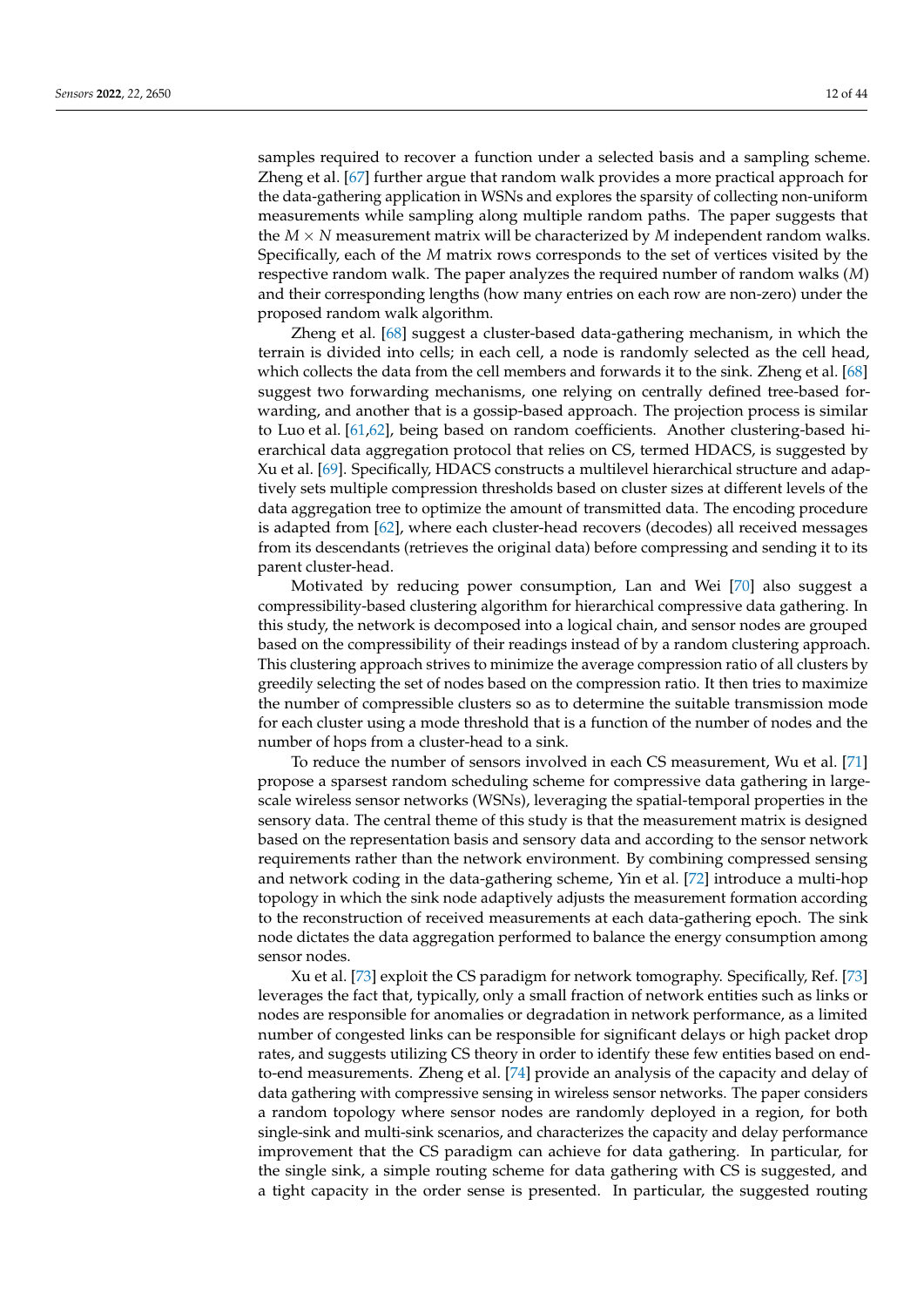samples required to recover a function under a selected basis and a sampling scheme. Zheng et al. [\[67\]](#page-36-23) further argue that random walk provides a more practical approach for the data-gathering application in WSNs and explores the sparsity of collecting non-uniform measurements while sampling along multiple random paths. The paper suggests that the *M* × *N* measurement matrix will be characterized by *M* independent random walks. Specifically, each of the *M* matrix rows corresponds to the set of vertices visited by the respective random walk. The paper analyzes the required number of random walks (*M*) and their corresponding lengths (how many entries on each row are non-zero) under the proposed random walk algorithm.

Zheng et al. [\[68\]](#page-36-24) suggest a cluster-based data-gathering mechanism, in which the terrain is divided into cells; in each cell, a node is randomly selected as the cell head, which collects the data from the cell members and forwards it to the sink. Zheng et al. [\[68\]](#page-36-24) suggest two forwarding mechanisms, one relying on centrally defined tree-based forwarding, and another that is a gossip-based approach. The projection process is similar to Luo et al. [\[61,](#page-36-17)[62\]](#page-36-18), being based on random coefficients. Another clustering-based hierarchical data aggregation protocol that relies on CS, termed HDACS, is suggested by Xu et al. [\[69\]](#page-36-25). Specifically, HDACS constructs a multilevel hierarchical structure and adaptively sets multiple compression thresholds based on cluster sizes at different levels of the data aggregation tree to optimize the amount of transmitted data. The encoding procedure is adapted from [\[62\]](#page-36-18), where each cluster-head recovers (decodes) all received messages from its descendants (retrieves the original data) before compressing and sending it to its parent cluster-head.

Motivated by reducing power consumption, Lan and Wei [\[70\]](#page-37-0) also suggest a compressibility-based clustering algorithm for hierarchical compressive data gathering. In this study, the network is decomposed into a logical chain, and sensor nodes are grouped based on the compressibility of their readings instead of by a random clustering approach. This clustering approach strives to minimize the average compression ratio of all clusters by greedily selecting the set of nodes based on the compression ratio. It then tries to maximize the number of compressible clusters so as to determine the suitable transmission mode for each cluster using a mode threshold that is a function of the number of nodes and the number of hops from a cluster-head to a sink.

To reduce the number of sensors involved in each CS measurement, Wu et al. [\[71\]](#page-37-1) propose a sparsest random scheduling scheme for compressive data gathering in largescale wireless sensor networks (WSNs), leveraging the spatial-temporal properties in the sensory data. The central theme of this study is that the measurement matrix is designed based on the representation basis and sensory data and according to the sensor network requirements rather than the network environment. By combining compressed sensing and network coding in the data-gathering scheme, Yin et al. [\[72\]](#page-37-2) introduce a multi-hop topology in which the sink node adaptively adjusts the measurement formation according to the reconstruction of received measurements at each data-gathering epoch. The sink node dictates the data aggregation performed to balance the energy consumption among sensor nodes.

Xu et al. [\[73\]](#page-37-3) exploit the CS paradigm for network tomography. Specifically, Ref. [\[73\]](#page-37-3) leverages the fact that, typically, only a small fraction of network entities such as links or nodes are responsible for anomalies or degradation in network performance, as a limited number of congested links can be responsible for significant delays or high packet drop rates, and suggests utilizing CS theory in order to identify these few entities based on endto-end measurements. Zheng et al. [\[74\]](#page-37-4) provide an analysis of the capacity and delay of data gathering with compressive sensing in wireless sensor networks. The paper considers a random topology where sensor nodes are randomly deployed in a region, for both single-sink and multi-sink scenarios, and characterizes the capacity and delay performance improvement that the CS paradigm can achieve for data gathering. In particular, for the single sink, a simple routing scheme for data gathering with CS is suggested, and a tight capacity in the order sense is presented. In particular, the suggested routing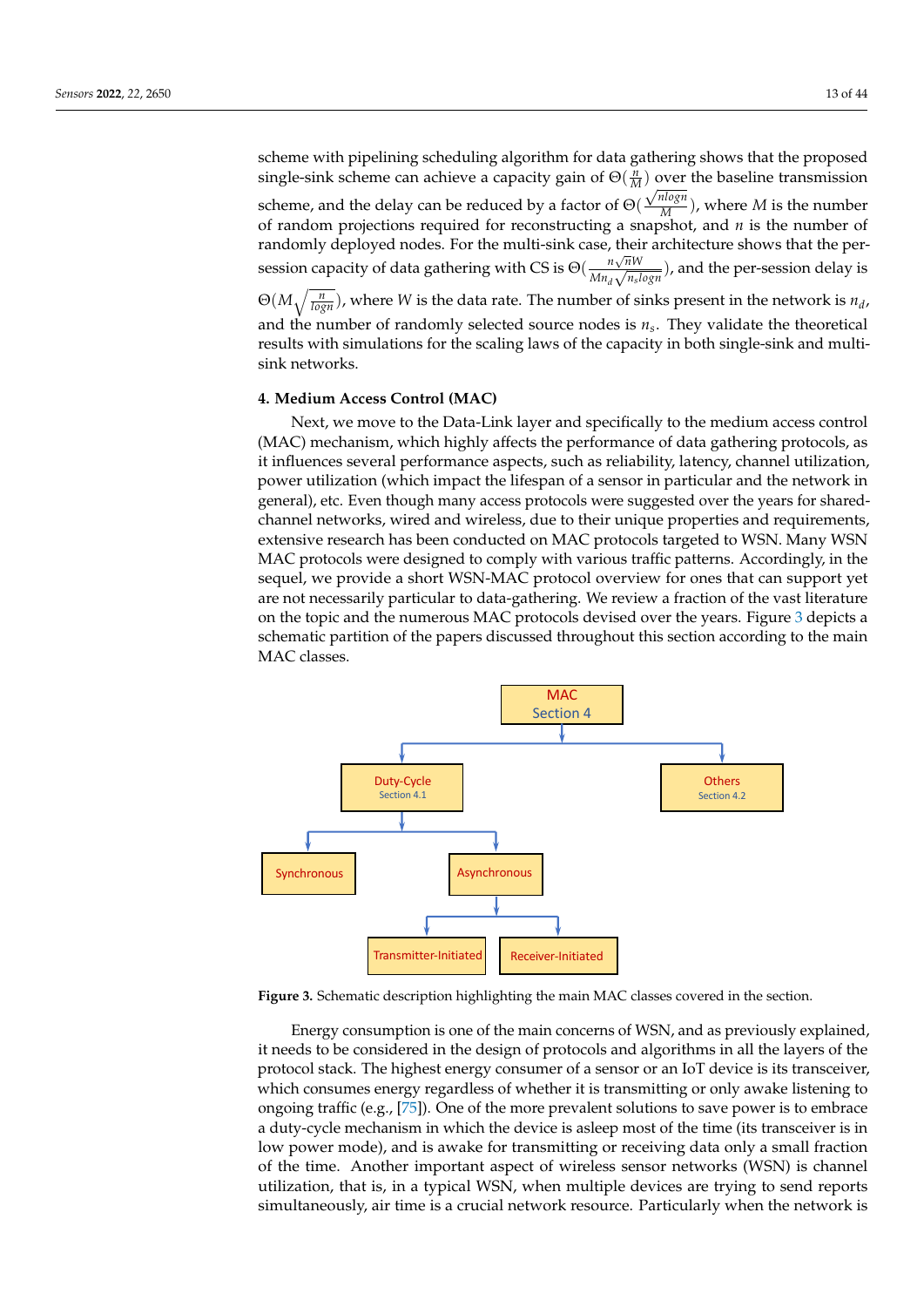scheme with pipelining scheduling algorithm for data gathering shows that the proposed single-sink scheme can achieve a capacity gain of  $\Theta(\frac{n}{M})$  over the baseline transmission scheme, and the delay can be reduced by a factor of  $\Theta(\frac{\sqrt{nlogn}}{M})$ , where *M* is the number of random projections required for reconstructing a snapshot, and *n* is the number of randomly deployed nodes. For the multi-sink case, their architecture shows that the per-**SESS** and *a n*<sup>*n*</sup> *m*<sup>*n*</sup> *n*<sup>*n*</sup> *m*<sup>*n*</sup> *n*<sup>*n*</sup> *n*<sup>*n*</sup> *n*<sup>*n*</sup> *n*<sup>*n*</sup> *n*<sup>*n*</sup> *n*<sup>*n*</sup> *n*<sup>*n*</sup> *n*<sup>*n*</sup> *n*<sup>*n*</sup> *n*<sup>*n*</sup></del> *n*<sup>*n*</sup> *n*<sup>*n*</sup> *n*<sup>*n*</sup> *n*<sup>*n*</sup> *n*<sup>*n*</sup> *n*</sub>*n*<sup>*n*</sup> *n*<sup>*n*</sup> *n*<sup>*n*</sup> *n Mn<sup>d</sup>*  $\frac{\sqrt{nN}}{\sqrt{n_s log n}}$ ), and the per-session delay is  $\Theta(M\sqrt{\frac{n}{log n}})$ , where *W* is the data rate. The number of sinks present in the network is  $n_d$ , and the number of randomly selected source nodes is *n<sup>s</sup>* . They validate the theoretical results with simulations for the scaling laws of the capacity in both single-sink and multi-

#### <span id="page-12-0"></span>**4. Medium Access Control (MAC)**

sink networks.

Next, we move to the Data-Link layer and specifically to the medium access control (MAC) mechanism, which highly affects the performance of data gathering protocols, as it influences several performance aspects, such as reliability, latency, channel utilization, power utilization (which impact the lifespan of a sensor in particular and the network in general), etc. Even though many access protocols were suggested over the years for sharedchannel networks, wired and wireless, due to their unique properties and requirements, extensive research has been conducted on MAC protocols targeted to WSN. Many WSN MAC protocols were designed to comply with various traffic patterns. Accordingly, in the sequel, we provide a short WSN-MAC protocol overview for ones that can support yet are not necessarily particular to data-gathering. We review a fraction of the vast literature on the topic and the numerous MAC protocols devised over the years. Figure [3](#page-12-1) depicts a schematic partition of the papers discussed throughout this section according to the main MAC classes.

<span id="page-12-1"></span>

**Figure 3.** Schematic description highlighting the main MAC classes covered in the section.

Energy consumption is one of the main concerns of WSN, and as previously explained, it needs to be considered in the design of protocols and algorithms in all the layers of the protocol stack. The highest energy consumer of a sensor or an IoT device is its transceiver, which consumes energy regardless of whether it is transmitting or only awake listening to ongoing traffic (e.g., [\[75\]](#page-37-5)). One of the more prevalent solutions to save power is to embrace a duty-cycle mechanism in which the device is asleep most of the time (its transceiver is in low power mode), and is awake for transmitting or receiving data only a small fraction of the time. Another important aspect of wireless sensor networks (WSN) is channel utilization, that is, in a typical WSN, when multiple devices are trying to send reports simultaneously, air time is a crucial network resource. Particularly when the network is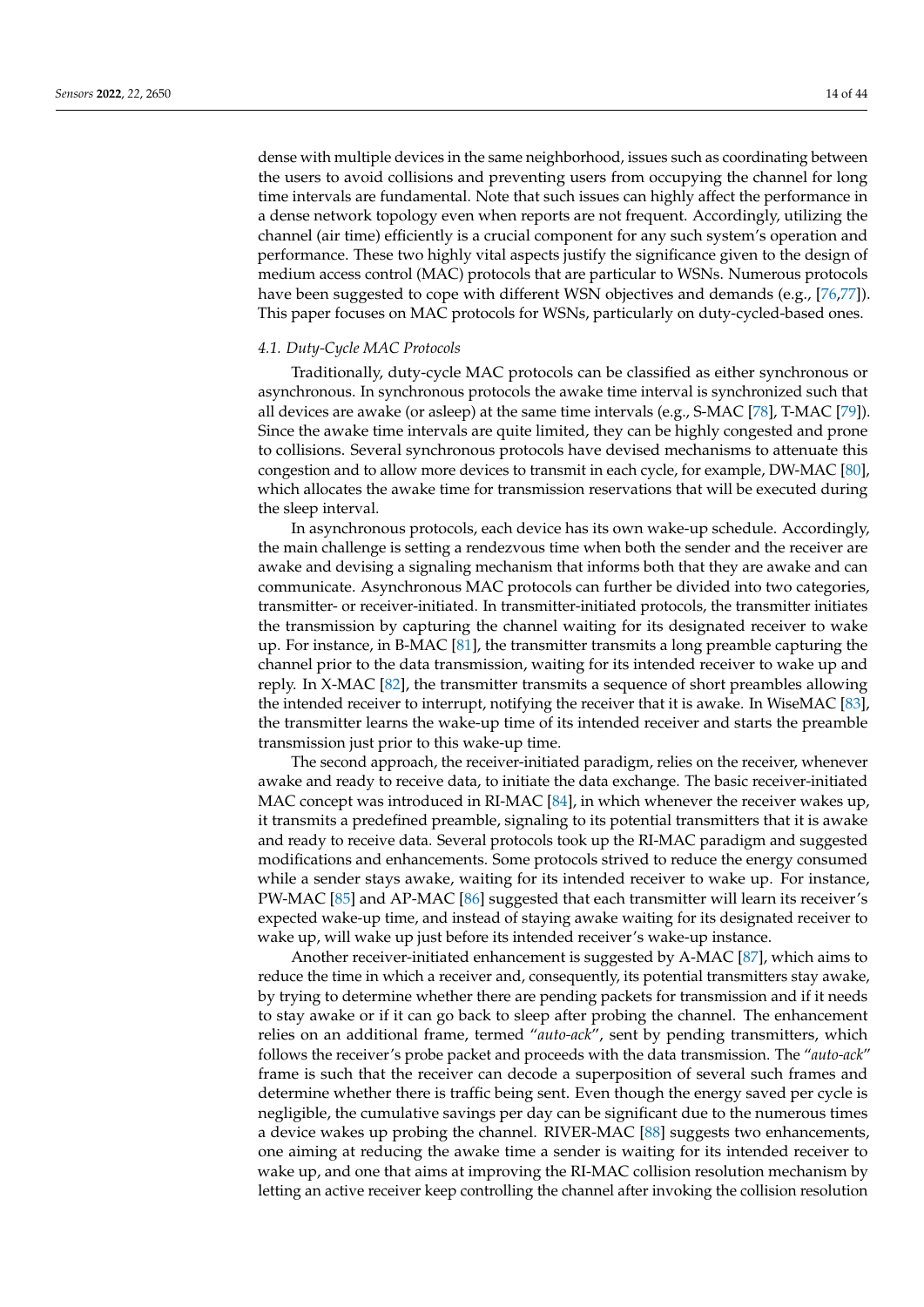dense with multiple devices in the same neighborhood, issues such as coordinating between the users to avoid collisions and preventing users from occupying the channel for long time intervals are fundamental. Note that such issues can highly affect the performance in a dense network topology even when reports are not frequent. Accordingly, utilizing the channel (air time) efficiently is a crucial component for any such system's operation and performance. These two highly vital aspects justify the significance given to the design of medium access control (MAC) protocols that are particular to WSNs. Numerous protocols have been suggested to cope with different WSN objectives and demands (e.g., [\[76,](#page-37-6)[77\]](#page-37-7)). This paper focuses on MAC protocols for WSNs, particularly on duty-cycled-based ones.

# *4.1. Duty-Cycle MAC Protocols*

Traditionally, duty-cycle MAC protocols can be classified as either synchronous or asynchronous. In synchronous protocols the awake time interval is synchronized such that all devices are awake (or asleep) at the same time intervals (e.g., S-MAC [\[78\]](#page-37-8), T-MAC [\[79\]](#page-37-9)). Since the awake time intervals are quite limited, they can be highly congested and prone to collisions. Several synchronous protocols have devised mechanisms to attenuate this congestion and to allow more devices to transmit in each cycle, for example, DW-MAC [\[80\]](#page-37-10), which allocates the awake time for transmission reservations that will be executed during the sleep interval.

In asynchronous protocols, each device has its own wake-up schedule. Accordingly, the main challenge is setting a rendezvous time when both the sender and the receiver are awake and devising a signaling mechanism that informs both that they are awake and can communicate. Asynchronous MAC protocols can further be divided into two categories, transmitter- or receiver-initiated. In transmitter-initiated protocols, the transmitter initiates the transmission by capturing the channel waiting for its designated receiver to wake up. For instance, in B-MAC [\[81\]](#page-37-11), the transmitter transmits a long preamble capturing the channel prior to the data transmission, waiting for its intended receiver to wake up and reply. In X-MAC [\[82\]](#page-37-12), the transmitter transmits a sequence of short preambles allowing the intended receiver to interrupt, notifying the receiver that it is awake. In WiseMAC [\[83\]](#page-37-13), the transmitter learns the wake-up time of its intended receiver and starts the preamble transmission just prior to this wake-up time.

The second approach, the receiver-initiated paradigm, relies on the receiver, whenever awake and ready to receive data, to initiate the data exchange. The basic receiver-initiated MAC concept was introduced in RI-MAC [\[84\]](#page-37-14), in which whenever the receiver wakes up, it transmits a predefined preamble, signaling to its potential transmitters that it is awake and ready to receive data. Several protocols took up the RI-MAC paradigm and suggested modifications and enhancements. Some protocols strived to reduce the energy consumed while a sender stays awake, waiting for its intended receiver to wake up. For instance, PW-MAC [\[85\]](#page-37-15) and AP-MAC [\[86\]](#page-37-16) suggested that each transmitter will learn its receiver's expected wake-up time, and instead of staying awake waiting for its designated receiver to wake up, will wake up just before its intended receiver's wake-up instance.

Another receiver-initiated enhancement is suggested by A-MAC [\[87\]](#page-37-17), which aims to reduce the time in which a receiver and, consequently, its potential transmitters stay awake, by trying to determine whether there are pending packets for transmission and if it needs to stay awake or if it can go back to sleep after probing the channel. The enhancement relies on an additional frame, termed "*auto-ack*", sent by pending transmitters, which follows the receiver's probe packet and proceeds with the data transmission. The "*auto-ack*" frame is such that the receiver can decode a superposition of several such frames and determine whether there is traffic being sent. Even though the energy saved per cycle is negligible, the cumulative savings per day can be significant due to the numerous times a device wakes up probing the channel. RIVER-MAC [\[88\]](#page-37-18) suggests two enhancements, one aiming at reducing the awake time a sender is waiting for its intended receiver to wake up, and one that aims at improving the RI-MAC collision resolution mechanism by letting an active receiver keep controlling the channel after invoking the collision resolution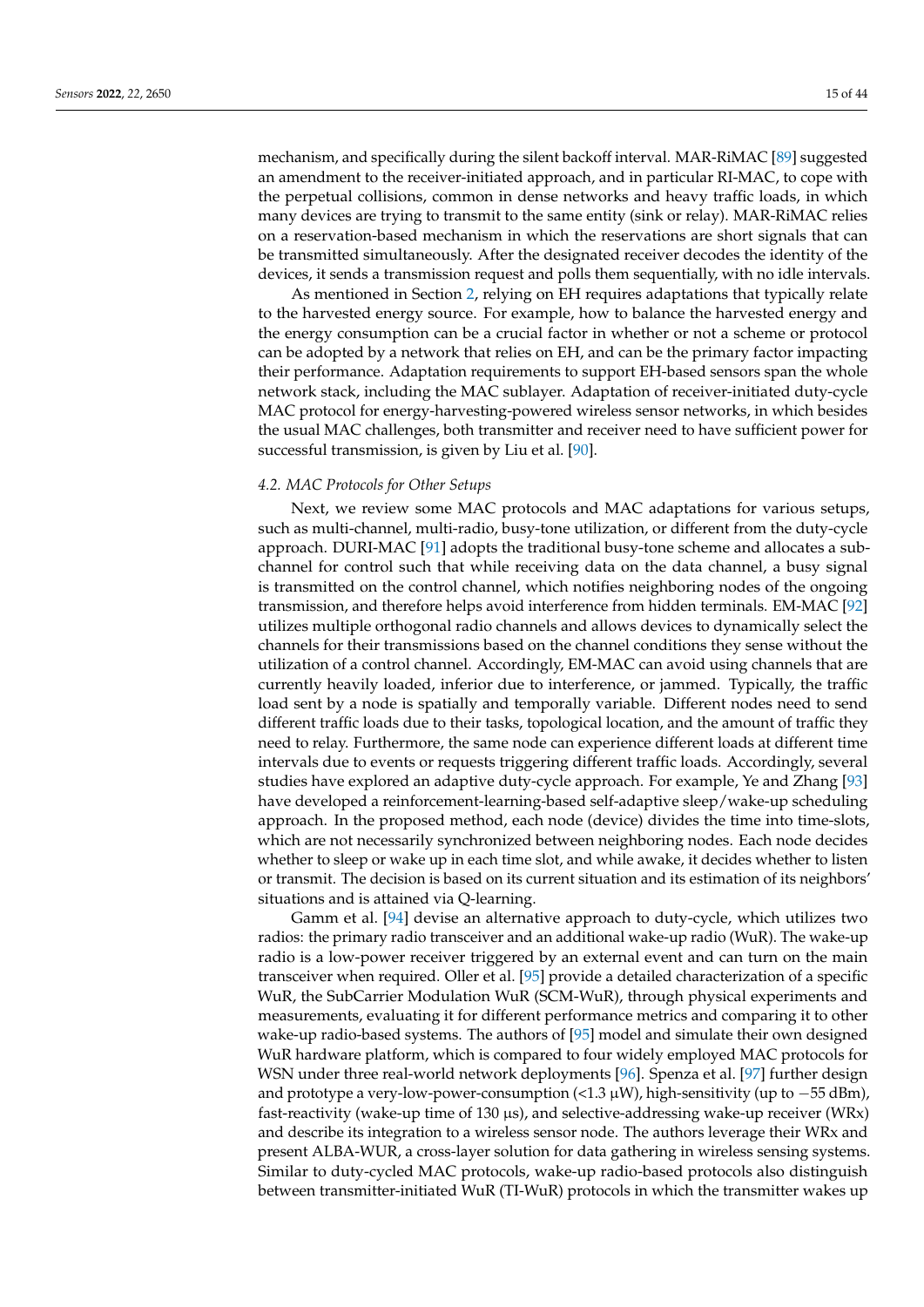mechanism, and specifically during the silent backoff interval. MAR-RiMAC [\[89\]](#page-37-19) suggested an amendment to the receiver-initiated approach, and in particular RI-MAC, to cope with the perpetual collisions, common in dense networks and heavy traffic loads, in which many devices are trying to transmit to the same entity (sink or relay). MAR-RiMAC relies on a reservation-based mechanism in which the reservations are short signals that can be transmitted simultaneously. After the designated receiver decodes the identity of the devices, it sends a transmission request and polls them sequentially, with no idle intervals.

As mentioned in Section [2,](#page-3-0) relying on EH requires adaptations that typically relate to the harvested energy source. For example, how to balance the harvested energy and the energy consumption can be a crucial factor in whether or not a scheme or protocol can be adopted by a network that relies on EH, and can be the primary factor impacting their performance. Adaptation requirements to support EH-based sensors span the whole network stack, including the MAC sublayer. Adaptation of receiver-initiated duty-cycle MAC protocol for energy-harvesting-powered wireless sensor networks, in which besides the usual MAC challenges, both transmitter and receiver need to have sufficient power for successful transmission, is given by Liu et al. [\[90\]](#page-37-20).

#### *4.2. MAC Protocols for Other Setups*

Next, we review some MAC protocols and MAC adaptations for various setups, such as multi-channel, multi-radio, busy-tone utilization, or different from the duty-cycle approach. DURI-MAC [\[91\]](#page-37-21) adopts the traditional busy-tone scheme and allocates a subchannel for control such that while receiving data on the data channel, a busy signal is transmitted on the control channel, which notifies neighboring nodes of the ongoing transmission, and therefore helps avoid interference from hidden terminals. EM-MAC [\[92\]](#page-37-22) utilizes multiple orthogonal radio channels and allows devices to dynamically select the channels for their transmissions based on the channel conditions they sense without the utilization of a control channel. Accordingly, EM-MAC can avoid using channels that are currently heavily loaded, inferior due to interference, or jammed. Typically, the traffic load sent by a node is spatially and temporally variable. Different nodes need to send different traffic loads due to their tasks, topological location, and the amount of traffic they need to relay. Furthermore, the same node can experience different loads at different time intervals due to events or requests triggering different traffic loads. Accordingly, several studies have explored an adaptive duty-cycle approach. For example, Ye and Zhang [\[93\]](#page-37-23) have developed a reinforcement-learning-based self-adaptive sleep/wake-up scheduling approach. In the proposed method, each node (device) divides the time into time-slots, which are not necessarily synchronized between neighboring nodes. Each node decides whether to sleep or wake up in each time slot, and while awake, it decides whether to listen or transmit. The decision is based on its current situation and its estimation of its neighbors' situations and is attained via Q-learning.

Gamm et al. [\[94\]](#page-38-0) devise an alternative approach to duty-cycle, which utilizes two radios: the primary radio transceiver and an additional wake-up radio (WuR). The wake-up radio is a low-power receiver triggered by an external event and can turn on the main transceiver when required. Oller et al. [\[95\]](#page-38-1) provide a detailed characterization of a specific WuR, the SubCarrier Modulation WuR (SCM-WuR), through physical experiments and measurements, evaluating it for different performance metrics and comparing it to other wake-up radio-based systems. The authors of [\[95\]](#page-38-1) model and simulate their own designed WuR hardware platform, which is compared to four widely employed MAC protocols for WSN under three real-world network deployments [\[96\]](#page-38-2). Spenza et al. [\[97\]](#page-38-3) further design and prototype a very-low-power-consumption (<1.3 µW), high-sensitivity (up to −55 dBm), fast-reactivity (wake-up time of 130  $\mu$ s), and selective-addressing wake-up receiver (WRx) and describe its integration to a wireless sensor node. The authors leverage their WRx and present ALBA-WUR, a cross-layer solution for data gathering in wireless sensing systems. Similar to duty-cycled MAC protocols, wake-up radio-based protocols also distinguish between transmitter-initiated WuR (TI-WuR) protocols in which the transmitter wakes up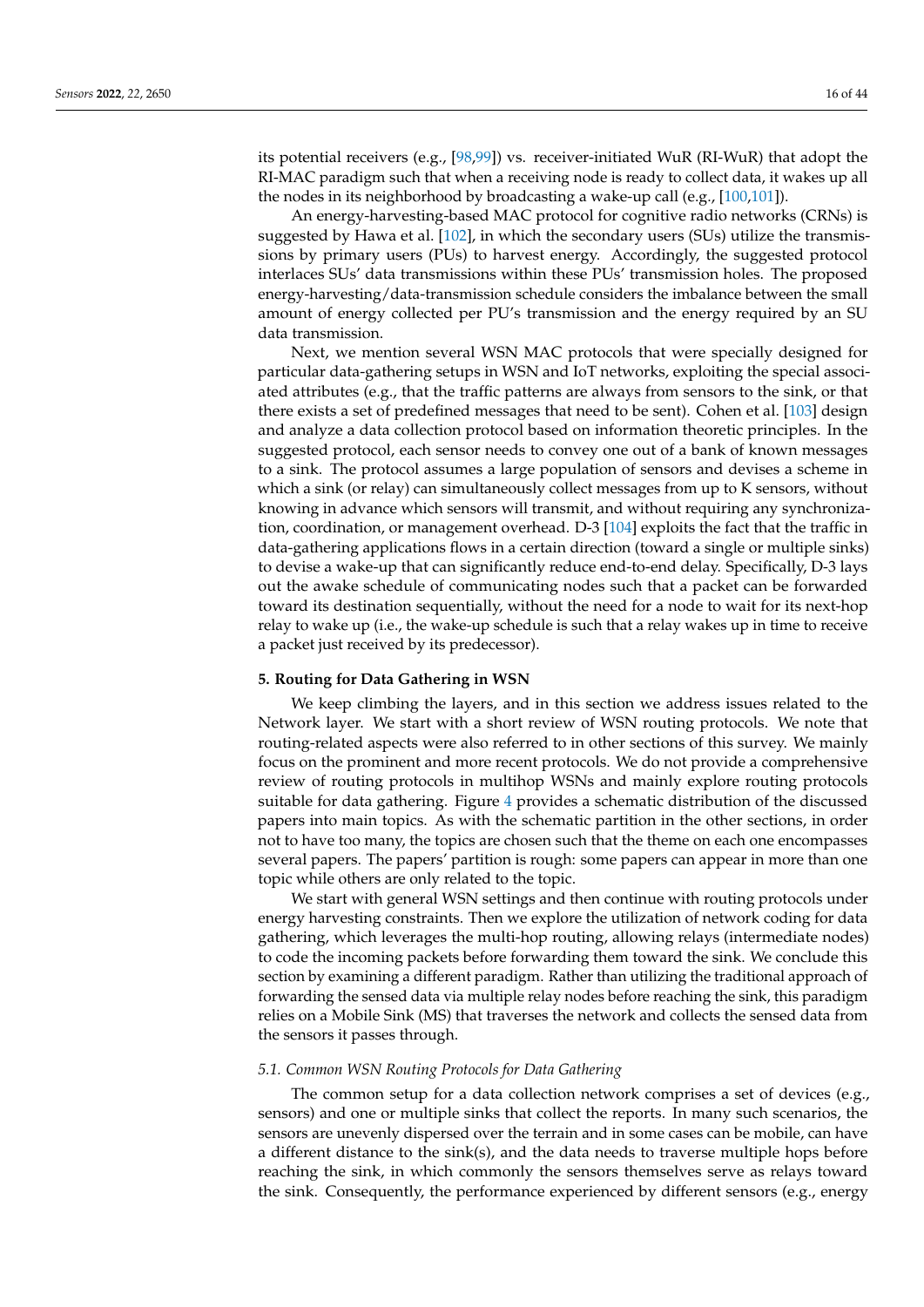its potential receivers (e.g., [\[98,](#page-38-4)[99\]](#page-38-5)) vs. receiver-initiated WuR (RI-WuR) that adopt the RI-MAC paradigm such that when a receiving node is ready to collect data, it wakes up all the nodes in its neighborhood by broadcasting a wake-up call (e.g.,  $[100,101]$  $[100,101]$ ).

An energy-harvesting-based MAC protocol for cognitive radio networks (CRNs) is suggested by Hawa et al. [\[102\]](#page-38-8), in which the secondary users (SUs) utilize the transmissions by primary users (PUs) to harvest energy. Accordingly, the suggested protocol interlaces SUs' data transmissions within these PUs' transmission holes. The proposed energy-harvesting/data-transmission schedule considers the imbalance between the small amount of energy collected per PU's transmission and the energy required by an SU data transmission.

Next, we mention several WSN MAC protocols that were specially designed for particular data-gathering setups in WSN and IoT networks, exploiting the special associated attributes (e.g., that the traffic patterns are always from sensors to the sink, or that there exists a set of predefined messages that need to be sent). Cohen et al. [\[103\]](#page-38-9) design and analyze a data collection protocol based on information theoretic principles. In the suggested protocol, each sensor needs to convey one out of a bank of known messages to a sink. The protocol assumes a large population of sensors and devises a scheme in which a sink (or relay) can simultaneously collect messages from up to K sensors, without knowing in advance which sensors will transmit, and without requiring any synchronization, coordination, or management overhead. D-3 [\[104\]](#page-38-10) exploits the fact that the traffic in data-gathering applications flows in a certain direction (toward a single or multiple sinks) to devise a wake-up that can significantly reduce end-to-end delay. Specifically, D-3 lays out the awake schedule of communicating nodes such that a packet can be forwarded toward its destination sequentially, without the need for a node to wait for its next-hop relay to wake up (i.e., the wake-up schedule is such that a relay wakes up in time to receive a packet just received by its predecessor).

#### <span id="page-15-0"></span>**5. Routing for Data Gathering in WSN**

We keep climbing the layers, and in this section we address issues related to the Network layer. We start with a short review of WSN routing protocols. We note that routing-related aspects were also referred to in other sections of this survey. We mainly focus on the prominent and more recent protocols. We do not provide a comprehensive review of routing protocols in multihop WSNs and mainly explore routing protocols suitable for data gathering. Figure [4](#page-16-0) provides a schematic distribution of the discussed papers into main topics. As with the schematic partition in the other sections, in order not to have too many, the topics are chosen such that the theme on each one encompasses several papers. The papers' partition is rough: some papers can appear in more than one topic while others are only related to the topic.

We start with general WSN settings and then continue with routing protocols under energy harvesting constraints. Then we explore the utilization of network coding for data gathering, which leverages the multi-hop routing, allowing relays (intermediate nodes) to code the incoming packets before forwarding them toward the sink. We conclude this section by examining a different paradigm. Rather than utilizing the traditional approach of forwarding the sensed data via multiple relay nodes before reaching the sink, this paradigm relies on a Mobile Sink (MS) that traverses the network and collects the sensed data from the sensors it passes through.

#### *5.1. Common WSN Routing Protocols for Data Gathering*

The common setup for a data collection network comprises a set of devices (e.g., sensors) and one or multiple sinks that collect the reports. In many such scenarios, the sensors are unevenly dispersed over the terrain and in some cases can be mobile, can have a different distance to the sink(s), and the data needs to traverse multiple hops before reaching the sink, in which commonly the sensors themselves serve as relays toward the sink. Consequently, the performance experienced by different sensors (e.g., energy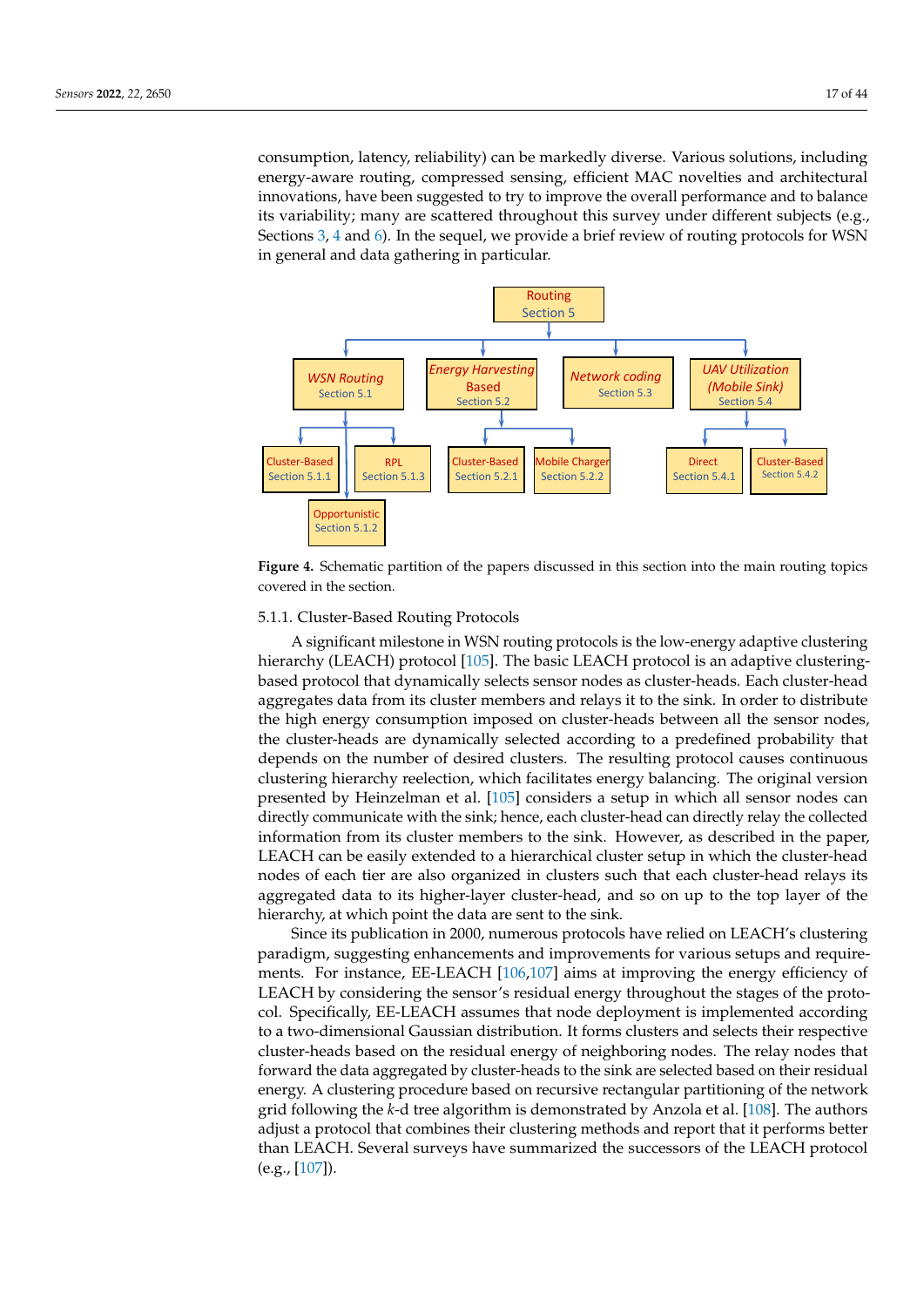consumption, latency, reliability) can be markedly diverse. Various solutions, including energy-aware routing, compressed sensing, efficient MAC novelties and architectural innovations, have been suggested to try to improve the overall performance and to balance its variability; many are scattered throughout this survey under different subjects (e.g., Sections [3,](#page-8-0) [4](#page-12-0) and [6\)](#page-28-0). In the sequel, we provide a brief review of routing protocols for WSN in general and data gathering in particular.

<span id="page-16-0"></span>

**Figure 4.** Schematic partition of the papers discussed in this section into the main routing topics covered in the section.

# 5.1.1. Cluster-Based Routing Protocols

A significant milestone in WSN routing protocols is the low-energy adaptive clustering hierarchy (LEACH) protocol [\[105\]](#page-38-11). The basic LEACH protocol is an adaptive clusteringbased protocol that dynamically selects sensor nodes as cluster-heads. Each cluster-head aggregates data from its cluster members and relays it to the sink. In order to distribute the high energy consumption imposed on cluster-heads between all the sensor nodes, the cluster-heads are dynamically selected according to a predefined probability that depends on the number of desired clusters. The resulting protocol causes continuous clustering hierarchy reelection, which facilitates energy balancing. The original version presented by Heinzelman et al. [\[105\]](#page-38-11) considers a setup in which all sensor nodes can directly communicate with the sink; hence, each cluster-head can directly relay the collected information from its cluster members to the sink. However, as described in the paper, LEACH can be easily extended to a hierarchical cluster setup in which the cluster-head nodes of each tier are also organized in clusters such that each cluster-head relays its aggregated data to its higher-layer cluster-head, and so on up to the top layer of the hierarchy, at which point the data are sent to the sink.

Since its publication in 2000, numerous protocols have relied on LEACH's clustering paradigm, suggesting enhancements and improvements for various setups and require-ments. For instance, EE-LEACH [\[106](#page-38-12)[,107\]](#page-38-13) aims at improving the energy efficiency of LEACH by considering the sensor's residual energy throughout the stages of the protocol. Specifically, EE-LEACH assumes that node deployment is implemented according to a two-dimensional Gaussian distribution. It forms clusters and selects their respective cluster-heads based on the residual energy of neighboring nodes. The relay nodes that forward the data aggregated by cluster-heads to the sink are selected based on their residual energy. A clustering procedure based on recursive rectangular partitioning of the network grid following the *k*-d tree algorithm is demonstrated by Anzola et al. [\[108\]](#page-38-14). The authors adjust a protocol that combines their clustering methods and report that it performs better than LEACH. Several surveys have summarized the successors of the LEACH protocol (e.g., [\[107\]](#page-38-13)).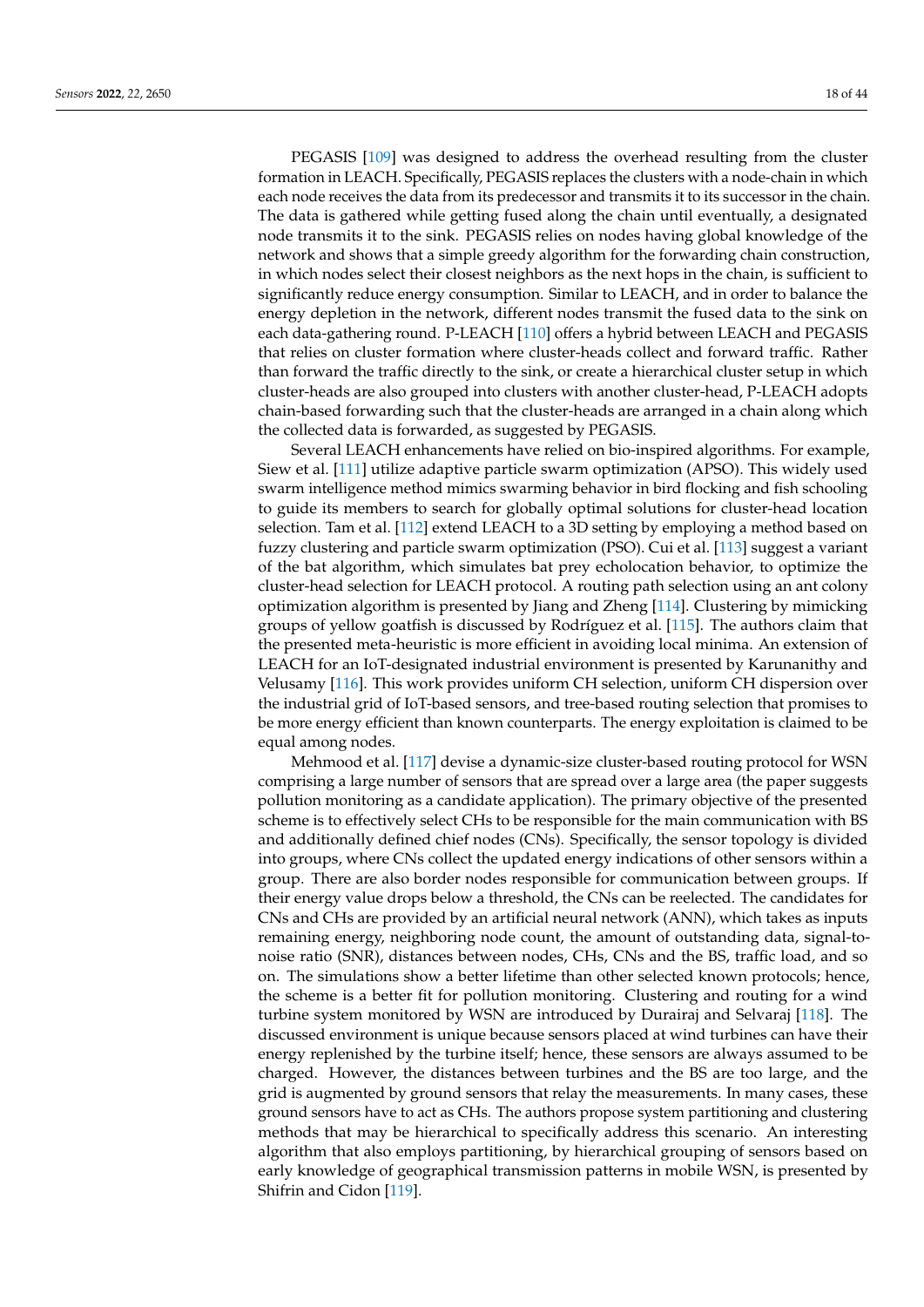PEGASIS [\[109\]](#page-38-15) was designed to address the overhead resulting from the cluster formation in LEACH. Specifically, PEGASIS replaces the clusters with a node-chain in which each node receives the data from its predecessor and transmits it to its successor in the chain. The data is gathered while getting fused along the chain until eventually, a designated node transmits it to the sink. PEGASIS relies on nodes having global knowledge of the network and shows that a simple greedy algorithm for the forwarding chain construction, in which nodes select their closest neighbors as the next hops in the chain, is sufficient to significantly reduce energy consumption. Similar to LEACH, and in order to balance the energy depletion in the network, different nodes transmit the fused data to the sink on each data-gathering round. P-LEACH [\[110\]](#page-38-16) offers a hybrid between LEACH and PEGASIS that relies on cluster formation where cluster-heads collect and forward traffic. Rather than forward the traffic directly to the sink, or create a hierarchical cluster setup in which cluster-heads are also grouped into clusters with another cluster-head, P-LEACH adopts chain-based forwarding such that the cluster-heads are arranged in a chain along which the collected data is forwarded, as suggested by PEGASIS.

Several LEACH enhancements have relied on bio-inspired algorithms. For example, Siew et al. [\[111\]](#page-38-17) utilize adaptive particle swarm optimization (APSO). This widely used swarm intelligence method mimics swarming behavior in bird flocking and fish schooling to guide its members to search for globally optimal solutions for cluster-head location selection. Tam et al. [\[112\]](#page-38-18) extend LEACH to a 3D setting by employing a method based on fuzzy clustering and particle swarm optimization (PSO). Cui et al. [\[113\]](#page-38-19) suggest a variant of the bat algorithm, which simulates bat prey echolocation behavior, to optimize the cluster-head selection for LEACH protocol. A routing path selection using an ant colony optimization algorithm is presented by Jiang and Zheng [\[114\]](#page-38-20). Clustering by mimicking groups of yellow goatfish is discussed by Rodríguez et al. [\[115\]](#page-38-21). The authors claim that the presented meta-heuristic is more efficient in avoiding local minima. An extension of LEACH for an IoT-designated industrial environment is presented by Karunanithy and Velusamy [\[116\]](#page-38-22). This work provides uniform CH selection, uniform CH dispersion over the industrial grid of IoT-based sensors, and tree-based routing selection that promises to be more energy efficient than known counterparts. The energy exploitation is claimed to be equal among nodes.

Mehmood et al. [\[117\]](#page-38-23) devise a dynamic-size cluster-based routing protocol for WSN comprising a large number of sensors that are spread over a large area (the paper suggests pollution monitoring as a candidate application). The primary objective of the presented scheme is to effectively select CHs to be responsible for the main communication with BS and additionally defined chief nodes (CNs). Specifically, the sensor topology is divided into groups, where CNs collect the updated energy indications of other sensors within a group. There are also border nodes responsible for communication between groups. If their energy value drops below a threshold, the CNs can be reelected. The candidates for CNs and CHs are provided by an artificial neural network (ANN), which takes as inputs remaining energy, neighboring node count, the amount of outstanding data, signal-tonoise ratio (SNR), distances between nodes, CHs, CNs and the BS, traffic load, and so on. The simulations show a better lifetime than other selected known protocols; hence, the scheme is a better fit for pollution monitoring. Clustering and routing for a wind turbine system monitored by WSN are introduced by Durairaj and Selvaraj [\[118\]](#page-38-24). The discussed environment is unique because sensors placed at wind turbines can have their energy replenished by the turbine itself; hence, these sensors are always assumed to be charged. However, the distances between turbines and the BS are too large, and the grid is augmented by ground sensors that relay the measurements. In many cases, these ground sensors have to act as CHs. The authors propose system partitioning and clustering methods that may be hierarchical to specifically address this scenario. An interesting algorithm that also employs partitioning, by hierarchical grouping of sensors based on early knowledge of geographical transmission patterns in mobile WSN, is presented by Shifrin and Cidon [\[119\]](#page-38-25).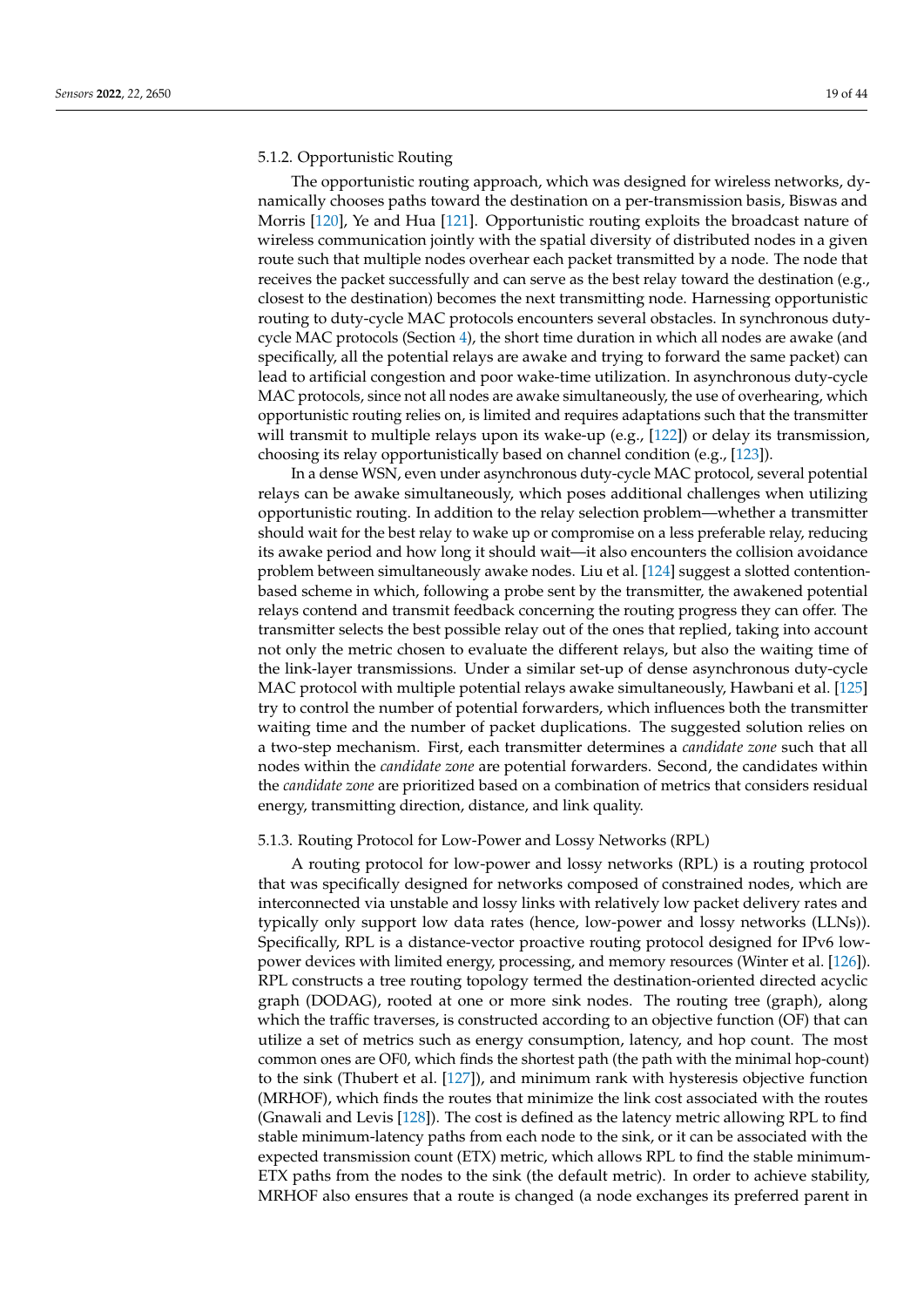## 5.1.2. Opportunistic Routing

The opportunistic routing approach, which was designed for wireless networks, dynamically chooses paths toward the destination on a per-transmission basis, Biswas and Morris [\[120\]](#page-39-0), Ye and Hua [\[121\]](#page-39-1). Opportunistic routing exploits the broadcast nature of wireless communication jointly with the spatial diversity of distributed nodes in a given route such that multiple nodes overhear each packet transmitted by a node. The node that receives the packet successfully and can serve as the best relay toward the destination (e.g., closest to the destination) becomes the next transmitting node. Harnessing opportunistic routing to duty-cycle MAC protocols encounters several obstacles. In synchronous dutycycle MAC protocols (Section [4\)](#page-12-0), the short time duration in which all nodes are awake (and specifically, all the potential relays are awake and trying to forward the same packet) can lead to artificial congestion and poor wake-time utilization. In asynchronous duty-cycle MAC protocols, since not all nodes are awake simultaneously, the use of overhearing, which opportunistic routing relies on, is limited and requires adaptations such that the transmitter will transmit to multiple relays upon its wake-up (e.g., [\[122\]](#page-39-2)) or delay its transmission, choosing its relay opportunistically based on channel condition (e.g., [\[123\]](#page-39-3)).

In a dense WSN, even under asynchronous duty-cycle MAC protocol, several potential relays can be awake simultaneously, which poses additional challenges when utilizing opportunistic routing. In addition to the relay selection problem—whether a transmitter should wait for the best relay to wake up or compromise on a less preferable relay, reducing its awake period and how long it should wait—it also encounters the collision avoidance problem between simultaneously awake nodes. Liu et al. [\[124\]](#page-39-4) suggest a slotted contentionbased scheme in which, following a probe sent by the transmitter, the awakened potential relays contend and transmit feedback concerning the routing progress they can offer. The transmitter selects the best possible relay out of the ones that replied, taking into account not only the metric chosen to evaluate the different relays, but also the waiting time of the link-layer transmissions. Under a similar set-up of dense asynchronous duty-cycle MAC protocol with multiple potential relays awake simultaneously, Hawbani et al. [\[125\]](#page-39-5) try to control the number of potential forwarders, which influences both the transmitter waiting time and the number of packet duplications. The suggested solution relies on a two-step mechanism. First, each transmitter determines a *candidate zone* such that all nodes within the *candidate zone* are potential forwarders. Second, the candidates within the *candidate zone* are prioritized based on a combination of metrics that considers residual energy, transmitting direction, distance, and link quality.

### 5.1.3. Routing Protocol for Low-Power and Lossy Networks (RPL)

A routing protocol for low-power and lossy networks (RPL) is a routing protocol that was specifically designed for networks composed of constrained nodes, which are interconnected via unstable and lossy links with relatively low packet delivery rates and typically only support low data rates (hence, low-power and lossy networks (LLNs)). Specifically, RPL is a distance-vector proactive routing protocol designed for IPv6 lowpower devices with limited energy, processing, and memory resources (Winter et al. [\[126\]](#page-39-6)). RPL constructs a tree routing topology termed the destination-oriented directed acyclic graph (DODAG), rooted at one or more sink nodes. The routing tree (graph), along which the traffic traverses, is constructed according to an objective function (OF) that can utilize a set of metrics such as energy consumption, latency, and hop count. The most common ones are OF0, which finds the shortest path (the path with the minimal hop-count) to the sink (Thubert et al. [\[127\]](#page-39-7)), and minimum rank with hysteresis objective function (MRHOF), which finds the routes that minimize the link cost associated with the routes (Gnawali and Levis [\[128\]](#page-39-8)). The cost is defined as the latency metric allowing RPL to find stable minimum-latency paths from each node to the sink, or it can be associated with the expected transmission count (ETX) metric, which allows RPL to find the stable minimum-ETX paths from the nodes to the sink (the default metric). In order to achieve stability, MRHOF also ensures that a route is changed (a node exchanges its preferred parent in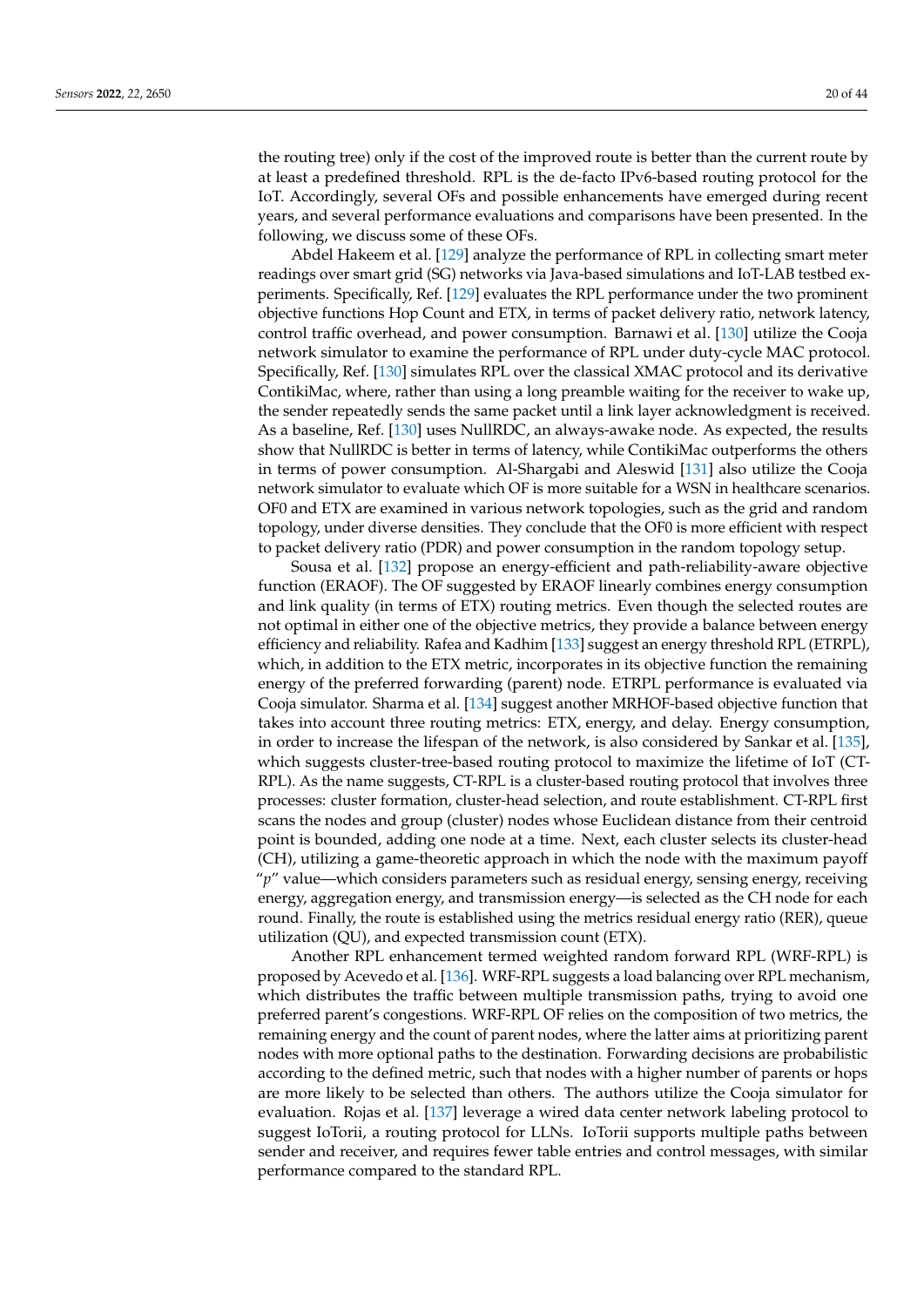the routing tree) only if the cost of the improved route is better than the current route by at least a predefined threshold. RPL is the de-facto IPv6-based routing protocol for the IoT. Accordingly, several OFs and possible enhancements have emerged during recent years, and several performance evaluations and comparisons have been presented. In the following, we discuss some of these OFs.

Abdel Hakeem et al. [\[129\]](#page-39-9) analyze the performance of RPL in collecting smart meter readings over smart grid (SG) networks via Java-based simulations and IoT-LAB testbed experiments. Specifically, Ref. [\[129\]](#page-39-9) evaluates the RPL performance under the two prominent objective functions Hop Count and ETX, in terms of packet delivery ratio, network latency, control traffic overhead, and power consumption. Barnawi et al. [\[130\]](#page-39-10) utilize the Cooja network simulator to examine the performance of RPL under duty-cycle MAC protocol. Specifically, Ref. [\[130\]](#page-39-10) simulates RPL over the classical XMAC protocol and its derivative ContikiMac, where, rather than using a long preamble waiting for the receiver to wake up, the sender repeatedly sends the same packet until a link layer acknowledgment is received. As a baseline, Ref. [\[130\]](#page-39-10) uses NullRDC, an always-awake node. As expected, the results show that NullRDC is better in terms of latency, while ContikiMac outperforms the others in terms of power consumption. Al-Shargabi and Aleswid [\[131\]](#page-39-11) also utilize the Cooja network simulator to evaluate which OF is more suitable for a WSN in healthcare scenarios. OF0 and ETX are examined in various network topologies, such as the grid and random topology, under diverse densities. They conclude that the OF0 is more efficient with respect to packet delivery ratio (PDR) and power consumption in the random topology setup.

Sousa et al. [\[132\]](#page-39-12) propose an energy-efficient and path-reliability-aware objective function (ERAOF). The OF suggested by ERAOF linearly combines energy consumption and link quality (in terms of ETX) routing metrics. Even though the selected routes are not optimal in either one of the objective metrics, they provide a balance between energy efficiency and reliability. Rafea and Kadhim [\[133\]](#page-39-13) suggest an energy threshold RPL (ETRPL), which, in addition to the ETX metric, incorporates in its objective function the remaining energy of the preferred forwarding (parent) node. ETRPL performance is evaluated via Cooja simulator. Sharma et al. [\[134\]](#page-39-14) suggest another MRHOF-based objective function that takes into account three routing metrics: ETX, energy, and delay. Energy consumption, in order to increase the lifespan of the network, is also considered by Sankar et al. [\[135\]](#page-39-15), which suggests cluster-tree-based routing protocol to maximize the lifetime of IoT (CT-RPL). As the name suggests, CT-RPL is a cluster-based routing protocol that involves three processes: cluster formation, cluster-head selection, and route establishment. CT-RPL first scans the nodes and group (cluster) nodes whose Euclidean distance from their centroid point is bounded, adding one node at a time. Next, each cluster selects its cluster-head (CH), utilizing a game-theoretic approach in which the node with the maximum payoff "*p*" value—which considers parameters such as residual energy, sensing energy, receiving energy, aggregation energy, and transmission energy—is selected as the CH node for each round. Finally, the route is established using the metrics residual energy ratio (RER), queue utilization (QU), and expected transmission count (ETX).

Another RPL enhancement termed weighted random forward RPL (WRF-RPL) is proposed by Acevedo et al. [\[136\]](#page-39-16). WRF-RPL suggests a load balancing over RPL mechanism, which distributes the traffic between multiple transmission paths, trying to avoid one preferred parent's congestions. WRF-RPL OF relies on the composition of two metrics, the remaining energy and the count of parent nodes, where the latter aims at prioritizing parent nodes with more optional paths to the destination. Forwarding decisions are probabilistic according to the defined metric, such that nodes with a higher number of parents or hops are more likely to be selected than others. The authors utilize the Cooja simulator for evaluation. Rojas et al. [\[137\]](#page-39-17) leverage a wired data center network labeling protocol to suggest IoTorii, a routing protocol for LLNs. IoTorii supports multiple paths between sender and receiver, and requires fewer table entries and control messages, with similar performance compared to the standard RPL.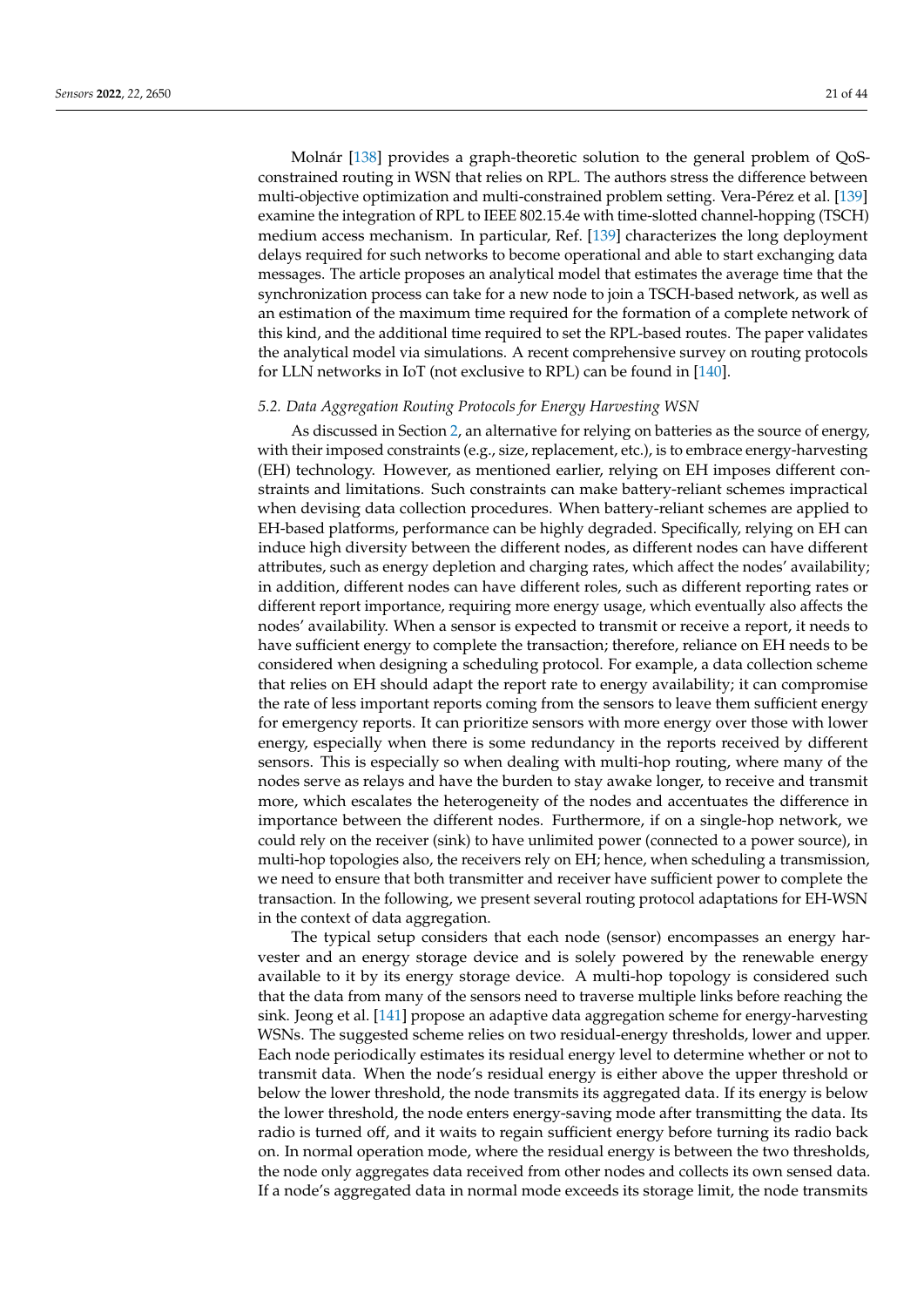Molnár [\[138\]](#page-39-18) provides a graph-theoretic solution to the general problem of QoSconstrained routing in WSN that relies on RPL. The authors stress the difference between multi-objective optimization and multi-constrained problem setting. Vera-Pérez et al. [\[139\]](#page-39-19) examine the integration of RPL to IEEE 802.15.4e with time-slotted channel-hopping (TSCH) medium access mechanism. In particular, Ref. [\[139\]](#page-39-19) characterizes the long deployment delays required for such networks to become operational and able to start exchanging data messages. The article proposes an analytical model that estimates the average time that the synchronization process can take for a new node to join a TSCH-based network, as well as an estimation of the maximum time required for the formation of a complete network of this kind, and the additional time required to set the RPL-based routes. The paper validates the analytical model via simulations. A recent comprehensive survey on routing protocols for LLN networks in IoT (not exclusive to RPL) can be found in [\[140\]](#page-39-20).

#### <span id="page-20-0"></span>*5.2. Data Aggregation Routing Protocols for Energy Harvesting WSN*

As discussed in Section [2,](#page-3-0) an alternative for relying on batteries as the source of energy, with their imposed constraints (e.g., size, replacement, etc.), is to embrace energy-harvesting (EH) technology. However, as mentioned earlier, relying on EH imposes different constraints and limitations. Such constraints can make battery-reliant schemes impractical when devising data collection procedures. When battery-reliant schemes are applied to EH-based platforms, performance can be highly degraded. Specifically, relying on EH can induce high diversity between the different nodes, as different nodes can have different attributes, such as energy depletion and charging rates, which affect the nodes' availability; in addition, different nodes can have different roles, such as different reporting rates or different report importance, requiring more energy usage, which eventually also affects the nodes' availability. When a sensor is expected to transmit or receive a report, it needs to have sufficient energy to complete the transaction; therefore, reliance on EH needs to be considered when designing a scheduling protocol. For example, a data collection scheme that relies on EH should adapt the report rate to energy availability; it can compromise the rate of less important reports coming from the sensors to leave them sufficient energy for emergency reports. It can prioritize sensors with more energy over those with lower energy, especially when there is some redundancy in the reports received by different sensors. This is especially so when dealing with multi-hop routing, where many of the nodes serve as relays and have the burden to stay awake longer, to receive and transmit more, which escalates the heterogeneity of the nodes and accentuates the difference in importance between the different nodes. Furthermore, if on a single-hop network, we could rely on the receiver (sink) to have unlimited power (connected to a power source), in multi-hop topologies also, the receivers rely on EH; hence, when scheduling a transmission, we need to ensure that both transmitter and receiver have sufficient power to complete the transaction. In the following, we present several routing protocol adaptations for EH-WSN in the context of data aggregation.

The typical setup considers that each node (sensor) encompasses an energy harvester and an energy storage device and is solely powered by the renewable energy available to it by its energy storage device. A multi-hop topology is considered such that the data from many of the sensors need to traverse multiple links before reaching the sink. Jeong et al. [\[141\]](#page-39-21) propose an adaptive data aggregation scheme for energy-harvesting WSNs. The suggested scheme relies on two residual-energy thresholds, lower and upper. Each node periodically estimates its residual energy level to determine whether or not to transmit data. When the node's residual energy is either above the upper threshold or below the lower threshold, the node transmits its aggregated data. If its energy is below the lower threshold, the node enters energy-saving mode after transmitting the data. Its radio is turned off, and it waits to regain sufficient energy before turning its radio back on. In normal operation mode, where the residual energy is between the two thresholds, the node only aggregates data received from other nodes and collects its own sensed data. If a node's aggregated data in normal mode exceeds its storage limit, the node transmits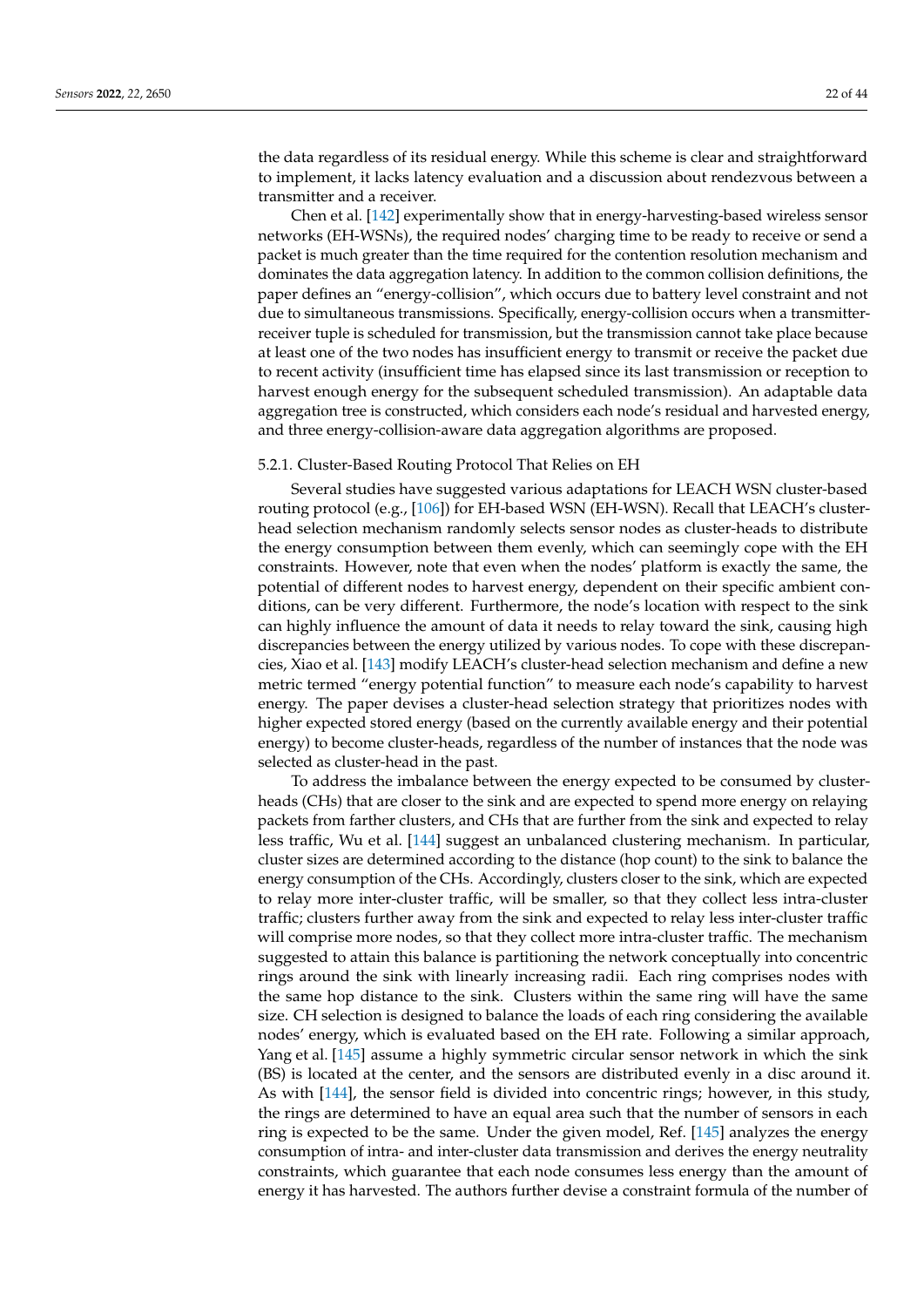the data regardless of its residual energy. While this scheme is clear and straightforward to implement, it lacks latency evaluation and a discussion about rendezvous between a transmitter and a receiver.

Chen et al. [\[142\]](#page-39-22) experimentally show that in energy-harvesting-based wireless sensor networks (EH-WSNs), the required nodes' charging time to be ready to receive or send a packet is much greater than the time required for the contention resolution mechanism and dominates the data aggregation latency. In addition to the common collision definitions, the paper defines an "energy-collision", which occurs due to battery level constraint and not due to simultaneous transmissions. Specifically, energy-collision occurs when a transmitterreceiver tuple is scheduled for transmission, but the transmission cannot take place because at least one of the two nodes has insufficient energy to transmit or receive the packet due to recent activity (insufficient time has elapsed since its last transmission or reception to harvest enough energy for the subsequent scheduled transmission). An adaptable data aggregation tree is constructed, which considers each node's residual and harvested energy, and three energy-collision-aware data aggregation algorithms are proposed.

## 5.2.1. Cluster-Based Routing Protocol That Relies on EH

Several studies have suggested various adaptations for LEACH WSN cluster-based routing protocol (e.g., [\[106\]](#page-38-12)) for EH-based WSN (EH-WSN). Recall that LEACH's clusterhead selection mechanism randomly selects sensor nodes as cluster-heads to distribute the energy consumption between them evenly, which can seemingly cope with the EH constraints. However, note that even when the nodes' platform is exactly the same, the potential of different nodes to harvest energy, dependent on their specific ambient conditions, can be very different. Furthermore, the node's location with respect to the sink can highly influence the amount of data it needs to relay toward the sink, causing high discrepancies between the energy utilized by various nodes. To cope with these discrepancies, Xiao et al. [\[143\]](#page-39-23) modify LEACH's cluster-head selection mechanism and define a new metric termed "energy potential function" to measure each node's capability to harvest energy. The paper devises a cluster-head selection strategy that prioritizes nodes with higher expected stored energy (based on the currently available energy and their potential energy) to become cluster-heads, regardless of the number of instances that the node was selected as cluster-head in the past.

To address the imbalance between the energy expected to be consumed by clusterheads (CHs) that are closer to the sink and are expected to spend more energy on relaying packets from farther clusters, and CHs that are further from the sink and expected to relay less traffic, Wu et al. [\[144\]](#page-39-24) suggest an unbalanced clustering mechanism. In particular, cluster sizes are determined according to the distance (hop count) to the sink to balance the energy consumption of the CHs. Accordingly, clusters closer to the sink, which are expected to relay more inter-cluster traffic, will be smaller, so that they collect less intra-cluster traffic; clusters further away from the sink and expected to relay less inter-cluster traffic will comprise more nodes, so that they collect more intra-cluster traffic. The mechanism suggested to attain this balance is partitioning the network conceptually into concentric rings around the sink with linearly increasing radii. Each ring comprises nodes with the same hop distance to the sink. Clusters within the same ring will have the same size. CH selection is designed to balance the loads of each ring considering the available nodes' energy, which is evaluated based on the EH rate. Following a similar approach, Yang et al. [\[145\]](#page-39-25) assume a highly symmetric circular sensor network in which the sink (BS) is located at the center, and the sensors are distributed evenly in a disc around it. As with [\[144\]](#page-39-24), the sensor field is divided into concentric rings; however, in this study, the rings are determined to have an equal area such that the number of sensors in each ring is expected to be the same. Under the given model, Ref. [\[145\]](#page-39-25) analyzes the energy consumption of intra- and inter-cluster data transmission and derives the energy neutrality constraints, which guarantee that each node consumes less energy than the amount of energy it has harvested. The authors further devise a constraint formula of the number of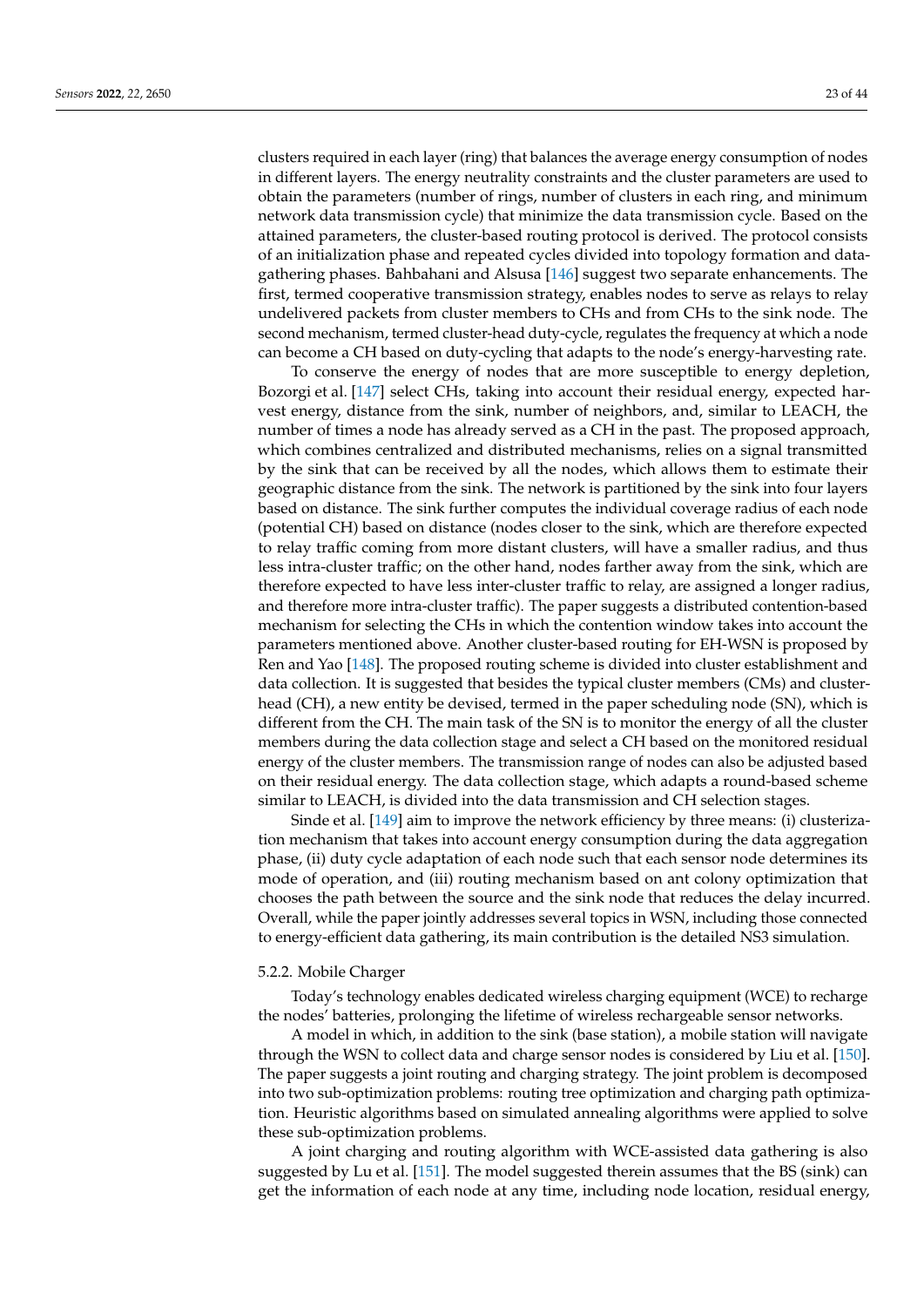clusters required in each layer (ring) that balances the average energy consumption of nodes in different layers. The energy neutrality constraints and the cluster parameters are used to obtain the parameters (number of rings, number of clusters in each ring, and minimum network data transmission cycle) that minimize the data transmission cycle. Based on the attained parameters, the cluster-based routing protocol is derived. The protocol consists of an initialization phase and repeated cycles divided into topology formation and datagathering phases. Bahbahani and Alsusa [\[146\]](#page-40-0) suggest two separate enhancements. The first, termed cooperative transmission strategy, enables nodes to serve as relays to relay undelivered packets from cluster members to CHs and from CHs to the sink node. The second mechanism, termed cluster-head duty-cycle, regulates the frequency at which a node can become a CH based on duty-cycling that adapts to the node's energy-harvesting rate.

To conserve the energy of nodes that are more susceptible to energy depletion, Bozorgi et al. [\[147\]](#page-40-1) select CHs, taking into account their residual energy, expected harvest energy, distance from the sink, number of neighbors, and, similar to LEACH, the number of times a node has already served as a CH in the past. The proposed approach, which combines centralized and distributed mechanisms, relies on a signal transmitted by the sink that can be received by all the nodes, which allows them to estimate their geographic distance from the sink. The network is partitioned by the sink into four layers based on distance. The sink further computes the individual coverage radius of each node (potential CH) based on distance (nodes closer to the sink, which are therefore expected to relay traffic coming from more distant clusters, will have a smaller radius, and thus less intra-cluster traffic; on the other hand, nodes farther away from the sink, which are therefore expected to have less inter-cluster traffic to relay, are assigned a longer radius, and therefore more intra-cluster traffic). The paper suggests a distributed contention-based mechanism for selecting the CHs in which the contention window takes into account the parameters mentioned above. Another cluster-based routing for EH-WSN is proposed by Ren and Yao [\[148\]](#page-40-2). The proposed routing scheme is divided into cluster establishment and data collection. It is suggested that besides the typical cluster members (CMs) and clusterhead (CH), a new entity be devised, termed in the paper scheduling node (SN), which is different from the CH. The main task of the SN is to monitor the energy of all the cluster members during the data collection stage and select a CH based on the monitored residual energy of the cluster members. The transmission range of nodes can also be adjusted based on their residual energy. The data collection stage, which adapts a round-based scheme similar to LEACH, is divided into the data transmission and CH selection stages.

Sinde et al. [\[149\]](#page-40-3) aim to improve the network efficiency by three means: (i) clusterization mechanism that takes into account energy consumption during the data aggregation phase, (ii) duty cycle adaptation of each node such that each sensor node determines its mode of operation, and (iii) routing mechanism based on ant colony optimization that chooses the path between the source and the sink node that reduces the delay incurred. Overall, while the paper jointly addresses several topics in WSN, including those connected to energy-efficient data gathering, its main contribution is the detailed NS3 simulation.

### 5.2.2. Mobile Charger

Today's technology enables dedicated wireless charging equipment (WCE) to recharge the nodes' batteries, prolonging the lifetime of wireless rechargeable sensor networks.

A model in which, in addition to the sink (base station), a mobile station will navigate through the WSN to collect data and charge sensor nodes is considered by Liu et al. [\[150\]](#page-40-4). The paper suggests a joint routing and charging strategy. The joint problem is decomposed into two sub-optimization problems: routing tree optimization and charging path optimization. Heuristic algorithms based on simulated annealing algorithms were applied to solve these sub-optimization problems.

A joint charging and routing algorithm with WCE-assisted data gathering is also suggested by Lu et al. [\[151\]](#page-40-5). The model suggested therein assumes that the BS (sink) can get the information of each node at any time, including node location, residual energy,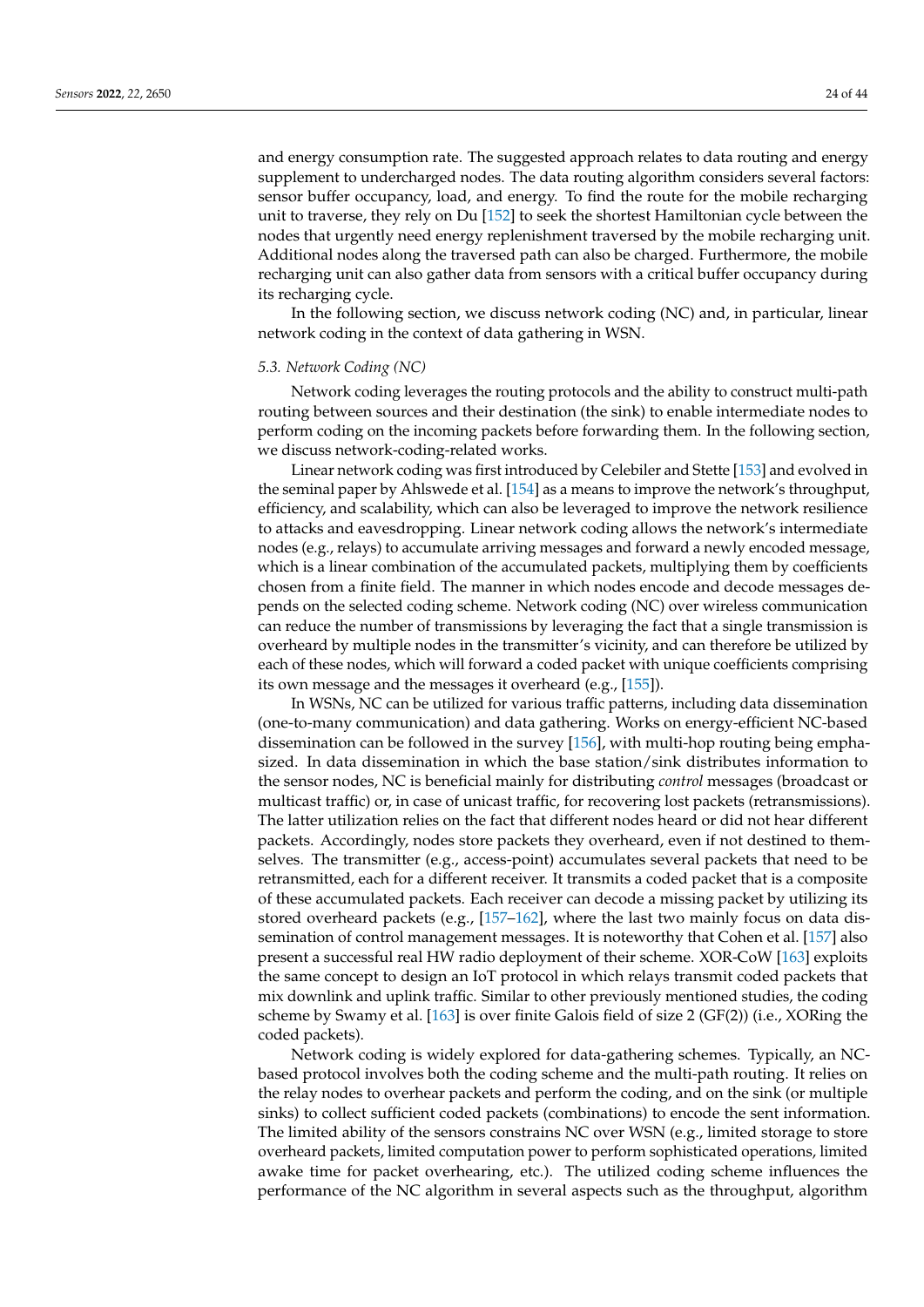and energy consumption rate. The suggested approach relates to data routing and energy supplement to undercharged nodes. The data routing algorithm considers several factors: sensor buffer occupancy, load, and energy. To find the route for the mobile recharging unit to traverse, they rely on Du [\[152\]](#page-40-6) to seek the shortest Hamiltonian cycle between the nodes that urgently need energy replenishment traversed by the mobile recharging unit. Additional nodes along the traversed path can also be charged. Furthermore, the mobile recharging unit can also gather data from sensors with a critical buffer occupancy during its recharging cycle.

In the following section, we discuss network coding (NC) and, in particular, linear network coding in the context of data gathering in WSN.

### *5.3. Network Coding (NC)*

Network coding leverages the routing protocols and the ability to construct multi-path routing between sources and their destination (the sink) to enable intermediate nodes to perform coding on the incoming packets before forwarding them. In the following section, we discuss network-coding-related works.

Linear network coding was first introduced by Celebiler and Stette [\[153\]](#page-40-7) and evolved in the seminal paper by Ahlswede et al. [\[154\]](#page-40-8) as a means to improve the network's throughput, efficiency, and scalability, which can also be leveraged to improve the network resilience to attacks and eavesdropping. Linear network coding allows the network's intermediate nodes (e.g., relays) to accumulate arriving messages and forward a newly encoded message, which is a linear combination of the accumulated packets, multiplying them by coefficients chosen from a finite field. The manner in which nodes encode and decode messages depends on the selected coding scheme. Network coding (NC) over wireless communication can reduce the number of transmissions by leveraging the fact that a single transmission is overheard by multiple nodes in the transmitter's vicinity, and can therefore be utilized by each of these nodes, which will forward a coded packet with unique coefficients comprising its own message and the messages it overheard (e.g., [\[155\]](#page-40-9)).

In WSNs, NC can be utilized for various traffic patterns, including data dissemination (one-to-many communication) and data gathering. Works on energy-efficient NC-based dissemination can be followed in the survey [\[156\]](#page-40-10), with multi-hop routing being emphasized. In data dissemination in which the base station/sink distributes information to the sensor nodes, NC is beneficial mainly for distributing *control* messages (broadcast or multicast traffic) or, in case of unicast traffic, for recovering lost packets (retransmissions). The latter utilization relies on the fact that different nodes heard or did not hear different packets. Accordingly, nodes store packets they overheard, even if not destined to themselves. The transmitter (e.g., access-point) accumulates several packets that need to be retransmitted, each for a different receiver. It transmits a coded packet that is a composite of these accumulated packets. Each receiver can decode a missing packet by utilizing its stored overheard packets (e.g.,  $[157-162]$  $[157-162]$ , where the last two mainly focus on data dissemination of control management messages. It is noteworthy that Cohen et al. [\[157\]](#page-40-11) also present a successful real HW radio deployment of their scheme. XOR-CoW [\[163\]](#page-40-13) exploits the same concept to design an IoT protocol in which relays transmit coded packets that mix downlink and uplink traffic. Similar to other previously mentioned studies, the coding scheme by Swamy et al. [\[163\]](#page-40-13) is over finite Galois field of size 2 (GF(2)) (i.e., XORing the coded packets).

Network coding is widely explored for data-gathering schemes. Typically, an NCbased protocol involves both the coding scheme and the multi-path routing. It relies on the relay nodes to overhear packets and perform the coding, and on the sink (or multiple sinks) to collect sufficient coded packets (combinations) to encode the sent information. The limited ability of the sensors constrains NC over WSN (e.g., limited storage to store overheard packets, limited computation power to perform sophisticated operations, limited awake time for packet overhearing, etc.). The utilized coding scheme influences the performance of the NC algorithm in several aspects such as the throughput, algorithm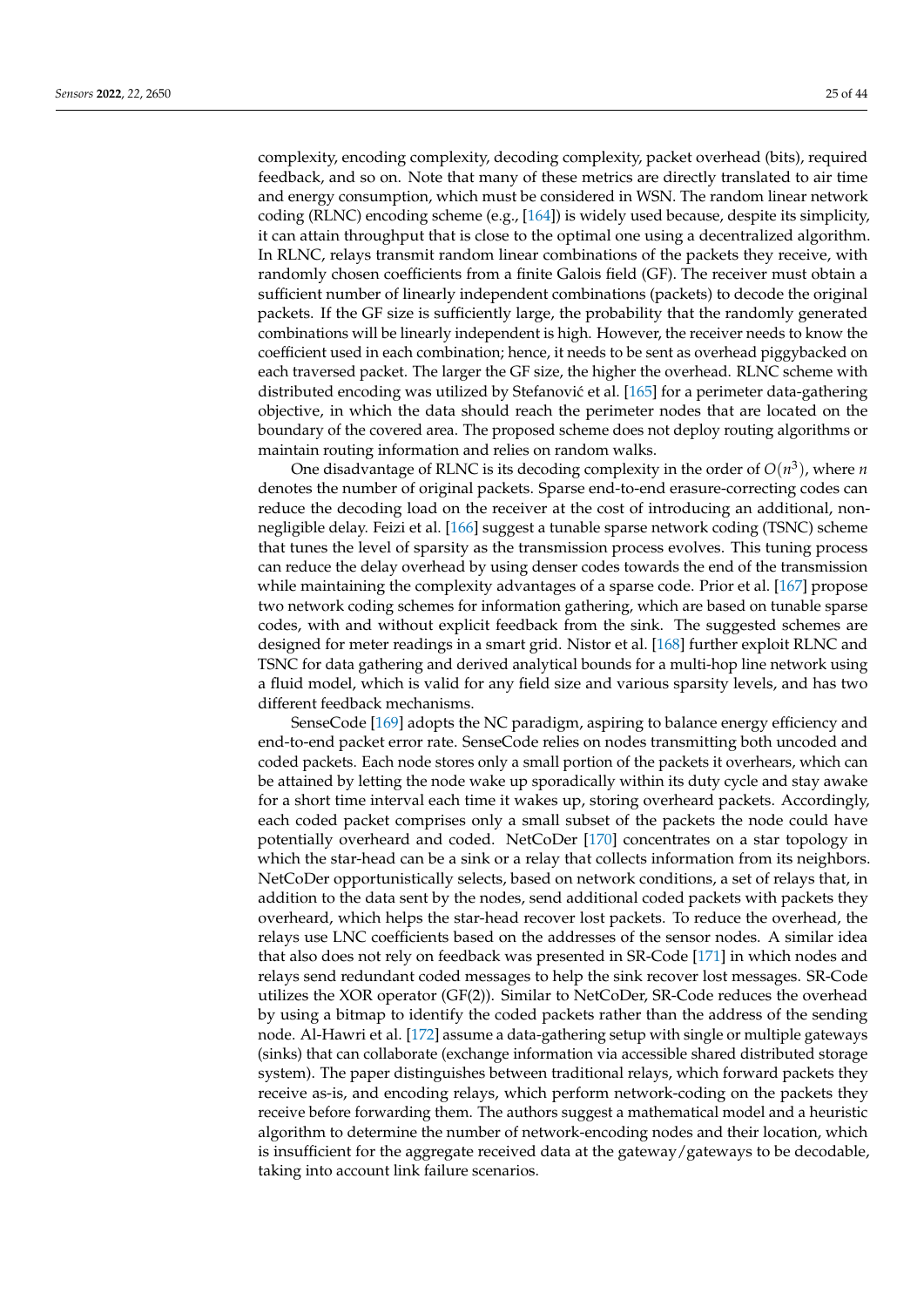complexity, encoding complexity, decoding complexity, packet overhead (bits), required feedback, and so on. Note that many of these metrics are directly translated to air time and energy consumption, which must be considered in WSN. The random linear network coding (RLNC) encoding scheme (e.g., [\[164\]](#page-40-14)) is widely used because, despite its simplicity, it can attain throughput that is close to the optimal one using a decentralized algorithm. In RLNC, relays transmit random linear combinations of the packets they receive, with randomly chosen coefficients from a finite Galois field (GF). The receiver must obtain a sufficient number of linearly independent combinations (packets) to decode the original packets. If the GF size is sufficiently large, the probability that the randomly generated combinations will be linearly independent is high. However, the receiver needs to know the coefficient used in each combination; hence, it needs to be sent as overhead piggybacked on each traversed packet. The larger the GF size, the higher the overhead. RLNC scheme with distributed encoding was utilized by Stefanović et al. [\[165\]](#page-40-15) for a perimeter data-gathering objective, in which the data should reach the perimeter nodes that are located on the boundary of the covered area. The proposed scheme does not deploy routing algorithms or maintain routing information and relies on random walks.

One disadvantage of RLNC is its decoding complexity in the order of  $O(n^3)$ , where *n* denotes the number of original packets. Sparse end-to-end erasure-correcting codes can reduce the decoding load on the receiver at the cost of introducing an additional, nonnegligible delay. Feizi et al. [\[166\]](#page-40-16) suggest a tunable sparse network coding (TSNC) scheme that tunes the level of sparsity as the transmission process evolves. This tuning process can reduce the delay overhead by using denser codes towards the end of the transmission while maintaining the complexity advantages of a sparse code. Prior et al. [\[167\]](#page-40-17) propose two network coding schemes for information gathering, which are based on tunable sparse codes, with and without explicit feedback from the sink. The suggested schemes are designed for meter readings in a smart grid. Nistor et al. [\[168\]](#page-40-18) further exploit RLNC and TSNC for data gathering and derived analytical bounds for a multi-hop line network using a fluid model, which is valid for any field size and various sparsity levels, and has two different feedback mechanisms.

SenseCode [\[169\]](#page-40-19) adopts the NC paradigm, aspiring to balance energy efficiency and end-to-end packet error rate. SenseCode relies on nodes transmitting both uncoded and coded packets. Each node stores only a small portion of the packets it overhears, which can be attained by letting the node wake up sporadically within its duty cycle and stay awake for a short time interval each time it wakes up, storing overheard packets. Accordingly, each coded packet comprises only a small subset of the packets the node could have potentially overheard and coded. NetCoDer [\[170\]](#page-40-20) concentrates on a star topology in which the star-head can be a sink or a relay that collects information from its neighbors. NetCoDer opportunistically selects, based on network conditions, a set of relays that, in addition to the data sent by the nodes, send additional coded packets with packets they overheard, which helps the star-head recover lost packets. To reduce the overhead, the relays use LNC coefficients based on the addresses of the sensor nodes. A similar idea that also does not rely on feedback was presented in SR-Code [\[171\]](#page-40-21) in which nodes and relays send redundant coded messages to help the sink recover lost messages. SR-Code utilizes the XOR operator (GF(2)). Similar to NetCoDer, SR-Code reduces the overhead by using a bitmap to identify the coded packets rather than the address of the sending node. Al-Hawri et al. [\[172\]](#page-40-22) assume a data-gathering setup with single or multiple gateways (sinks) that can collaborate (exchange information via accessible shared distributed storage system). The paper distinguishes between traditional relays, which forward packets they receive as-is, and encoding relays, which perform network-coding on the packets they receive before forwarding them. The authors suggest a mathematical model and a heuristic algorithm to determine the number of network-encoding nodes and their location, which is insufficient for the aggregate received data at the gateway/gateways to be decodable, taking into account link failure scenarios.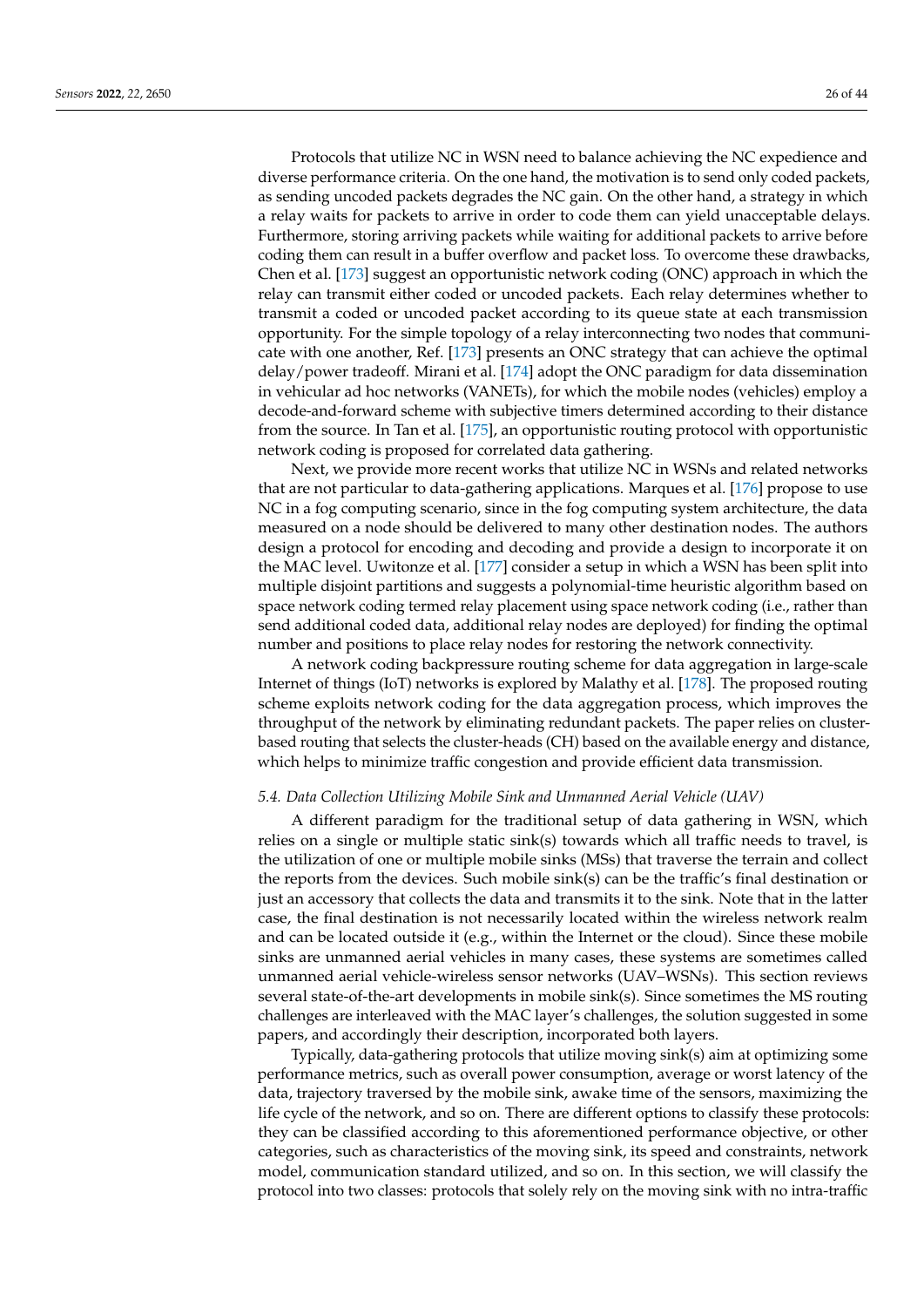Protocols that utilize NC in WSN need to balance achieving the NC expedience and diverse performance criteria. On the one hand, the motivation is to send only coded packets, as sending uncoded packets degrades the NC gain. On the other hand, a strategy in which a relay waits for packets to arrive in order to code them can yield unacceptable delays. Furthermore, storing arriving packets while waiting for additional packets to arrive before coding them can result in a buffer overflow and packet loss. To overcome these drawbacks, Chen et al. [\[173\]](#page-40-23) suggest an opportunistic network coding (ONC) approach in which the relay can transmit either coded or uncoded packets. Each relay determines whether to transmit a coded or uncoded packet according to its queue state at each transmission opportunity. For the simple topology of a relay interconnecting two nodes that communicate with one another, Ref. [\[173\]](#page-40-23) presents an ONC strategy that can achieve the optimal delay/power tradeoff. Mirani et al. [\[174\]](#page-41-0) adopt the ONC paradigm for data dissemination in vehicular ad hoc networks (VANETs), for which the mobile nodes (vehicles) employ a decode-and-forward scheme with subjective timers determined according to their distance from the source. In Tan et al. [\[175\]](#page-41-1), an opportunistic routing protocol with opportunistic network coding is proposed for correlated data gathering.

Next, we provide more recent works that utilize NC in WSNs and related networks that are not particular to data-gathering applications. Marques et al. [\[176\]](#page-41-2) propose to use NC in a fog computing scenario, since in the fog computing system architecture, the data measured on a node should be delivered to many other destination nodes. The authors design a protocol for encoding and decoding and provide a design to incorporate it on the MAC level. Uwitonze et al. [\[177\]](#page-41-3) consider a setup in which a WSN has been split into multiple disjoint partitions and suggests a polynomial-time heuristic algorithm based on space network coding termed relay placement using space network coding (i.e., rather than send additional coded data, additional relay nodes are deployed) for finding the optimal number and positions to place relay nodes for restoring the network connectivity.

A network coding backpressure routing scheme for data aggregation in large-scale Internet of things (IoT) networks is explored by Malathy et al. [\[178\]](#page-41-4). The proposed routing scheme exploits network coding for the data aggregation process, which improves the throughput of the network by eliminating redundant packets. The paper relies on clusterbased routing that selects the cluster-heads (CH) based on the available energy and distance, which helps to minimize traffic congestion and provide efficient data transmission.

#### <span id="page-25-0"></span>*5.4. Data Collection Utilizing Mobile Sink and Unmanned Aerial Vehicle (UAV)*

A different paradigm for the traditional setup of data gathering in WSN, which relies on a single or multiple static sink(s) towards which all traffic needs to travel, is the utilization of one or multiple mobile sinks (MSs) that traverse the terrain and collect the reports from the devices. Such mobile sink(s) can be the traffic's final destination or just an accessory that collects the data and transmits it to the sink. Note that in the latter case, the final destination is not necessarily located within the wireless network realm and can be located outside it (e.g., within the Internet or the cloud). Since these mobile sinks are unmanned aerial vehicles in many cases, these systems are sometimes called unmanned aerial vehicle-wireless sensor networks (UAV–WSNs). This section reviews several state-of-the-art developments in mobile sink(s). Since sometimes the MS routing challenges are interleaved with the MAC layer's challenges, the solution suggested in some papers, and accordingly their description, incorporated both layers.

Typically, data-gathering protocols that utilize moving sink(s) aim at optimizing some performance metrics, such as overall power consumption, average or worst latency of the data, trajectory traversed by the mobile sink, awake time of the sensors, maximizing the life cycle of the network, and so on. There are different options to classify these protocols: they can be classified according to this aforementioned performance objective, or other categories, such as characteristics of the moving sink, its speed and constraints, network model, communication standard utilized, and so on. In this section, we will classify the protocol into two classes: protocols that solely rely on the moving sink with no intra-traffic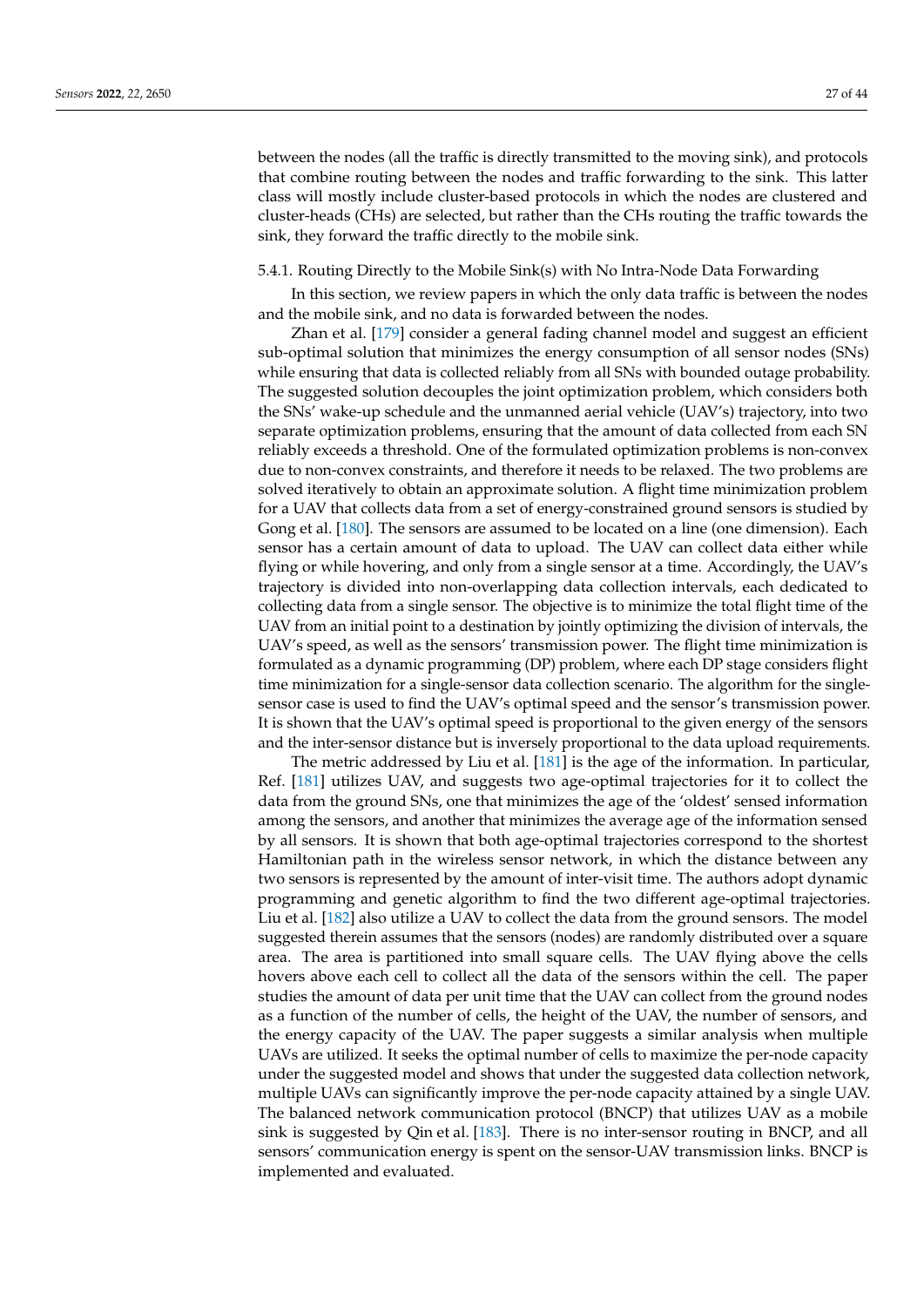between the nodes (all the traffic is directly transmitted to the moving sink), and protocols that combine routing between the nodes and traffic forwarding to the sink. This latter class will mostly include cluster-based protocols in which the nodes are clustered and cluster-heads (CHs) are selected, but rather than the CHs routing the traffic towards the sink, they forward the traffic directly to the mobile sink.

### 5.4.1. Routing Directly to the Mobile Sink(s) with No Intra-Node Data Forwarding

In this section, we review papers in which the only data traffic is between the nodes and the mobile sink, and no data is forwarded between the nodes.

Zhan et al. [\[179\]](#page-41-5) consider a general fading channel model and suggest an efficient sub-optimal solution that minimizes the energy consumption of all sensor nodes (SNs) while ensuring that data is collected reliably from all SNs with bounded outage probability. The suggested solution decouples the joint optimization problem, which considers both the SNs' wake-up schedule and the unmanned aerial vehicle (UAV's) trajectory, into two separate optimization problems, ensuring that the amount of data collected from each SN reliably exceeds a threshold. One of the formulated optimization problems is non-convex due to non-convex constraints, and therefore it needs to be relaxed. The two problems are solved iteratively to obtain an approximate solution. A flight time minimization problem for a UAV that collects data from a set of energy-constrained ground sensors is studied by Gong et al. [\[180\]](#page-41-6). The sensors are assumed to be located on a line (one dimension). Each sensor has a certain amount of data to upload. The UAV can collect data either while flying or while hovering, and only from a single sensor at a time. Accordingly, the UAV's trajectory is divided into non-overlapping data collection intervals, each dedicated to collecting data from a single sensor. The objective is to minimize the total flight time of the UAV from an initial point to a destination by jointly optimizing the division of intervals, the UAV's speed, as well as the sensors' transmission power. The flight time minimization is formulated as a dynamic programming (DP) problem, where each DP stage considers flight time minimization for a single-sensor data collection scenario. The algorithm for the singlesensor case is used to find the UAV's optimal speed and the sensor's transmission power. It is shown that the UAV's optimal speed is proportional to the given energy of the sensors and the inter-sensor distance but is inversely proportional to the data upload requirements.

The metric addressed by Liu et al. [\[181\]](#page-41-7) is the age of the information. In particular, Ref. [\[181\]](#page-41-7) utilizes UAV, and suggests two age-optimal trajectories for it to collect the data from the ground SNs, one that minimizes the age of the 'oldest' sensed information among the sensors, and another that minimizes the average age of the information sensed by all sensors. It is shown that both age-optimal trajectories correspond to the shortest Hamiltonian path in the wireless sensor network, in which the distance between any two sensors is represented by the amount of inter-visit time. The authors adopt dynamic programming and genetic algorithm to find the two different age-optimal trajectories. Liu et al. [\[182\]](#page-41-8) also utilize a UAV to collect the data from the ground sensors. The model suggested therein assumes that the sensors (nodes) are randomly distributed over a square area. The area is partitioned into small square cells. The UAV flying above the cells hovers above each cell to collect all the data of the sensors within the cell. The paper studies the amount of data per unit time that the UAV can collect from the ground nodes as a function of the number of cells, the height of the UAV, the number of sensors, and the energy capacity of the UAV. The paper suggests a similar analysis when multiple UAVs are utilized. It seeks the optimal number of cells to maximize the per-node capacity under the suggested model and shows that under the suggested data collection network, multiple UAVs can significantly improve the per-node capacity attained by a single UAV. The balanced network communication protocol (BNCP) that utilizes UAV as a mobile sink is suggested by Qin et al. [\[183\]](#page-41-9). There is no inter-sensor routing in BNCP, and all sensors' communication energy is spent on the sensor-UAV transmission links. BNCP is implemented and evaluated.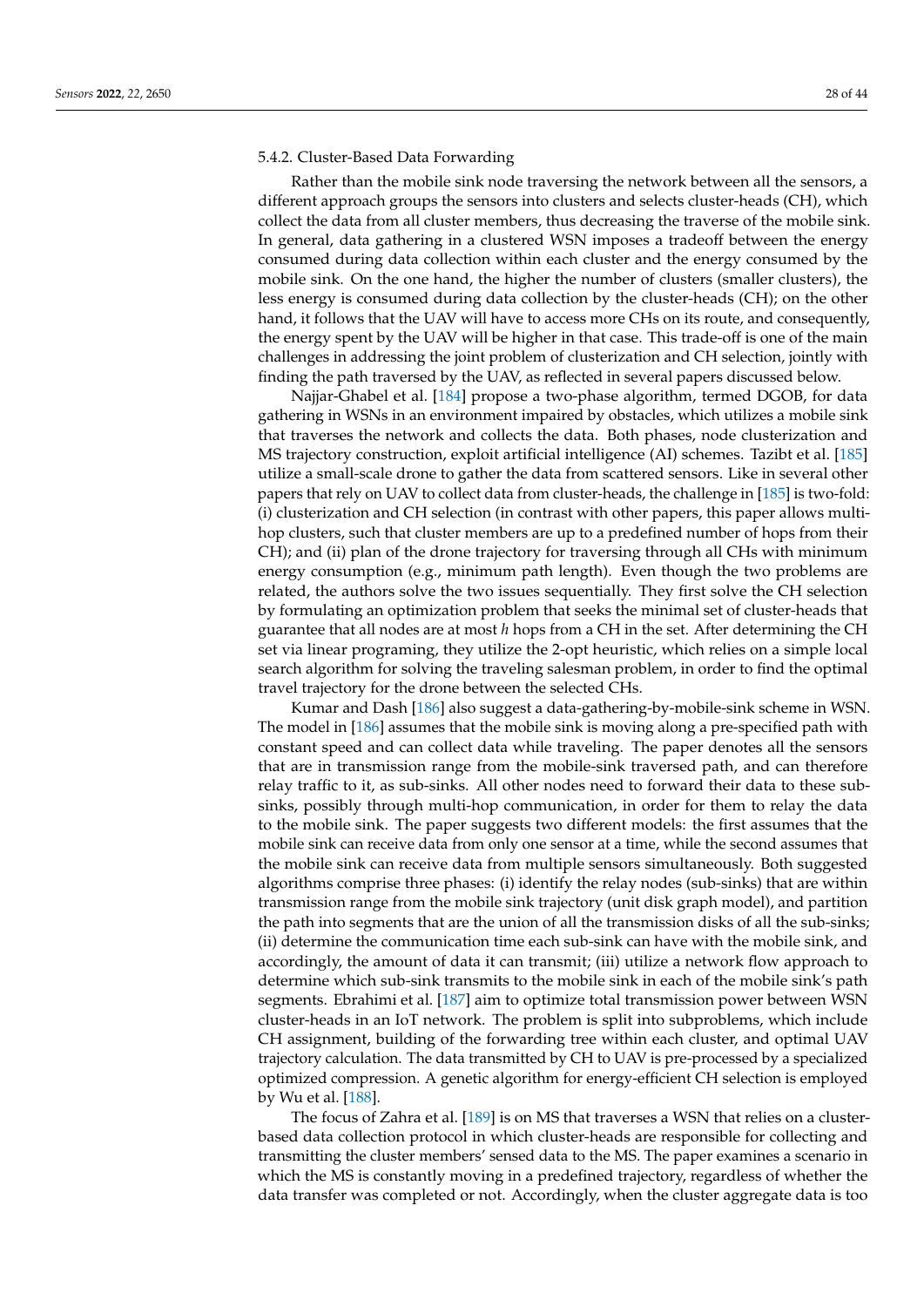#### 5.4.2. Cluster-Based Data Forwarding

Rather than the mobile sink node traversing the network between all the sensors, a different approach groups the sensors into clusters and selects cluster-heads (CH), which collect the data from all cluster members, thus decreasing the traverse of the mobile sink. In general, data gathering in a clustered WSN imposes a tradeoff between the energy consumed during data collection within each cluster and the energy consumed by the mobile sink. On the one hand, the higher the number of clusters (smaller clusters), the less energy is consumed during data collection by the cluster-heads (CH); on the other hand, it follows that the UAV will have to access more CHs on its route, and consequently, the energy spent by the UAV will be higher in that case. This trade-off is one of the main challenges in addressing the joint problem of clusterization and CH selection, jointly with finding the path traversed by the UAV, as reflected in several papers discussed below.

Najjar-Ghabel et al. [\[184\]](#page-41-10) propose a two-phase algorithm, termed DGOB, for data gathering in WSNs in an environment impaired by obstacles, which utilizes a mobile sink that traverses the network and collects the data. Both phases, node clusterization and MS trajectory construction, exploit artificial intelligence (AI) schemes. Tazibt et al. [\[185\]](#page-41-11) utilize a small-scale drone to gather the data from scattered sensors. Like in several other papers that rely on UAV to collect data from cluster-heads, the challenge in [\[185\]](#page-41-11) is two-fold: (i) clusterization and CH selection (in contrast with other papers, this paper allows multihop clusters, such that cluster members are up to a predefined number of hops from their CH); and (ii) plan of the drone trajectory for traversing through all CHs with minimum energy consumption (e.g., minimum path length). Even though the two problems are related, the authors solve the two issues sequentially. They first solve the CH selection by formulating an optimization problem that seeks the minimal set of cluster-heads that guarantee that all nodes are at most *h* hops from a CH in the set. After determining the CH set via linear programing, they utilize the 2-opt heuristic, which relies on a simple local search algorithm for solving the traveling salesman problem, in order to find the optimal travel trajectory for the drone between the selected CHs.

Kumar and Dash [\[186\]](#page-41-12) also suggest a data-gathering-by-mobile-sink scheme in WSN. The model in [\[186\]](#page-41-12) assumes that the mobile sink is moving along a pre-specified path with constant speed and can collect data while traveling. The paper denotes all the sensors that are in transmission range from the mobile-sink traversed path, and can therefore relay traffic to it, as sub-sinks. All other nodes need to forward their data to these subsinks, possibly through multi-hop communication, in order for them to relay the data to the mobile sink. The paper suggests two different models: the first assumes that the mobile sink can receive data from only one sensor at a time, while the second assumes that the mobile sink can receive data from multiple sensors simultaneously. Both suggested algorithms comprise three phases: (i) identify the relay nodes (sub-sinks) that are within transmission range from the mobile sink trajectory (unit disk graph model), and partition the path into segments that are the union of all the transmission disks of all the sub-sinks; (ii) determine the communication time each sub-sink can have with the mobile sink, and accordingly, the amount of data it can transmit; (iii) utilize a network flow approach to determine which sub-sink transmits to the mobile sink in each of the mobile sink's path segments. Ebrahimi et al. [\[187\]](#page-41-13) aim to optimize total transmission power between WSN cluster-heads in an IoT network. The problem is split into subproblems, which include CH assignment, building of the forwarding tree within each cluster, and optimal UAV trajectory calculation. The data transmitted by CH to UAV is pre-processed by a specialized optimized compression. A genetic algorithm for energy-efficient CH selection is employed by Wu et al. [\[188\]](#page-41-14).

The focus of Zahra et al. [\[189\]](#page-41-15) is on MS that traverses a WSN that relies on a clusterbased data collection protocol in which cluster-heads are responsible for collecting and transmitting the cluster members' sensed data to the MS. The paper examines a scenario in which the MS is constantly moving in a predefined trajectory, regardless of whether the data transfer was completed or not. Accordingly, when the cluster aggregate data is too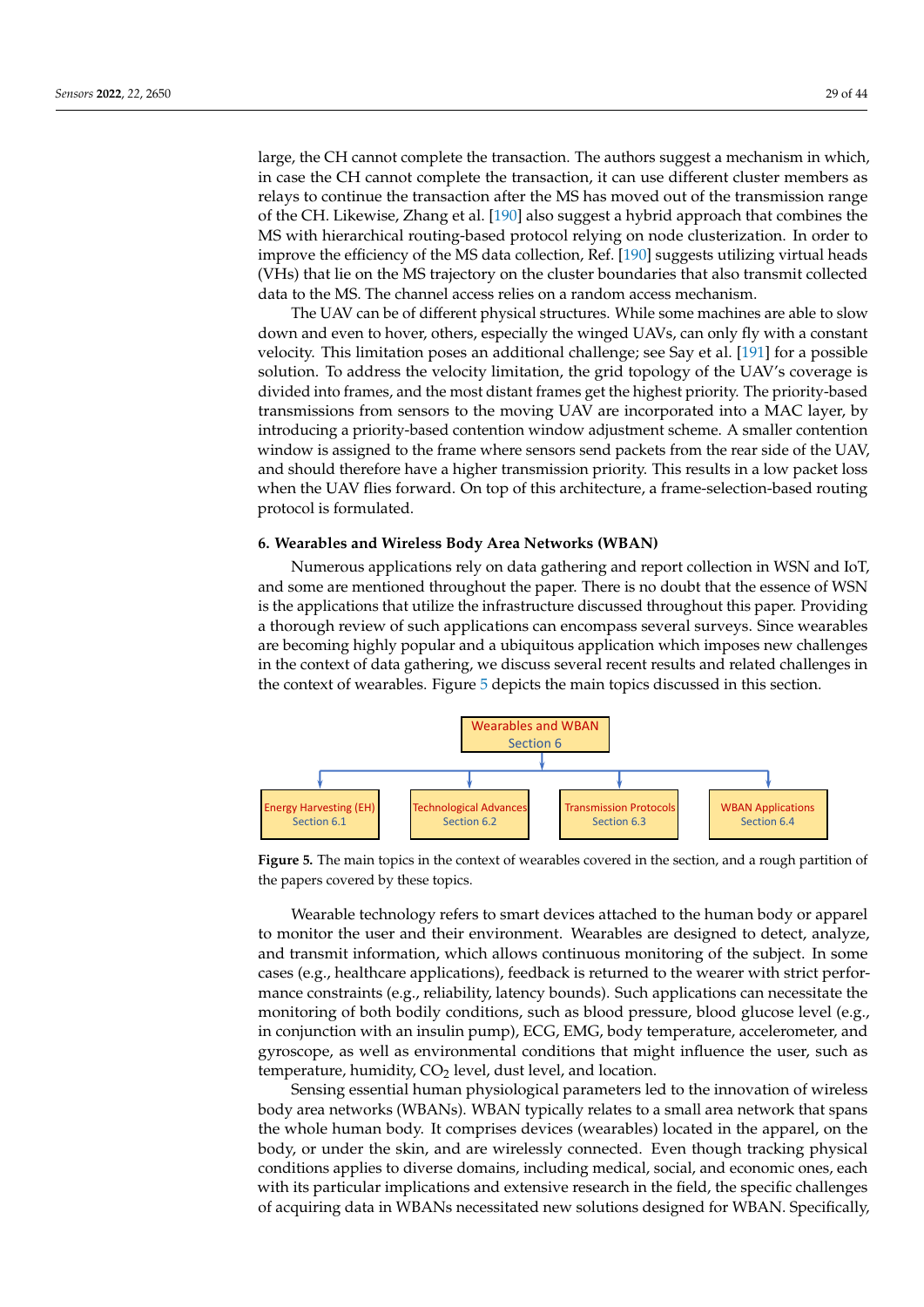large, the CH cannot complete the transaction. The authors suggest a mechanism in which, in case the CH cannot complete the transaction, it can use different cluster members as relays to continue the transaction after the MS has moved out of the transmission range of the CH. Likewise, Zhang et al. [\[190\]](#page-41-16) also suggest a hybrid approach that combines the MS with hierarchical routing-based protocol relying on node clusterization. In order to improve the efficiency of the MS data collection, Ref. [\[190\]](#page-41-16) suggests utilizing virtual heads (VHs) that lie on the MS trajectory on the cluster boundaries that also transmit collected data to the MS. The channel access relies on a random access mechanism.

The UAV can be of different physical structures. While some machines are able to slow down and even to hover, others, especially the winged UAVs, can only fly with a constant velocity. This limitation poses an additional challenge; see Say et al. [\[191\]](#page-41-17) for a possible solution. To address the velocity limitation, the grid topology of the UAV's coverage is divided into frames, and the most distant frames get the highest priority. The priority-based transmissions from sensors to the moving UAV are incorporated into a MAC layer, by introducing a priority-based contention window adjustment scheme. A smaller contention window is assigned to the frame where sensors send packets from the rear side of the UAV, and should therefore have a higher transmission priority. This results in a low packet loss when the UAV flies forward. On top of this architecture, a frame-selection-based routing protocol is formulated.

#### <span id="page-28-0"></span>**6. Wearables and Wireless Body Area Networks (WBAN)**

Numerous applications rely on data gathering and report collection in WSN and IoT, and some are mentioned throughout the paper. There is no doubt that the essence of WSN is the applications that utilize the infrastructure discussed throughout this paper. Providing a thorough review of such applications can encompass several surveys. Since wearables are becoming highly popular and a ubiquitous application which imposes new challenges in the context of data gathering, we discuss several recent results and related challenges in the context of wearables. Figure [5](#page-28-1) depicts the main topics discussed in this section.

<span id="page-28-1"></span>

**Figure 5.** The main topics in the context of wearables covered in the section, and a rough partition of the papers covered by these topics.

Wearable technology refers to smart devices attached to the human body or apparel to monitor the user and their environment. Wearables are designed to detect, analyze, and transmit information, which allows continuous monitoring of the subject. In some cases (e.g., healthcare applications), feedback is returned to the wearer with strict performance constraints (e.g., reliability, latency bounds). Such applications can necessitate the monitoring of both bodily conditions, such as blood pressure, blood glucose level (e.g., in conjunction with an insulin pump), ECG, EMG, body temperature, accelerometer, and gyroscope, as well as environmental conditions that might influence the user, such as temperature, humidity,  $CO<sub>2</sub>$  level, dust level, and location.

Sensing essential human physiological parameters led to the innovation of wireless body area networks (WBANs). WBAN typically relates to a small area network that spans the whole human body. It comprises devices (wearables) located in the apparel, on the body, or under the skin, and are wirelessly connected. Even though tracking physical conditions applies to diverse domains, including medical, social, and economic ones, each with its particular implications and extensive research in the field, the specific challenges of acquiring data in WBANs necessitated new solutions designed for WBAN. Specifically,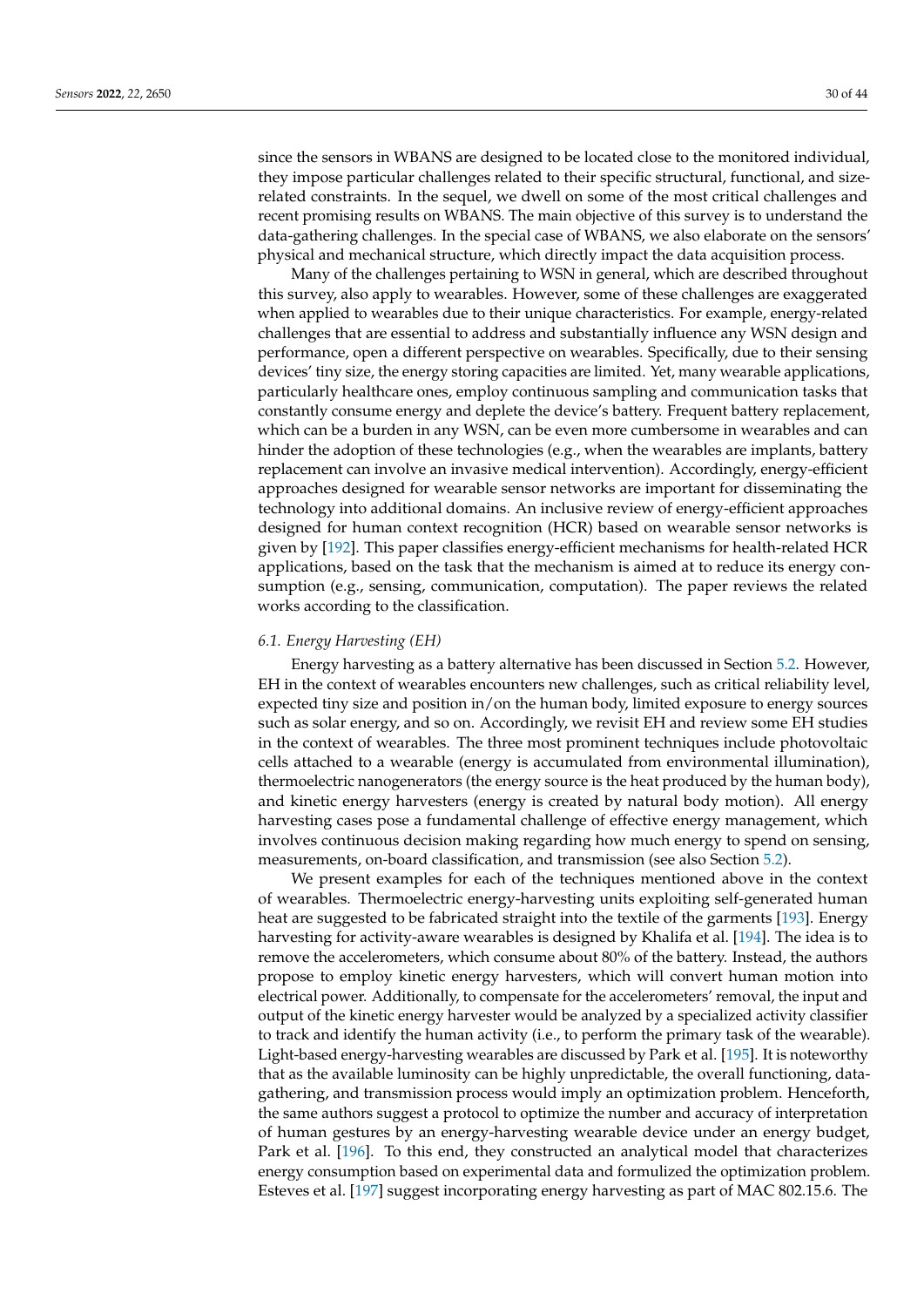since the sensors in WBANS are designed to be located close to the monitored individual, they impose particular challenges related to their specific structural, functional, and sizerelated constraints. In the sequel, we dwell on some of the most critical challenges and recent promising results on WBANS. The main objective of this survey is to understand the data-gathering challenges. In the special case of WBANS, we also elaborate on the sensors' physical and mechanical structure, which directly impact the data acquisition process.

Many of the challenges pertaining to WSN in general, which are described throughout this survey, also apply to wearables. However, some of these challenges are exaggerated when applied to wearables due to their unique characteristics. For example, energy-related challenges that are essential to address and substantially influence any WSN design and performance, open a different perspective on wearables. Specifically, due to their sensing devices' tiny size, the energy storing capacities are limited. Yet, many wearable applications, particularly healthcare ones, employ continuous sampling and communication tasks that constantly consume energy and deplete the device's battery. Frequent battery replacement, which can be a burden in any WSN, can be even more cumbersome in wearables and can hinder the adoption of these technologies (e.g., when the wearables are implants, battery replacement can involve an invasive medical intervention). Accordingly, energy-efficient approaches designed for wearable sensor networks are important for disseminating the technology into additional domains. An inclusive review of energy-efficient approaches designed for human context recognition (HCR) based on wearable sensor networks is given by [\[192\]](#page-41-18). This paper classifies energy-efficient mechanisms for health-related HCR applications, based on the task that the mechanism is aimed at to reduce its energy consumption (e.g., sensing, communication, computation). The paper reviews the related works according to the classification.

#### *6.1. Energy Harvesting (EH)*

Energy harvesting as a battery alternative has been discussed in Section [5.2.](#page-20-0) However, EH in the context of wearables encounters new challenges, such as critical reliability level, expected tiny size and position in/on the human body, limited exposure to energy sources such as solar energy, and so on. Accordingly, we revisit EH and review some EH studies in the context of wearables. The three most prominent techniques include photovoltaic cells attached to a wearable (energy is accumulated from environmental illumination), thermoelectric nanogenerators (the energy source is the heat produced by the human body), and kinetic energy harvesters (energy is created by natural body motion). All energy harvesting cases pose a fundamental challenge of effective energy management, which involves continuous decision making regarding how much energy to spend on sensing, measurements, on-board classification, and transmission (see also Section [5.2\)](#page-20-0).

We present examples for each of the techniques mentioned above in the context of wearables. Thermoelectric energy-harvesting units exploiting self-generated human heat are suggested to be fabricated straight into the textile of the garments [\[193\]](#page-41-19). Energy harvesting for activity-aware wearables is designed by Khalifa et al. [\[194\]](#page-41-20). The idea is to remove the accelerometers, which consume about 80% of the battery. Instead, the authors propose to employ kinetic energy harvesters, which will convert human motion into electrical power. Additionally, to compensate for the accelerometers' removal, the input and output of the kinetic energy harvester would be analyzed by a specialized activity classifier to track and identify the human activity (i.e., to perform the primary task of the wearable). Light-based energy-harvesting wearables are discussed by Park et al. [\[195\]](#page-41-21). It is noteworthy that as the available luminosity can be highly unpredictable, the overall functioning, datagathering, and transmission process would imply an optimization problem. Henceforth, the same authors suggest a protocol to optimize the number and accuracy of interpretation of human gestures by an energy-harvesting wearable device under an energy budget, Park et al. [\[196\]](#page-41-22). To this end, they constructed an analytical model that characterizes energy consumption based on experimental data and formulized the optimization problem. Esteves et al. [\[197\]](#page-41-23) suggest incorporating energy harvesting as part of MAC 802.15.6. The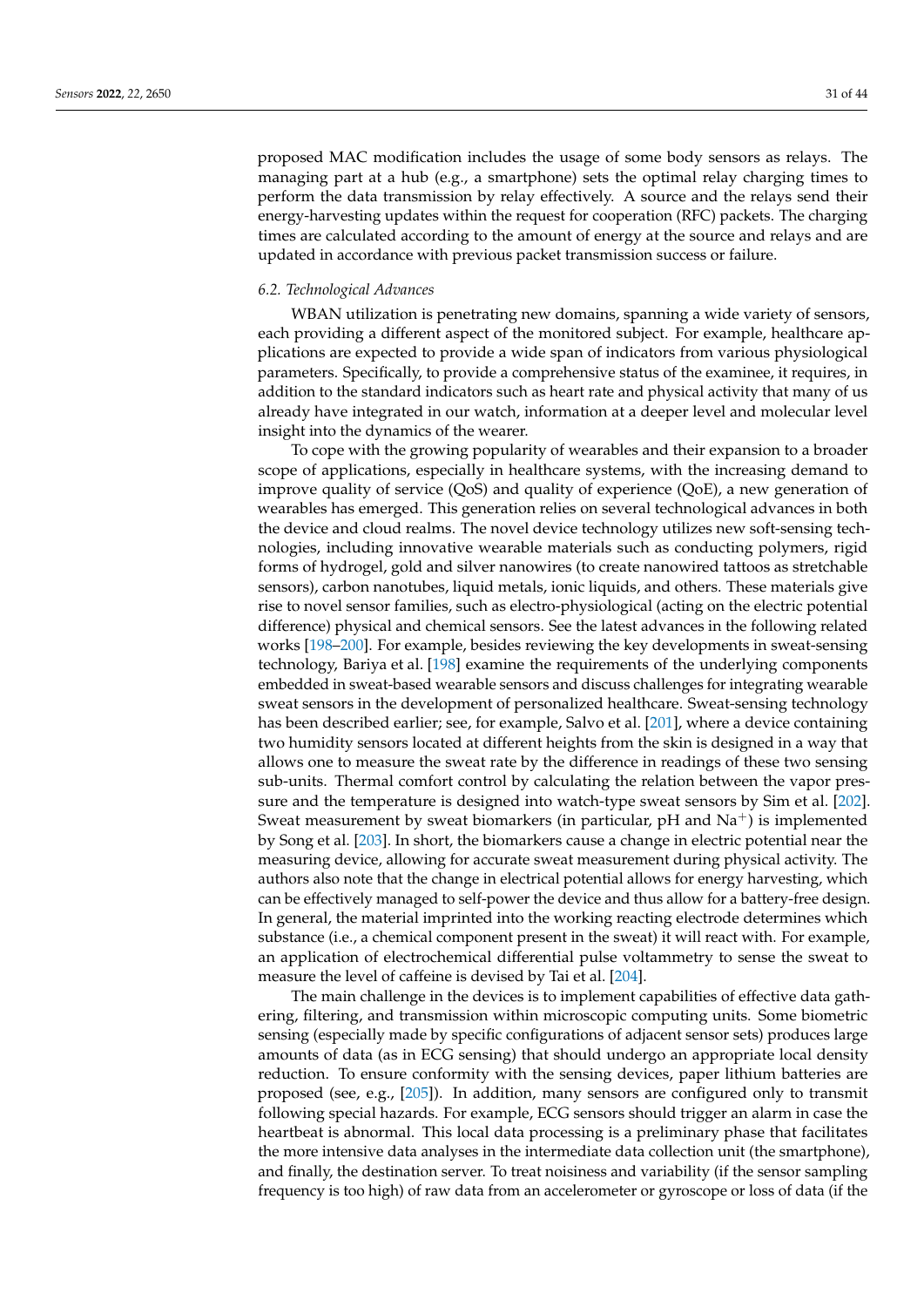proposed MAC modification includes the usage of some body sensors as relays. The managing part at a hub (e.g., a smartphone) sets the optimal relay charging times to perform the data transmission by relay effectively. A source and the relays send their energy-harvesting updates within the request for cooperation (RFC) packets. The charging times are calculated according to the amount of energy at the source and relays and are updated in accordance with previous packet transmission success or failure.

#### *6.2. Technological Advances*

WBAN utilization is penetrating new domains, spanning a wide variety of sensors, each providing a different aspect of the monitored subject. For example, healthcare applications are expected to provide a wide span of indicators from various physiological parameters. Specifically, to provide a comprehensive status of the examinee, it requires, in addition to the standard indicators such as heart rate and physical activity that many of us already have integrated in our watch, information at a deeper level and molecular level insight into the dynamics of the wearer.

To cope with the growing popularity of wearables and their expansion to a broader scope of applications, especially in healthcare systems, with the increasing demand to improve quality of service (QoS) and quality of experience (QoE), a new generation of wearables has emerged. This generation relies on several technological advances in both the device and cloud realms. The novel device technology utilizes new soft-sensing technologies, including innovative wearable materials such as conducting polymers, rigid forms of hydrogel, gold and silver nanowires (to create nanowired tattoos as stretchable sensors), carbon nanotubes, liquid metals, ionic liquids, and others. These materials give rise to novel sensor families, such as electro-physiological (acting on the electric potential difference) physical and chemical sensors. See the latest advances in the following related works [\[198](#page-41-24)[–200\]](#page-42-0). For example, besides reviewing the key developments in sweat-sensing technology, Bariya et al. [\[198\]](#page-41-24) examine the requirements of the underlying components embedded in sweat-based wearable sensors and discuss challenges for integrating wearable sweat sensors in the development of personalized healthcare. Sweat-sensing technology has been described earlier; see, for example, Salvo et al. [\[201\]](#page-42-1), where a device containing two humidity sensors located at different heights from the skin is designed in a way that allows one to measure the sweat rate by the difference in readings of these two sensing sub-units. Thermal comfort control by calculating the relation between the vapor pressure and the temperature is designed into watch-type sweat sensors by Sim et al. [\[202\]](#page-42-2). Sweat measurement by sweat biomarkers (in particular,  $pH$  and  $Na<sup>+</sup>$ ) is implemented by Song et al. [\[203\]](#page-42-3). In short, the biomarkers cause a change in electric potential near the measuring device, allowing for accurate sweat measurement during physical activity. The authors also note that the change in electrical potential allows for energy harvesting, which can be effectively managed to self-power the device and thus allow for a battery-free design. In general, the material imprinted into the working reacting electrode determines which substance (i.e., a chemical component present in the sweat) it will react with. For example, an application of electrochemical differential pulse voltammetry to sense the sweat to measure the level of caffeine is devised by Tai et al. [\[204\]](#page-42-4).

The main challenge in the devices is to implement capabilities of effective data gathering, filtering, and transmission within microscopic computing units. Some biometric sensing (especially made by specific configurations of adjacent sensor sets) produces large amounts of data (as in ECG sensing) that should undergo an appropriate local density reduction. To ensure conformity with the sensing devices, paper lithium batteries are proposed (see, e.g., [\[205\]](#page-42-5)). In addition, many sensors are configured only to transmit following special hazards. For example, ECG sensors should trigger an alarm in case the heartbeat is abnormal. This local data processing is a preliminary phase that facilitates the more intensive data analyses in the intermediate data collection unit (the smartphone), and finally, the destination server. To treat noisiness and variability (if the sensor sampling frequency is too high) of raw data from an accelerometer or gyroscope or loss of data (if the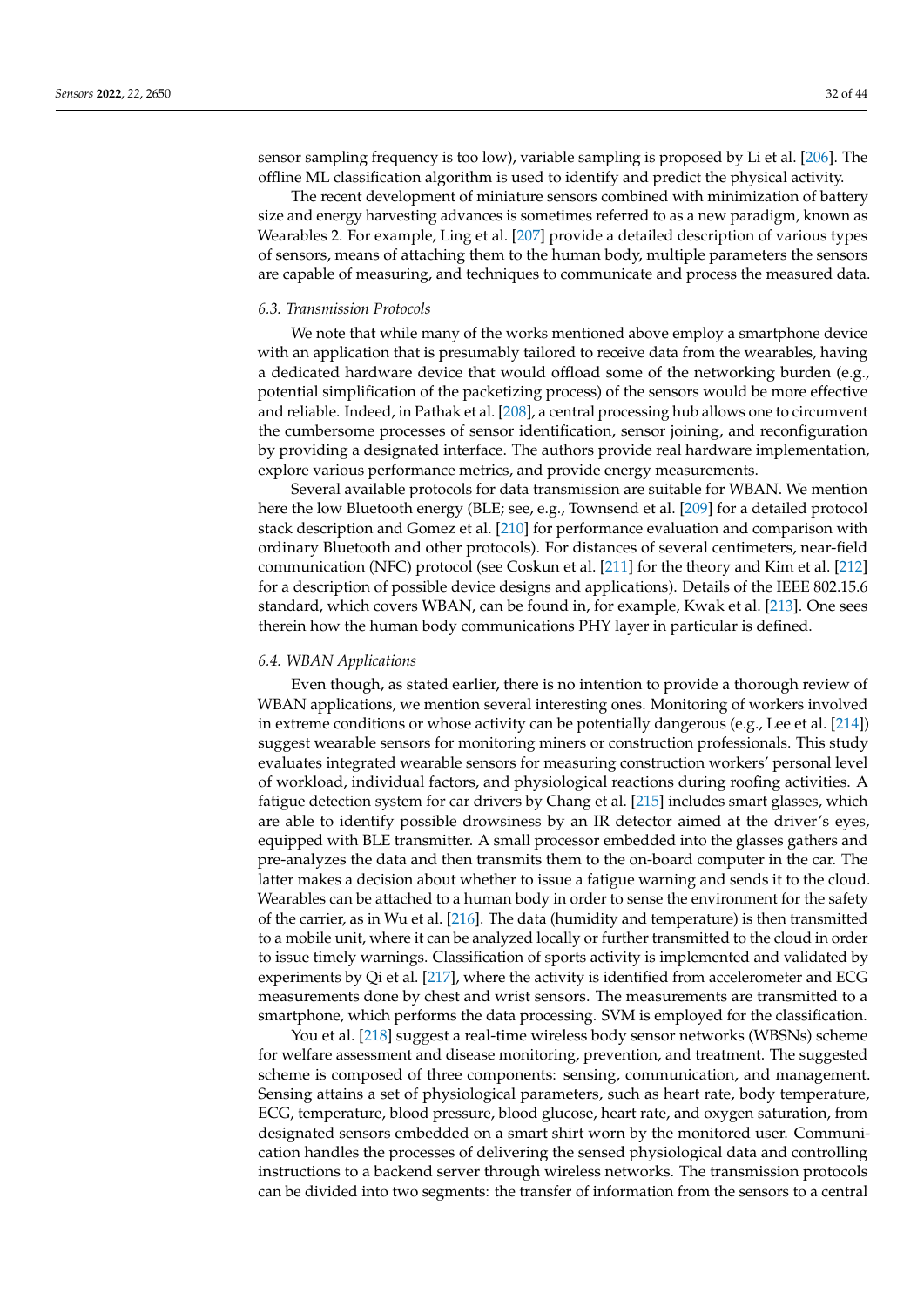sensor sampling frequency is too low), variable sampling is proposed by Li et al. [\[206\]](#page-42-6). The offline ML classification algorithm is used to identify and predict the physical activity.

The recent development of miniature sensors combined with minimization of battery size and energy harvesting advances is sometimes referred to as a new paradigm, known as Wearables 2. For example, Ling et al. [\[207\]](#page-42-7) provide a detailed description of various types of sensors, means of attaching them to the human body, multiple parameters the sensors are capable of measuring, and techniques to communicate and process the measured data.

#### *6.3. Transmission Protocols*

We note that while many of the works mentioned above employ a smartphone device with an application that is presumably tailored to receive data from the wearables, having a dedicated hardware device that would offload some of the networking burden (e.g., potential simplification of the packetizing process) of the sensors would be more effective and reliable. Indeed, in Pathak et al. [\[208\]](#page-42-8), a central processing hub allows one to circumvent the cumbersome processes of sensor identification, sensor joining, and reconfiguration by providing a designated interface. The authors provide real hardware implementation, explore various performance metrics, and provide energy measurements.

Several available protocols for data transmission are suitable for WBAN. We mention here the low Bluetooth energy (BLE; see, e.g., Townsend et al. [\[209\]](#page-42-9) for a detailed protocol stack description and Gomez et al. [\[210\]](#page-42-10) for performance evaluation and comparison with ordinary Bluetooth and other protocols). For distances of several centimeters, near-field communication (NFC) protocol (see Coskun et al. [\[211\]](#page-42-11) for the theory and Kim et al. [\[212\]](#page-42-12) for a description of possible device designs and applications). Details of the IEEE 802.15.6 standard, which covers WBAN, can be found in, for example, Kwak et al. [\[213\]](#page-42-13). One sees therein how the human body communications PHY layer in particular is defined.

#### *6.4. WBAN Applications*

Even though, as stated earlier, there is no intention to provide a thorough review of WBAN applications, we mention several interesting ones. Monitoring of workers involved in extreme conditions or whose activity can be potentially dangerous (e.g., Lee et al. [\[214\]](#page-42-14)) suggest wearable sensors for monitoring miners or construction professionals. This study evaluates integrated wearable sensors for measuring construction workers' personal level of workload, individual factors, and physiological reactions during roofing activities. A fatigue detection system for car drivers by Chang et al. [\[215\]](#page-42-15) includes smart glasses, which are able to identify possible drowsiness by an IR detector aimed at the driver's eyes, equipped with BLE transmitter. A small processor embedded into the glasses gathers and pre-analyzes the data and then transmits them to the on-board computer in the car. The latter makes a decision about whether to issue a fatigue warning and sends it to the cloud. Wearables can be attached to a human body in order to sense the environment for the safety of the carrier, as in Wu et al. [\[216\]](#page-42-16). The data (humidity and temperature) is then transmitted to a mobile unit, where it can be analyzed locally or further transmitted to the cloud in order to issue timely warnings. Classification of sports activity is implemented and validated by experiments by Qi et al. [\[217\]](#page-42-17), where the activity is identified from accelerometer and ECG measurements done by chest and wrist sensors. The measurements are transmitted to a smartphone, which performs the data processing. SVM is employed for the classification.

You et al. [\[218\]](#page-42-18) suggest a real-time wireless body sensor networks (WBSNs) scheme for welfare assessment and disease monitoring, prevention, and treatment. The suggested scheme is composed of three components: sensing, communication, and management. Sensing attains a set of physiological parameters, such as heart rate, body temperature, ECG, temperature, blood pressure, blood glucose, heart rate, and oxygen saturation, from designated sensors embedded on a smart shirt worn by the monitored user. Communication handles the processes of delivering the sensed physiological data and controlling instructions to a backend server through wireless networks. The transmission protocols can be divided into two segments: the transfer of information from the sensors to a central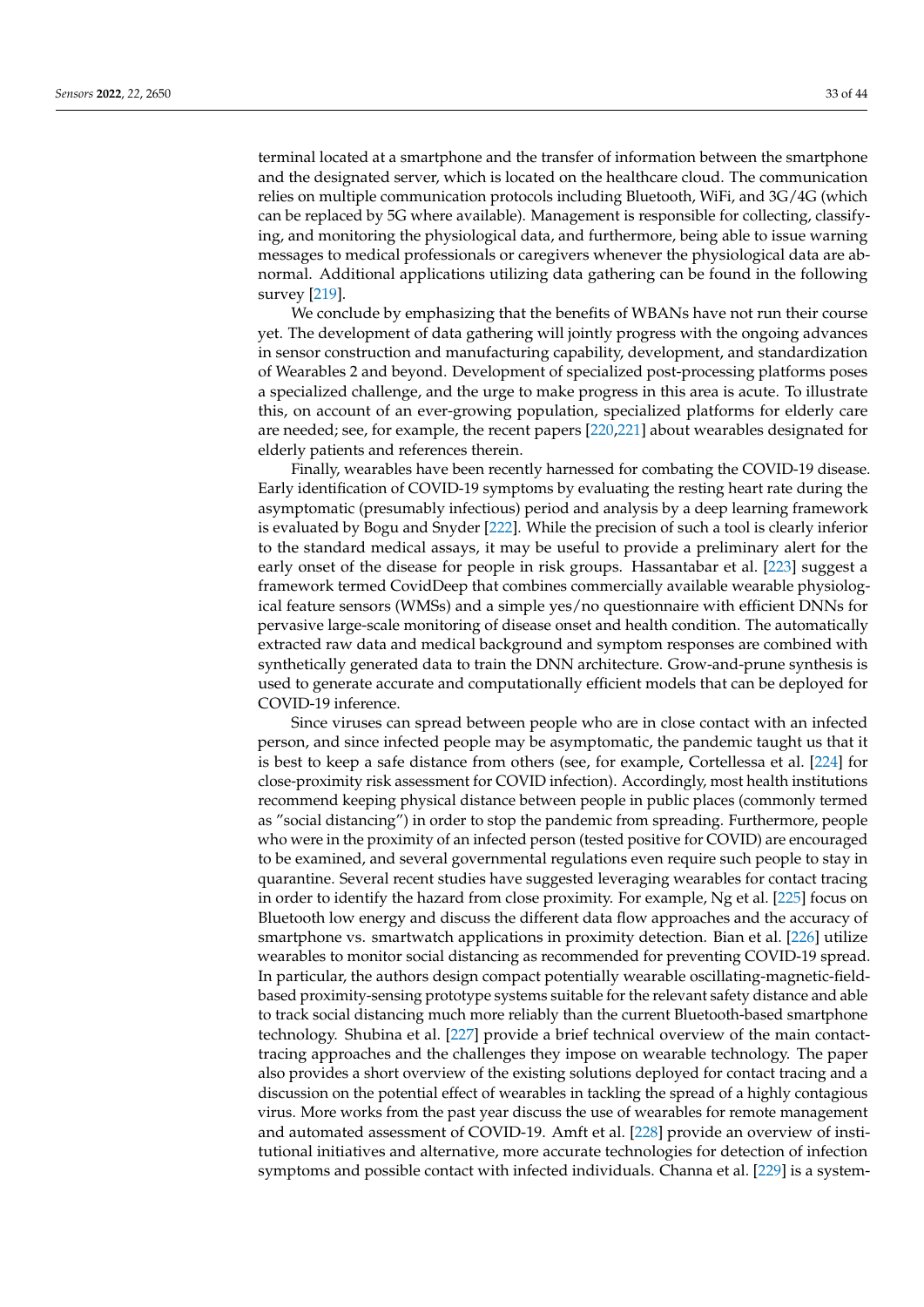terminal located at a smartphone and the transfer of information between the smartphone and the designated server, which is located on the healthcare cloud. The communication relies on multiple communication protocols including Bluetooth, WiFi, and 3G/4G (which can be replaced by 5G where available). Management is responsible for collecting, classifying, and monitoring the physiological data, and furthermore, being able to issue warning messages to medical professionals or caregivers whenever the physiological data are abnormal. Additional applications utilizing data gathering can be found in the following survey [\[219\]](#page-42-19).

We conclude by emphasizing that the benefits of WBANs have not run their course yet. The development of data gathering will jointly progress with the ongoing advances in sensor construction and manufacturing capability, development, and standardization of Wearables 2 and beyond. Development of specialized post-processing platforms poses a specialized challenge, and the urge to make progress in this area is acute. To illustrate this, on account of an ever-growing population, specialized platforms for elderly care are needed; see, for example, the recent papers [\[220,](#page-42-20)[221\]](#page-42-21) about wearables designated for elderly patients and references therein.

Finally, wearables have been recently harnessed for combating the COVID-19 disease. Early identification of COVID-19 symptoms by evaluating the resting heart rate during the asymptomatic (presumably infectious) period and analysis by a deep learning framework is evaluated by Bogu and Snyder [\[222\]](#page-42-22). While the precision of such a tool is clearly inferior to the standard medical assays, it may be useful to provide a preliminary alert for the early onset of the disease for people in risk groups. Hassantabar et al. [\[223\]](#page-42-23) suggest a framework termed CovidDeep that combines commercially available wearable physiological feature sensors (WMSs) and a simple yes/no questionnaire with efficient DNNs for pervasive large-scale monitoring of disease onset and health condition. The automatically extracted raw data and medical background and symptom responses are combined with synthetically generated data to train the DNN architecture. Grow-and-prune synthesis is used to generate accurate and computationally efficient models that can be deployed for COVID-19 inference.

Since viruses can spread between people who are in close contact with an infected person, and since infected people may be asymptomatic, the pandemic taught us that it is best to keep a safe distance from others (see, for example, Cortellessa et al. [\[224\]](#page-42-24) for close-proximity risk assessment for COVID infection). Accordingly, most health institutions recommend keeping physical distance between people in public places (commonly termed as "social distancing") in order to stop the pandemic from spreading. Furthermore, people who were in the proximity of an infected person (tested positive for COVID) are encouraged to be examined, and several governmental regulations even require such people to stay in quarantine. Several recent studies have suggested leveraging wearables for contact tracing in order to identify the hazard from close proximity. For example, Ng et al. [\[225\]](#page-42-25) focus on Bluetooth low energy and discuss the different data flow approaches and the accuracy of smartphone vs. smartwatch applications in proximity detection. Bian et al. [\[226\]](#page-42-26) utilize wearables to monitor social distancing as recommended for preventing COVID-19 spread. In particular, the authors design compact potentially wearable oscillating-magnetic-fieldbased proximity-sensing prototype systems suitable for the relevant safety distance and able to track social distancing much more reliably than the current Bluetooth-based smartphone technology. Shubina et al. [\[227\]](#page-43-0) provide a brief technical overview of the main contacttracing approaches and the challenges they impose on wearable technology. The paper also provides a short overview of the existing solutions deployed for contact tracing and a discussion on the potential effect of wearables in tackling the spread of a highly contagious virus. More works from the past year discuss the use of wearables for remote management and automated assessment of COVID-19. Amft et al. [\[228\]](#page-43-1) provide an overview of institutional initiatives and alternative, more accurate technologies for detection of infection symptoms and possible contact with infected individuals. Channa et al. [\[229\]](#page-43-2) is a system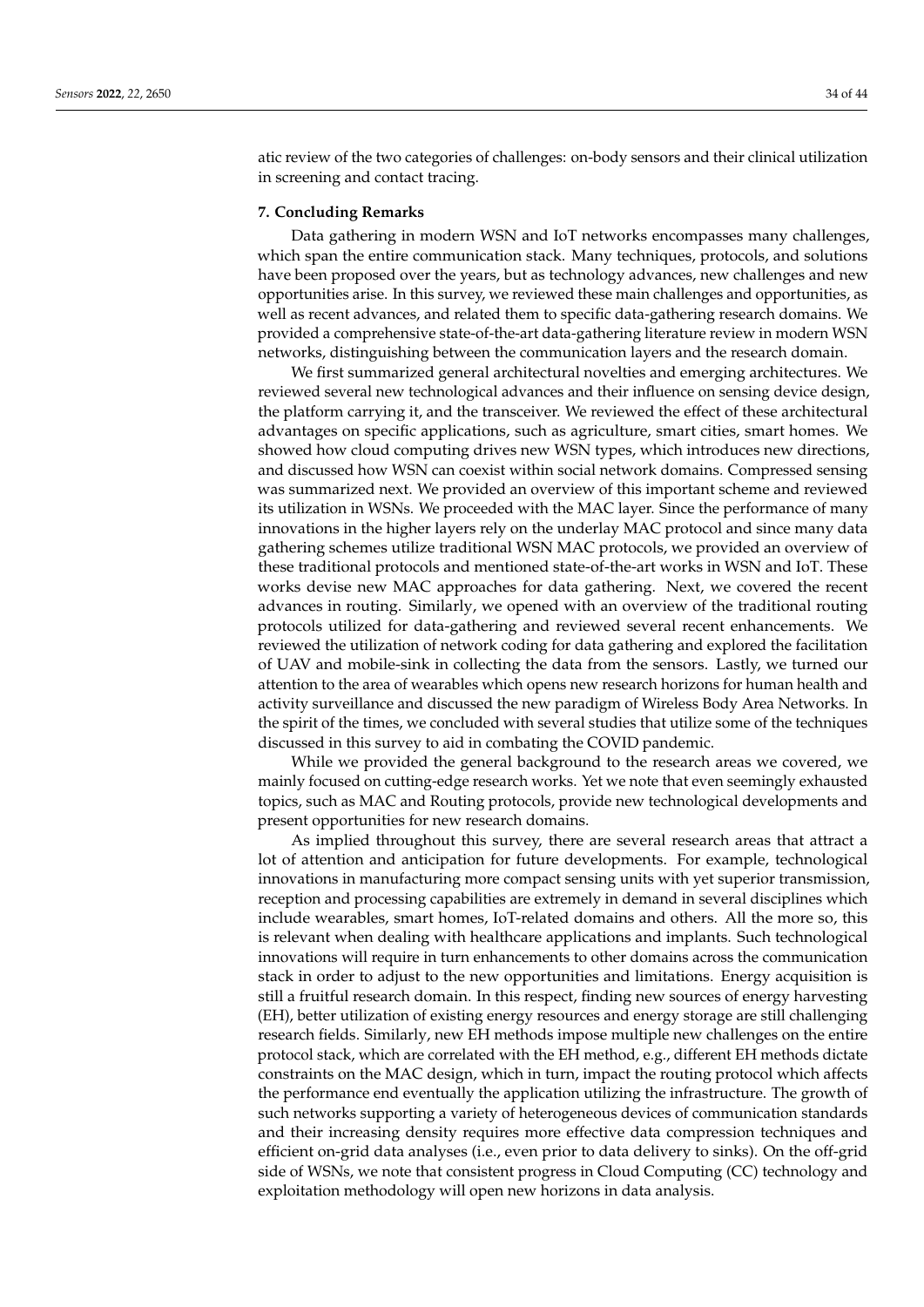atic review of the two categories of challenges: on-body sensors and their clinical utilization in screening and contact tracing.

### **7. Concluding Remarks**

Data gathering in modern WSN and IoT networks encompasses many challenges, which span the entire communication stack. Many techniques, protocols, and solutions have been proposed over the years, but as technology advances, new challenges and new opportunities arise. In this survey, we reviewed these main challenges and opportunities, as well as recent advances, and related them to specific data-gathering research domains. We provided a comprehensive state-of-the-art data-gathering literature review in modern WSN networks, distinguishing between the communication layers and the research domain.

We first summarized general architectural novelties and emerging architectures. We reviewed several new technological advances and their influence on sensing device design, the platform carrying it, and the transceiver. We reviewed the effect of these architectural advantages on specific applications, such as agriculture, smart cities, smart homes. We showed how cloud computing drives new WSN types, which introduces new directions, and discussed how WSN can coexist within social network domains. Compressed sensing was summarized next. We provided an overview of this important scheme and reviewed its utilization in WSNs. We proceeded with the MAC layer. Since the performance of many innovations in the higher layers rely on the underlay MAC protocol and since many data gathering schemes utilize traditional WSN MAC protocols, we provided an overview of these traditional protocols and mentioned state-of-the-art works in WSN and IoT. These works devise new MAC approaches for data gathering. Next, we covered the recent advances in routing. Similarly, we opened with an overview of the traditional routing protocols utilized for data-gathering and reviewed several recent enhancements. We reviewed the utilization of network coding for data gathering and explored the facilitation of UAV and mobile-sink in collecting the data from the sensors. Lastly, we turned our attention to the area of wearables which opens new research horizons for human health and activity surveillance and discussed the new paradigm of Wireless Body Area Networks. In the spirit of the times, we concluded with several studies that utilize some of the techniques discussed in this survey to aid in combating the COVID pandemic.

While we provided the general background to the research areas we covered, we mainly focused on cutting-edge research works. Yet we note that even seemingly exhausted topics, such as MAC and Routing protocols, provide new technological developments and present opportunities for new research domains.

As implied throughout this survey, there are several research areas that attract a lot of attention and anticipation for future developments. For example, technological innovations in manufacturing more compact sensing units with yet superior transmission, reception and processing capabilities are extremely in demand in several disciplines which include wearables, smart homes, IoT-related domains and others. All the more so, this is relevant when dealing with healthcare applications and implants. Such technological innovations will require in turn enhancements to other domains across the communication stack in order to adjust to the new opportunities and limitations. Energy acquisition is still a fruitful research domain. In this respect, finding new sources of energy harvesting (EH), better utilization of existing energy resources and energy storage are still challenging research fields. Similarly, new EH methods impose multiple new challenges on the entire protocol stack, which are correlated with the EH method, e.g., different EH methods dictate constraints on the MAC design, which in turn, impact the routing protocol which affects the performance end eventually the application utilizing the infrastructure. The growth of such networks supporting a variety of heterogeneous devices of communication standards and their increasing density requires more effective data compression techniques and efficient on-grid data analyses (i.e., even prior to data delivery to sinks). On the off-grid side of WSNs, we note that consistent progress in Cloud Computing (CC) technology and exploitation methodology will open new horizons in data analysis.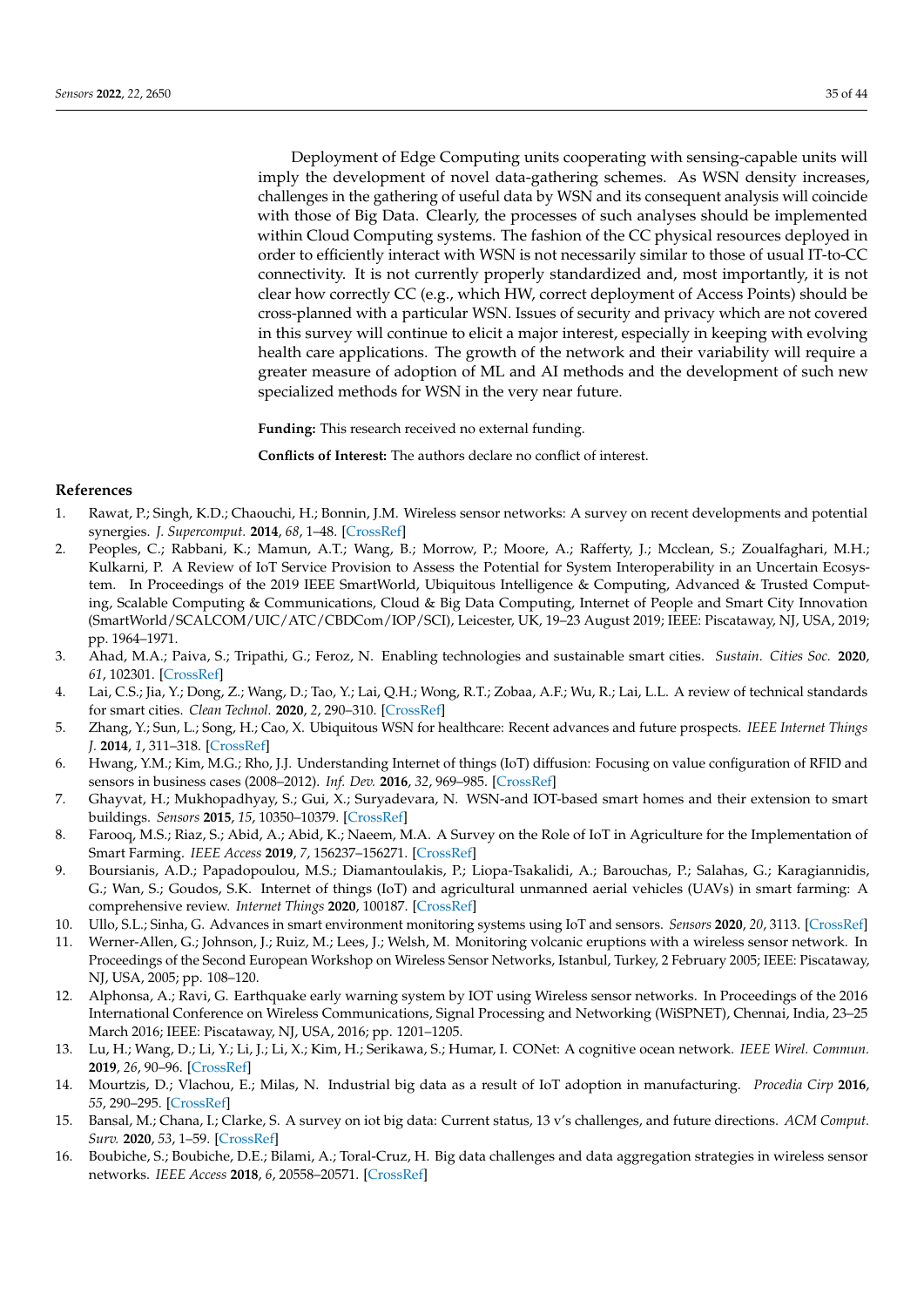Deployment of Edge Computing units cooperating with sensing-capable units will imply the development of novel data-gathering schemes. As WSN density increases, challenges in the gathering of useful data by WSN and its consequent analysis will coincide with those of Big Data. Clearly, the processes of such analyses should be implemented within Cloud Computing systems. The fashion of the CC physical resources deployed in order to efficiently interact with WSN is not necessarily similar to those of usual IT-to-CC connectivity. It is not currently properly standardized and, most importantly, it is not clear how correctly CC (e.g., which HW, correct deployment of Access Points) should be cross-planned with a particular WSN. Issues of security and privacy which are not covered in this survey will continue to elicit a major interest, especially in keeping with evolving health care applications. The growth of the network and their variability will require a greater measure of adoption of ML and AI methods and the development of such new specialized methods for WSN in the very near future.

**Funding:** This research received no external funding.

**Conflicts of Interest:** The authors declare no conflict of interest.

#### **References**

- <span id="page-34-0"></span>1. Rawat, P.; Singh, K.D.; Chaouchi, H.; Bonnin, J.M. Wireless sensor networks: A survey on recent developments and potential synergies. *J. Supercomput.* **2014**, *68*, 1–48. [\[CrossRef\]](http://dx.doi.org/10.1007/s11227-013-1021-9)
- <span id="page-34-1"></span>2. Peoples, C.; Rabbani, K.; Mamun, A.T.; Wang, B.; Morrow, P.; Moore, A.; Rafferty, J.; Mcclean, S.; Zoualfaghari, M.H.; Kulkarni, P. A Review of IoT Service Provision to Assess the Potential for System Interoperability in an Uncertain Ecosystem. In Proceedings of the 2019 IEEE SmartWorld, Ubiquitous Intelligence & Computing, Advanced & Trusted Computing, Scalable Computing & Communications, Cloud & Big Data Computing, Internet of People and Smart City Innovation (SmartWorld/SCALCOM/UIC/ATC/CBDCom/IOP/SCI), Leicester, UK, 19–23 August 2019; IEEE: Piscataway, NJ, USA, 2019; pp. 1964–1971.
- <span id="page-34-2"></span>3. Ahad, M.A.; Paiva, S.; Tripathi, G.; Feroz, N. Enabling technologies and sustainable smart cities. *Sustain. Cities Soc.* **2020**, *61*, 102301. [\[CrossRef\]](http://dx.doi.org/10.1016/j.scs.2020.102301)
- <span id="page-34-3"></span>4. Lai, C.S.; Jia, Y.; Dong, Z.; Wang, D.; Tao, Y.; Lai, Q.H.; Wong, R.T.; Zobaa, A.F.; Wu, R.; Lai, L.L. A review of technical standards for smart cities. *Clean Technol.* **2020**, *2*, 290–310. [\[CrossRef\]](http://dx.doi.org/10.3390/cleantechnol2030019)
- <span id="page-34-4"></span>5. Zhang, Y.; Sun, L.; Song, H.; Cao, X. Ubiquitous WSN for healthcare: Recent advances and future prospects. *IEEE Internet Things J.* **2014**, *1*, 311–318. [\[CrossRef\]](http://dx.doi.org/10.1109/JIOT.2014.2329462)
- <span id="page-34-5"></span>6. Hwang, Y.M.; Kim, M.G.; Rho, J.J. Understanding Internet of things (IoT) diffusion: Focusing on value configuration of RFID and sensors in business cases (2008–2012). *Inf. Dev.* **2016**, *32*, 969–985. [\[CrossRef\]](http://dx.doi.org/10.1177/0266666915578201)
- <span id="page-34-6"></span>7. Ghayvat, H.; Mukhopadhyay, S.; Gui, X.; Suryadevara, N. WSN-and IOT-based smart homes and their extension to smart buildings. *Sensors* **2015**, *15*, 10350–10379. [\[CrossRef\]](http://dx.doi.org/10.3390/s150510350)
- <span id="page-34-7"></span>8. Farooq, M.S.; Riaz, S.; Abid, A.; Abid, K.; Naeem, M.A. A Survey on the Role of IoT in Agriculture for the Implementation of Smart Farming. *IEEE Access* **2019**, *7*, 156237–156271. [\[CrossRef\]](http://dx.doi.org/10.1109/ACCESS.2019.2949703)
- 9. Boursianis, A.D.; Papadopoulou, M.S.; Diamantoulakis, P.; Liopa-Tsakalidi, A.; Barouchas, P.; Salahas, G.; Karagiannidis, G.; Wan, S.; Goudos, S.K. Internet of things (IoT) and agricultural unmanned aerial vehicles (UAVs) in smart farming: A comprehensive review. *Internet Things* **2020**, 100187. [\[CrossRef\]](http://dx.doi.org/10.1016/j.iot.2020.100187)
- <span id="page-34-8"></span>10. Ullo, S.L.; Sinha, G. Advances in smart environment monitoring systems using IoT and sensors. *Sensors* **2020**, *20*, 3113. [\[CrossRef\]](http://dx.doi.org/10.3390/s20113113)
- <span id="page-34-9"></span>11. Werner-Allen, G.; Johnson, J.; Ruiz, M.; Lees, J.; Welsh, M. Monitoring volcanic eruptions with a wireless sensor network. In Proceedings of the Second European Workshop on Wireless Sensor Networks, Istanbul, Turkey, 2 February 2005; IEEE: Piscataway, NJ, USA, 2005; pp. 108–120.
- <span id="page-34-10"></span>12. Alphonsa, A.; Ravi, G. Earthquake early warning system by IOT using Wireless sensor networks. In Proceedings of the 2016 International Conference on Wireless Communications, Signal Processing and Networking (WiSPNET), Chennai, India, 23–25 March 2016; IEEE: Piscataway, NJ, USA, 2016; pp. 1201–1205.
- <span id="page-34-11"></span>13. Lu, H.; Wang, D.; Li, Y.; Li, J.; Li, X.; Kim, H.; Serikawa, S.; Humar, I. CONet: A cognitive ocean network. *IEEE Wirel. Commun.* **2019**, *26*, 90–96. [\[CrossRef\]](http://dx.doi.org/10.1109/MWC.2019.1800325)
- <span id="page-34-12"></span>14. Mourtzis, D.; Vlachou, E.; Milas, N. Industrial big data as a result of IoT adoption in manufacturing. *Procedia Cirp* **2016**, *55*, 290–295. [\[CrossRef\]](http://dx.doi.org/10.1016/j.procir.2016.07.038)
- 15. Bansal, M.; Chana, I.; Clarke, S. A survey on iot big data: Current status, 13 v's challenges, and future directions. *ACM Comput. Surv.* **2020**, *53*, 1–59. [\[CrossRef\]](http://dx.doi.org/10.1145/3419634)
- 16. Boubiche, S.; Boubiche, D.E.; Bilami, A.; Toral-Cruz, H. Big data challenges and data aggregation strategies in wireless sensor networks. *IEEE Access* **2018**, *6*, 20558–20571. [\[CrossRef\]](http://dx.doi.org/10.1109/ACCESS.2018.2821445)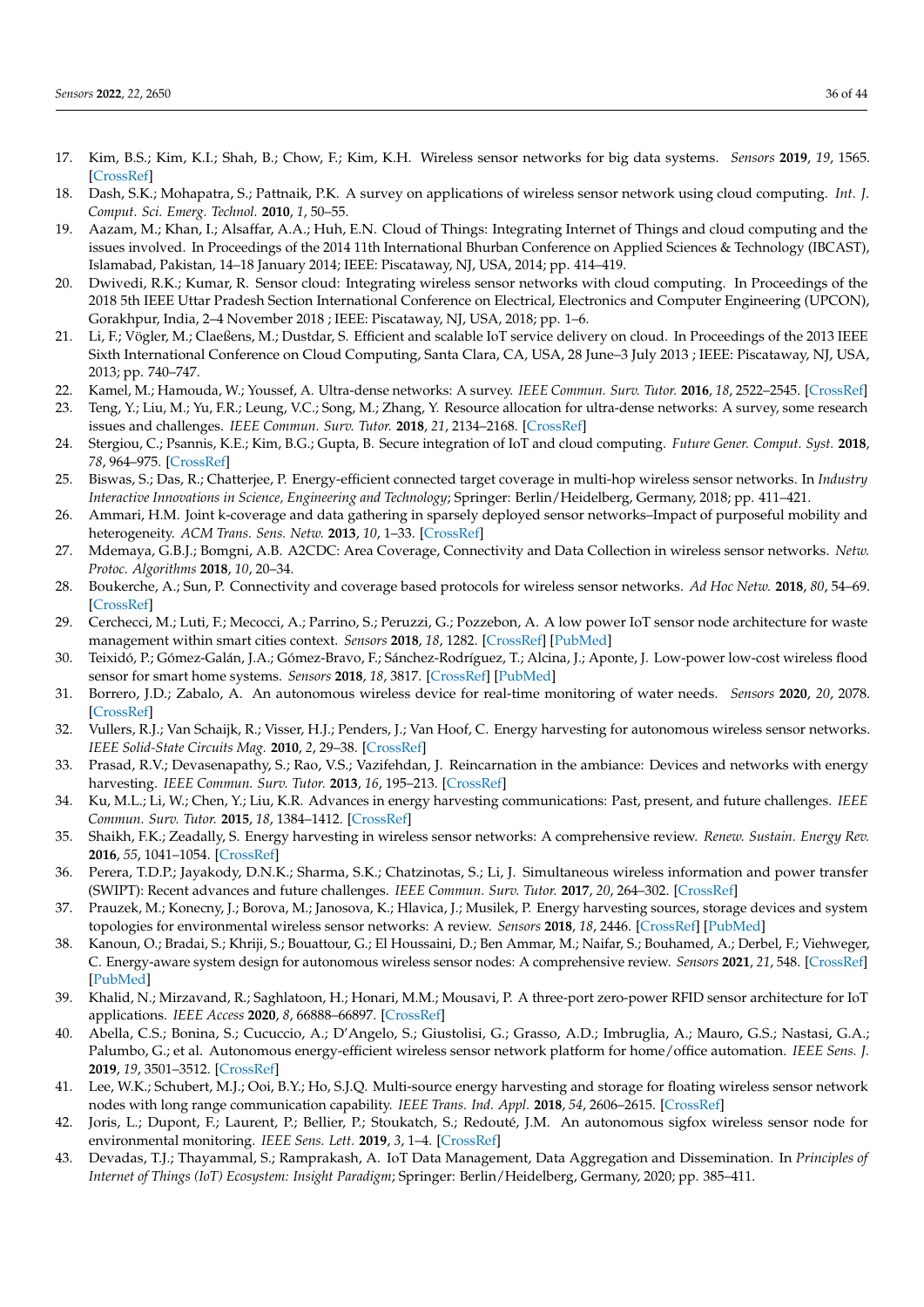- <span id="page-35-0"></span>17. Kim, B.S.; Kim, K.I.; Shah, B.; Chow, F.; Kim, K.H. Wireless sensor networks for big data systems. *Sensors* **2019**, *19*, 1565. [\[CrossRef\]](http://dx.doi.org/10.3390/s19071565)
- <span id="page-35-1"></span>18. Dash, S.K.; Mohapatra, S.; Pattnaik, P.K. A survey on applications of wireless sensor network using cloud computing. *Int. J. Comput. Sci. Emerg. Technol.* **2010**, *1*, 50–55.
- 19. Aazam, M.; Khan, I.; Alsaffar, A.A.; Huh, E.N. Cloud of Things: Integrating Internet of Things and cloud computing and the issues involved. In Proceedings of the 2014 11th International Bhurban Conference on Applied Sciences & Technology (IBCAST), Islamabad, Pakistan, 14–18 January 2014; IEEE: Piscataway, NJ, USA, 2014; pp. 414–419.
- <span id="page-35-2"></span>20. Dwivedi, R.K.; Kumar, R. Sensor cloud: Integrating wireless sensor networks with cloud computing. In Proceedings of the 2018 5th IEEE Uttar Pradesh Section International Conference on Electrical, Electronics and Computer Engineering (UPCON), Gorakhpur, India, 2–4 November 2018 ; IEEE: Piscataway, NJ, USA, 2018; pp. 1–6.
- <span id="page-35-3"></span>21. Li, F.; Vögler, M.; Claeßens, M.; Dustdar, S. Efficient and scalable IoT service delivery on cloud. In Proceedings of the 2013 IEEE Sixth International Conference on Cloud Computing, Santa Clara, CA, USA, 28 June–3 July 2013 ; IEEE: Piscataway, NJ, USA, 2013; pp. 740–747.
- 22. Kamel, M.; Hamouda, W.; Youssef, A. Ultra-dense networks: A survey. *IEEE Commun. Surv. Tutor.* **2016**, *18*, 2522–2545. [\[CrossRef\]](http://dx.doi.org/10.1109/COMST.2016.2571730)
- <span id="page-35-4"></span>23. Teng, Y.; Liu, M.; Yu, F.R.; Leung, V.C.; Song, M.; Zhang, Y. Resource allocation for ultra-dense networks: A survey, some research issues and challenges. *IEEE Commun. Surv. Tutor.* **2018**, *21*, 2134–2168. [\[CrossRef\]](http://dx.doi.org/10.1109/COMST.2018.2867268)
- <span id="page-35-5"></span>24. Stergiou, C.; Psannis, K.E.; Kim, B.G.; Gupta, B. Secure integration of IoT and cloud computing. *Future Gener. Comput. Syst.* **2018**, *78*, 964–975. [\[CrossRef\]](http://dx.doi.org/10.1016/j.future.2016.11.031)
- <span id="page-35-6"></span>25. Biswas, S.; Das, R.; Chatterjee, P. Energy-efficient connected target coverage in multi-hop wireless sensor networks. In *Industry Interactive Innovations in Science, Engineering and Technology*; Springer: Berlin/Heidelberg, Germany, 2018; pp. 411–421.
- <span id="page-35-7"></span>26. Ammari, H.M. Joint k-coverage and data gathering in sparsely deployed sensor networks–Impact of purposeful mobility and heterogeneity. *ACM Trans. Sens. Netw.* **2013**, *10*, 1–33. [\[CrossRef\]](http://dx.doi.org/10.1145/2529978)
- <span id="page-35-8"></span>27. Mdemaya, G.B.J.; Bomgni, A.B. A2CDC: Area Coverage, Connectivity and Data Collection in wireless sensor networks. *Netw. Protoc. Algorithms* **2018**, *10*, 20–34.
- <span id="page-35-9"></span>28. Boukerche, A.; Sun, P. Connectivity and coverage based protocols for wireless sensor networks. *Ad Hoc Netw.* **2018**, *80*, 54–69. [\[CrossRef\]](http://dx.doi.org/10.1016/j.adhoc.2018.07.003)
- <span id="page-35-10"></span>29. Cerchecci, M.; Luti, F.; Mecocci, A.; Parrino, S.; Peruzzi, G.; Pozzebon, A. A low power IoT sensor node architecture for waste management within smart cities context. *Sensors* **2018**, *18*, 1282. [\[CrossRef\]](http://dx.doi.org/10.3390/s18041282) [\[PubMed\]](http://www.ncbi.nlm.nih.gov/pubmed/29690552)
- <span id="page-35-11"></span>30. Teixidó, P.; Gómez-Galán, J.A.; Gómez-Bravo, F.; Sánchez-Rodríguez, T.; Alcina, J.; Aponte, J. Low-power low-cost wireless flood sensor for smart home systems. *Sensors* **2018**, *18*, 3817. [\[CrossRef\]](http://dx.doi.org/10.3390/s18113817) [\[PubMed\]](http://www.ncbi.nlm.nih.gov/pubmed/30405080)
- <span id="page-35-12"></span>31. Borrero, J.D.; Zabalo, A. An autonomous wireless device for real-time monitoring of water needs. *Sensors* **2020**, *20*, 2078. [\[CrossRef\]](http://dx.doi.org/10.3390/s20072078)
- <span id="page-35-13"></span>32. Vullers, R.J.; Van Schaijk, R.; Visser, H.J.; Penders, J.; Van Hoof, C. Energy harvesting for autonomous wireless sensor networks. *IEEE Solid-State Circuits Mag.* **2010**, *2*, 29–38. [\[CrossRef\]](http://dx.doi.org/10.1109/MSSC.2010.936667)
- 33. Prasad, R.V.; Devasenapathy, S.; Rao, V.S.; Vazifehdan, J. Reincarnation in the ambiance: Devices and networks with energy harvesting. *IEEE Commun. Surv. Tutor.* **2013**, *16*, 195–213. [\[CrossRef\]](http://dx.doi.org/10.1109/SURV.2013.062613.00235)
- 34. Ku, M.L.; Li, W.; Chen, Y.; Liu, K.R. Advances in energy harvesting communications: Past, present, and future challenges. *IEEE Commun. Surv. Tutor.* **2015**, *18*, 1384–1412. [\[CrossRef\]](http://dx.doi.org/10.1109/COMST.2015.2497324)
- 35. Shaikh, F.K.; Zeadally, S. Energy harvesting in wireless sensor networks: A comprehensive review. *Renew. Sustain. Energy Rev.* **2016**, *55*, 1041–1054. [\[CrossRef\]](http://dx.doi.org/10.1016/j.rser.2015.11.010)
- 36. Perera, T.D.P.; Jayakody, D.N.K.; Sharma, S.K.; Chatzinotas, S.; Li, J. Simultaneous wireless information and power transfer (SWIPT): Recent advances and future challenges. *IEEE Commun. Surv. Tutor.* **2017**, *20*, 264–302. [\[CrossRef\]](http://dx.doi.org/10.1109/COMST.2017.2783901)
- <span id="page-35-14"></span>37. Prauzek, M.; Konecny, J.; Borova, M.; Janosova, K.; Hlavica, J.; Musilek, P. Energy harvesting sources, storage devices and system topologies for environmental wireless sensor networks: A review. *Sensors* **2018**, *18*, 2446. [\[CrossRef\]](http://dx.doi.org/10.3390/s18082446) [\[PubMed\]](http://www.ncbi.nlm.nih.gov/pubmed/30060513)
- <span id="page-35-15"></span>38. Kanoun, O.; Bradai, S.; Khriji, S.; Bouattour, G.; El Houssaini, D.; Ben Ammar, M.; Naifar, S.; Bouhamed, A.; Derbel, F.; Viehweger, C. Energy-aware system design for autonomous wireless sensor nodes: A comprehensive review. *Sensors* **2021**, *21*, 548. [\[CrossRef\]](http://dx.doi.org/10.3390/s21020548) [\[PubMed\]](http://www.ncbi.nlm.nih.gov/pubmed/33466681)
- <span id="page-35-16"></span>39. Khalid, N.; Mirzavand, R.; Saghlatoon, H.; Honari, M.M.; Mousavi, P. A three-port zero-power RFID sensor architecture for IoT applications. *IEEE Access* **2020**, *8*, 66888–66897. [\[CrossRef\]](http://dx.doi.org/10.1109/ACCESS.2020.2985711)
- <span id="page-35-17"></span>40. Abella, C.S.; Bonina, S.; Cucuccio, A.; D'Angelo, S.; Giustolisi, G.; Grasso, A.D.; Imbruglia, A.; Mauro, G.S.; Nastasi, G.A.; Palumbo, G.; et al. Autonomous energy-efficient wireless sensor network platform for home/office automation. *IEEE Sens. J.* **2019**, *19*, 3501–3512. [\[CrossRef\]](http://dx.doi.org/10.1109/JSEN.2019.2892604)
- <span id="page-35-18"></span>41. Lee, W.K.; Schubert, M.J.; Ooi, B.Y.; Ho, S.J.Q. Multi-source energy harvesting and storage for floating wireless sensor network nodes with long range communication capability. *IEEE Trans. Ind. Appl.* **2018**, *54*, 2606–2615. [\[CrossRef\]](http://dx.doi.org/10.1109/TIA.2018.2799158)
- <span id="page-35-19"></span>42. Joris, L.; Dupont, F.; Laurent, P.; Bellier, P.; Stoukatch, S.; Redouté, J.M. An autonomous sigfox wireless sensor node for environmental monitoring. *IEEE Sens. Lett.* **2019**, *3*, 1–4. [\[CrossRef\]](http://dx.doi.org/10.1109/LSENS.2019.2924058)
- <span id="page-35-20"></span>43. Devadas, T.J.; Thayammal, S.; Ramprakash, A. IoT Data Management, Data Aggregation and Dissemination. In *Principles of Internet of Things (IoT) Ecosystem: Insight Paradigm*; Springer: Berlin/Heidelberg, Germany, 2020; pp. 385–411.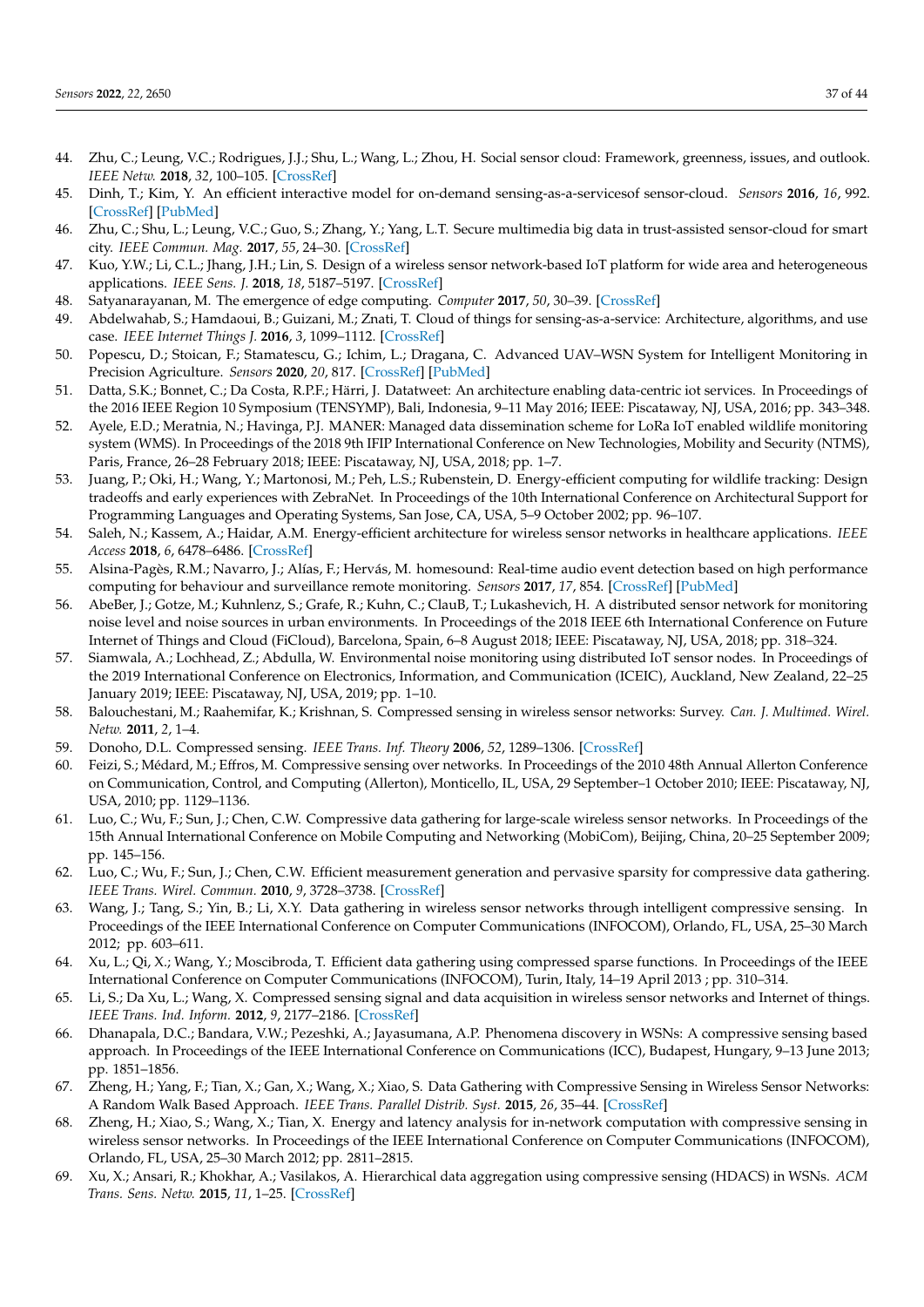- <span id="page-36-0"></span>44. Zhu, C.; Leung, V.C.; Rodrigues, J.J.; Shu, L.; Wang, L.; Zhou, H. Social sensor cloud: Framework, greenness, issues, and outlook. *IEEE Netw.* **2018**, *32*, 100–105. [\[CrossRef\]](http://dx.doi.org/10.1109/MNET.2018.1800029)
- <span id="page-36-1"></span>45. Dinh, T.; Kim, Y. An efficient interactive model for on-demand sensing-as-a-servicesof sensor-cloud. *Sensors* **2016**, *16*, 992. [\[CrossRef\]](http://dx.doi.org/10.3390/s16070992) [\[PubMed\]](http://www.ncbi.nlm.nih.gov/pubmed/27367689)
- <span id="page-36-2"></span>46. Zhu, C.; Shu, L.; Leung, V.C.; Guo, S.; Zhang, Y.; Yang, L.T. Secure multimedia big data in trust-assisted sensor-cloud for smart city. *IEEE Commun. Mag.* **2017**, *55*, 24–30. [\[CrossRef\]](http://dx.doi.org/10.1109/MCOM.2017.1700212)
- <span id="page-36-3"></span>47. Kuo, Y.W.; Li, C.L.; Jhang, J.H.; Lin, S. Design of a wireless sensor network-based IoT platform for wide area and heterogeneous applications. *IEEE Sens. J.* **2018**, *18*, 5187–5197. [\[CrossRef\]](http://dx.doi.org/10.1109/JSEN.2018.2832664)
- <span id="page-36-4"></span>48. Satyanarayanan, M. The emergence of edge computing. *Computer* **2017**, *50*, 30–39. [\[CrossRef\]](http://dx.doi.org/10.1109/MC.2017.9)
- <span id="page-36-5"></span>49. Abdelwahab, S.; Hamdaoui, B.; Guizani, M.; Znati, T. Cloud of things for sensing-as-a-service: Architecture, algorithms, and use case. *IEEE Internet Things J.* **2016**, *3*, 1099–1112. [\[CrossRef\]](http://dx.doi.org/10.1109/JIOT.2016.2557459)
- <span id="page-36-6"></span>50. Popescu, D.; Stoican, F.; Stamatescu, G.; Ichim, L.; Dragana, C. Advanced UAV–WSN System for Intelligent Monitoring in Precision Agriculture. *Sensors* **2020**, *20*, 817. [\[CrossRef\]](http://dx.doi.org/10.3390/s20030817) [\[PubMed\]](http://www.ncbi.nlm.nih.gov/pubmed/32028736)
- <span id="page-36-7"></span>51. Datta, S.K.; Bonnet, C.; Da Costa, R.P.F.; Härri, J. Datatweet: An architecture enabling data-centric iot services. In Proceedings of the 2016 IEEE Region 10 Symposium (TENSYMP), Bali, Indonesia, 9–11 May 2016; IEEE: Piscataway, NJ, USA, 2016; pp. 343–348.
- <span id="page-36-8"></span>52. Ayele, E.D.; Meratnia, N.; Havinga, P.J. MANER: Managed data dissemination scheme for LoRa IoT enabled wildlife monitoring system (WMS). In Proceedings of the 2018 9th IFIP International Conference on New Technologies, Mobility and Security (NTMS), Paris, France, 26–28 February 2018; IEEE: Piscataway, NJ, USA, 2018; pp. 1–7.
- <span id="page-36-9"></span>53. Juang, P.; Oki, H.; Wang, Y.; Martonosi, M.; Peh, L.S.; Rubenstein, D. Energy-efficient computing for wildlife tracking: Design tradeoffs and early experiences with ZebraNet. In Proceedings of the 10th International Conference on Architectural Support for Programming Languages and Operating Systems, San Jose, CA, USA, 5–9 October 2002; pp. 96–107.
- <span id="page-36-10"></span>54. Saleh, N.; Kassem, A.; Haidar, A.M. Energy-efficient architecture for wireless sensor networks in healthcare applications. *IEEE Access* **2018**, *6*, 6478–6486. [\[CrossRef\]](http://dx.doi.org/10.1109/ACCESS.2018.2789918)
- <span id="page-36-11"></span>55. Alsina-Pagès, R.M.; Navarro, J.; Alías, F.; Hervás, M. homesound: Real-time audio event detection based on high performance computing for behaviour and surveillance remote monitoring. *Sensors* **2017**, *17*, 854. [\[CrossRef\]](http://dx.doi.org/10.3390/s17040854) [\[PubMed\]](http://www.ncbi.nlm.nih.gov/pubmed/28406459)
- <span id="page-36-12"></span>56. AbeBer, J.; Gotze, M.; Kuhnlenz, S.; Grafe, R.; Kuhn, C.; ClauB, T.; Lukashevich, H. A distributed sensor network for monitoring noise level and noise sources in urban environments. In Proceedings of the 2018 IEEE 6th International Conference on Future Internet of Things and Cloud (FiCloud), Barcelona, Spain, 6–8 August 2018; IEEE: Piscataway, NJ, USA, 2018; pp. 318–324.
- <span id="page-36-13"></span>57. Siamwala, A.; Lochhead, Z.; Abdulla, W. Environmental noise monitoring using distributed IoT sensor nodes. In Proceedings of the 2019 International Conference on Electronics, Information, and Communication (ICEIC), Auckland, New Zealand, 22–25 January 2019; IEEE: Piscataway, NJ, USA, 2019; pp. 1–10.
- <span id="page-36-14"></span>58. Balouchestani, M.; Raahemifar, K.; Krishnan, S. Compressed sensing in wireless sensor networks: Survey. *Can. J. Multimed. Wirel. Netw.* **2011**, *2*, 1–4.
- <span id="page-36-15"></span>59. Donoho, D.L. Compressed sensing. *IEEE Trans. Inf. Theory* **2006**, *52*, 1289–1306. [\[CrossRef\]](http://dx.doi.org/10.1109/TIT.2006.871582)
- <span id="page-36-16"></span>60. Feizi, S.; Médard, M.; Effros, M. Compressive sensing over networks. In Proceedings of the 2010 48th Annual Allerton Conference on Communication, Control, and Computing (Allerton), Monticello, IL, USA, 29 September–1 October 2010; IEEE: Piscataway, NJ, USA, 2010; pp. 1129–1136.
- <span id="page-36-17"></span>61. Luo, C.; Wu, F.; Sun, J.; Chen, C.W. Compressive data gathering for large-scale wireless sensor networks. In Proceedings of the 15th Annual International Conference on Mobile Computing and Networking (MobiCom), Beijing, China, 20–25 September 2009; pp. 145–156.
- <span id="page-36-18"></span>62. Luo, C.; Wu, F.; Sun, J.; Chen, C.W. Efficient measurement generation and pervasive sparsity for compressive data gathering. *IEEE Trans. Wirel. Commun.* **2010**, *9*, 3728–3738. [\[CrossRef\]](http://dx.doi.org/10.1109/TWC.2010.092810.100063)
- <span id="page-36-19"></span>63. Wang, J.; Tang, S.; Yin, B.; Li, X.Y. Data gathering in wireless sensor networks through intelligent compressive sensing. In Proceedings of the IEEE International Conference on Computer Communications (INFOCOM), Orlando, FL, USA, 25–30 March 2012; pp. 603–611.
- <span id="page-36-20"></span>64. Xu, L.; Qi, X.; Wang, Y.; Moscibroda, T. Efficient data gathering using compressed sparse functions. In Proceedings of the IEEE International Conference on Computer Communications (INFOCOM), Turin, Italy, 14–19 April 2013 ; pp. 310–314.
- <span id="page-36-21"></span>65. Li, S.; Da Xu, L.; Wang, X. Compressed sensing signal and data acquisition in wireless sensor networks and Internet of things. *IEEE Trans. Ind. Inform.* **2012**, *9*, 2177–2186. [\[CrossRef\]](http://dx.doi.org/10.1109/TII.2012.2189222)
- <span id="page-36-22"></span>66. Dhanapala, D.C.; Bandara, V.W.; Pezeshki, A.; Jayasumana, A.P. Phenomena discovery in WSNs: A compressive sensing based approach. In Proceedings of the IEEE International Conference on Communications (ICC), Budapest, Hungary, 9–13 June 2013; pp. 1851–1856.
- <span id="page-36-23"></span>67. Zheng, H.; Yang, F.; Tian, X.; Gan, X.; Wang, X.; Xiao, S. Data Gathering with Compressive Sensing in Wireless Sensor Networks: A Random Walk Based Approach. *IEEE Trans. Parallel Distrib. Syst.* **2015**, *26*, 35–44. [\[CrossRef\]](http://dx.doi.org/10.1109/TPDS.2014.2308212)
- <span id="page-36-24"></span>68. Zheng, H.; Xiao, S.; Wang, X.; Tian, X. Energy and latency analysis for in-network computation with compressive sensing in wireless sensor networks. In Proceedings of the IEEE International Conference on Computer Communications (INFOCOM), Orlando, FL, USA, 25–30 March 2012; pp. 2811–2815.
- <span id="page-36-25"></span>69. Xu, X.; Ansari, R.; Khokhar, A.; Vasilakos, A. Hierarchical data aggregation using compressive sensing (HDACS) in WSNs. *ACM Trans. Sens. Netw.* **2015**, *11*, 1–25. [\[CrossRef\]](http://dx.doi.org/10.1145/2700264)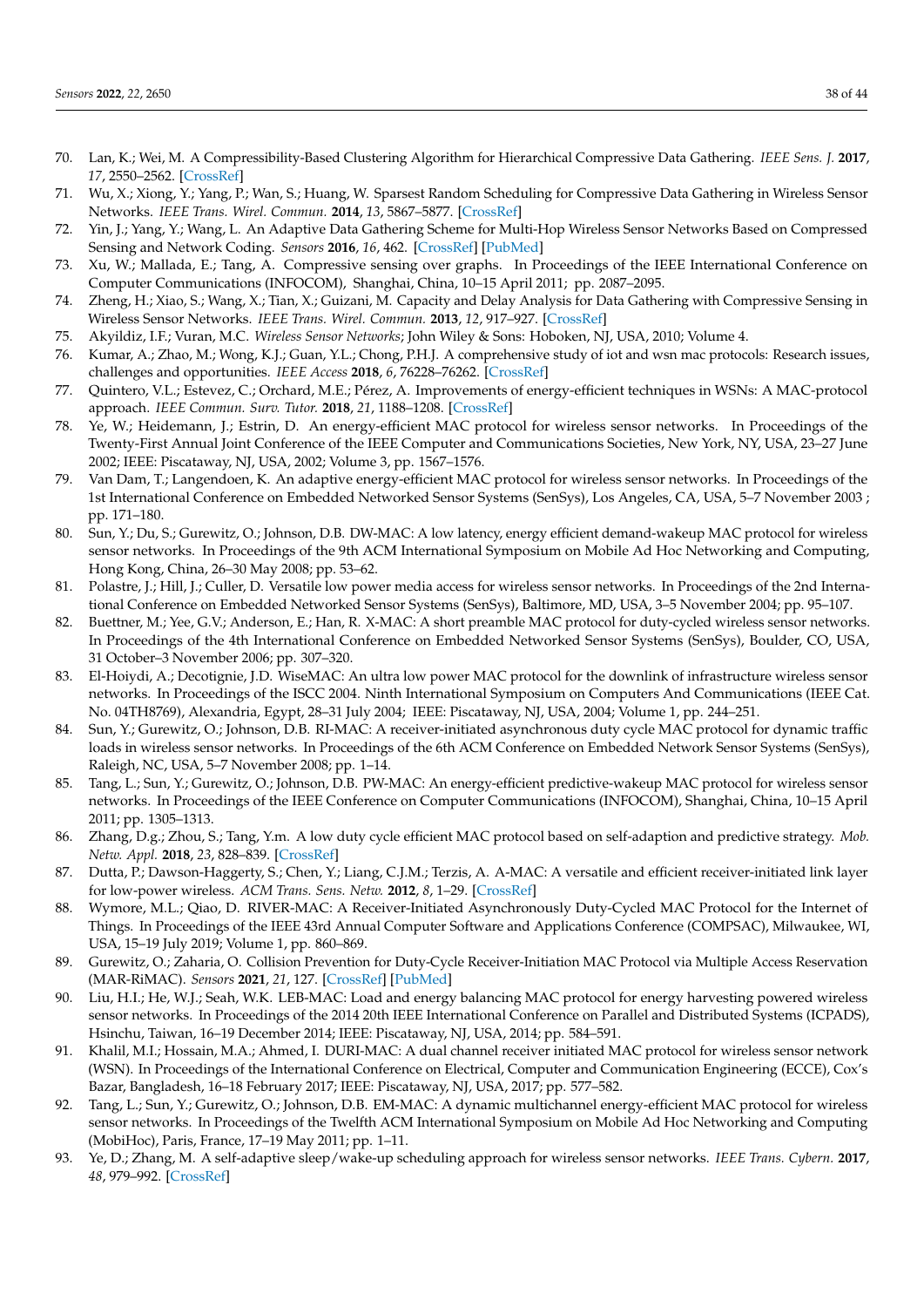- <span id="page-37-0"></span>70. Lan, K.; Wei, M. A Compressibility-Based Clustering Algorithm for Hierarchical Compressive Data Gathering. *IEEE Sens. J.* **2017**, *17*, 2550–2562. [\[CrossRef\]](http://dx.doi.org/10.1109/JSEN.2017.2669081)
- <span id="page-37-1"></span>71. Wu, X.; Xiong, Y.; Yang, P.; Wan, S.; Huang, W. Sparsest Random Scheduling for Compressive Data Gathering in Wireless Sensor Networks. *IEEE Trans. Wirel. Commun.* **2014**, *13*, 5867–5877. [\[CrossRef\]](http://dx.doi.org/10.1109/TWC.2014.2332344)
- <span id="page-37-2"></span>72. Yin, J.; Yang, Y.; Wang, L. An Adaptive Data Gathering Scheme for Multi-Hop Wireless Sensor Networks Based on Compressed Sensing and Network Coding. *Sensors* **2016**, *16*, 462. [\[CrossRef\]](http://dx.doi.org/10.3390/s16040462) [\[PubMed\]](http://www.ncbi.nlm.nih.gov/pubmed/27043574)
- <span id="page-37-3"></span>73. Xu, W.; Mallada, E.; Tang, A. Compressive sensing over graphs. In Proceedings of the IEEE International Conference on Computer Communications (INFOCOM), Shanghai, China, 10–15 April 2011; pp. 2087–2095.
- <span id="page-37-4"></span>74. Zheng, H.; Xiao, S.; Wang, X.; Tian, X.; Guizani, M. Capacity and Delay Analysis for Data Gathering with Compressive Sensing in Wireless Sensor Networks. *IEEE Trans. Wirel. Commun.* **2013**, *12*, 917–927. [\[CrossRef\]](http://dx.doi.org/10.1109/TWC.2012.122212.121032)
- <span id="page-37-5"></span>75. Akyildiz, I.F.; Vuran, M.C. *Wireless Sensor Networks*; John Wiley & Sons: Hoboken, NJ, USA, 2010; Volume 4.
- <span id="page-37-6"></span>76. Kumar, A.; Zhao, M.; Wong, K.J.; Guan, Y.L.; Chong, P.H.J. A comprehensive study of iot and wsn mac protocols: Research issues, challenges and opportunities. *IEEE Access* **2018**, *6*, 76228–76262. [\[CrossRef\]](http://dx.doi.org/10.1109/ACCESS.2018.2883391)
- <span id="page-37-7"></span>77. Quintero, V.L.; Estevez, C.; Orchard, M.E.; Pérez, A. Improvements of energy-efficient techniques in WSNs: A MAC-protocol approach. *IEEE Commun. Surv. Tutor.* **2018**, *21*, 1188–1208. [\[CrossRef\]](http://dx.doi.org/10.1109/COMST.2018.2875810)
- <span id="page-37-8"></span>78. Ye, W.; Heidemann, J.; Estrin, D. An energy-efficient MAC protocol for wireless sensor networks. In Proceedings of the Twenty-First Annual Joint Conference of the IEEE Computer and Communications Societies, New York, NY, USA, 23–27 June 2002; IEEE: Piscataway, NJ, USA, 2002; Volume 3, pp. 1567–1576.
- <span id="page-37-9"></span>79. Van Dam, T.; Langendoen, K. An adaptive energy-efficient MAC protocol for wireless sensor networks. In Proceedings of the 1st International Conference on Embedded Networked Sensor Systems (SenSys), Los Angeles, CA, USA, 5–7 November 2003 ; pp. 171–180.
- <span id="page-37-10"></span>80. Sun, Y.; Du, S.; Gurewitz, O.; Johnson, D.B. DW-MAC: A low latency, energy efficient demand-wakeup MAC protocol for wireless sensor networks. In Proceedings of the 9th ACM International Symposium on Mobile Ad Hoc Networking and Computing, Hong Kong, China, 26–30 May 2008; pp. 53–62.
- <span id="page-37-11"></span>81. Polastre, J.; Hill, J.; Culler, D. Versatile low power media access for wireless sensor networks. In Proceedings of the 2nd International Conference on Embedded Networked Sensor Systems (SenSys), Baltimore, MD, USA, 3–5 November 2004; pp. 95–107.
- <span id="page-37-12"></span>82. Buettner, M.; Yee, G.V.; Anderson, E.; Han, R. X-MAC: A short preamble MAC protocol for duty-cycled wireless sensor networks. In Proceedings of the 4th International Conference on Embedded Networked Sensor Systems (SenSys), Boulder, CO, USA, 31 October–3 November 2006; pp. 307–320.
- <span id="page-37-13"></span>83. El-Hoiydi, A.; Decotignie, J.D. WiseMAC: An ultra low power MAC protocol for the downlink of infrastructure wireless sensor networks. In Proceedings of the ISCC 2004. Ninth International Symposium on Computers And Communications (IEEE Cat. No. 04TH8769), Alexandria, Egypt, 28–31 July 2004; IEEE: Piscataway, NJ, USA, 2004; Volume 1, pp. 244–251.
- <span id="page-37-14"></span>84. Sun, Y.; Gurewitz, O.; Johnson, D.B. RI-MAC: A receiver-initiated asynchronous duty cycle MAC protocol for dynamic traffic loads in wireless sensor networks. In Proceedings of the 6th ACM Conference on Embedded Network Sensor Systems (SenSys), Raleigh, NC, USA, 5–7 November 2008; pp. 1–14.
- <span id="page-37-15"></span>85. Tang, L.; Sun, Y.; Gurewitz, O.; Johnson, D.B. PW-MAC: An energy-efficient predictive-wakeup MAC protocol for wireless sensor networks. In Proceedings of the IEEE Conference on Computer Communications (INFOCOM), Shanghai, China, 10–15 April 2011; pp. 1305–1313.
- <span id="page-37-16"></span>86. Zhang, D.g.; Zhou, S.; Tang, Y.m. A low duty cycle efficient MAC protocol based on self-adaption and predictive strategy. *Mob. Netw. Appl.* **2018**, *23*, 828–839. [\[CrossRef\]](http://dx.doi.org/10.1007/s11036-017-0878-x)
- <span id="page-37-17"></span>87. Dutta, P.; Dawson-Haggerty, S.; Chen, Y.; Liang, C.J.M.; Terzis, A. A-MAC: A versatile and efficient receiver-initiated link layer for low-power wireless. *ACM Trans. Sens. Netw.* **2012**, *8*, 1–29. [\[CrossRef\]](http://dx.doi.org/10.1145/2240116.2240119)
- <span id="page-37-18"></span>88. Wymore, M.L.; Qiao, D. RIVER-MAC: A Receiver-Initiated Asynchronously Duty-Cycled MAC Protocol for the Internet of Things. In Proceedings of the IEEE 43rd Annual Computer Software and Applications Conference (COMPSAC), Milwaukee, WI, USA, 15–19 July 2019; Volume 1, pp. 860–869.
- <span id="page-37-19"></span>89. Gurewitz, O.; Zaharia, O. Collision Prevention for Duty-Cycle Receiver-Initiation MAC Protocol via Multiple Access Reservation (MAR-RiMAC). *Sensors* **2021**, *21*, 127. [\[CrossRef\]](http://dx.doi.org/10.3390/s21010127) [\[PubMed\]](http://www.ncbi.nlm.nih.gov/pubmed/33379165)
- <span id="page-37-20"></span>90. Liu, H.I.; He, W.J.; Seah, W.K. LEB-MAC: Load and energy balancing MAC protocol for energy harvesting powered wireless sensor networks. In Proceedings of the 2014 20th IEEE International Conference on Parallel and Distributed Systems (ICPADS), Hsinchu, Taiwan, 16–19 December 2014; IEEE: Piscataway, NJ, USA, 2014; pp. 584–591.
- <span id="page-37-21"></span>91. Khalil, M.I.; Hossain, M.A.; Ahmed, I. DURI-MAC: A dual channel receiver initiated MAC protocol for wireless sensor network (WSN). In Proceedings of the International Conference on Electrical, Computer and Communication Engineering (ECCE), Cox's Bazar, Bangladesh, 16–18 February 2017; IEEE: Piscataway, NJ, USA, 2017; pp. 577–582.
- <span id="page-37-22"></span>92. Tang, L.; Sun, Y.; Gurewitz, O.; Johnson, D.B. EM-MAC: A dynamic multichannel energy-efficient MAC protocol for wireless sensor networks. In Proceedings of the Twelfth ACM International Symposium on Mobile Ad Hoc Networking and Computing (MobiHoc), Paris, France, 17–19 May 2011; pp. 1–11.
- <span id="page-37-23"></span>93. Ye, D.; Zhang, M. A self-adaptive sleep/wake-up scheduling approach for wireless sensor networks. *IEEE Trans. Cybern.* **2017**, *48*, 979–992. [\[CrossRef\]](http://dx.doi.org/10.1109/TCYB.2017.2669996)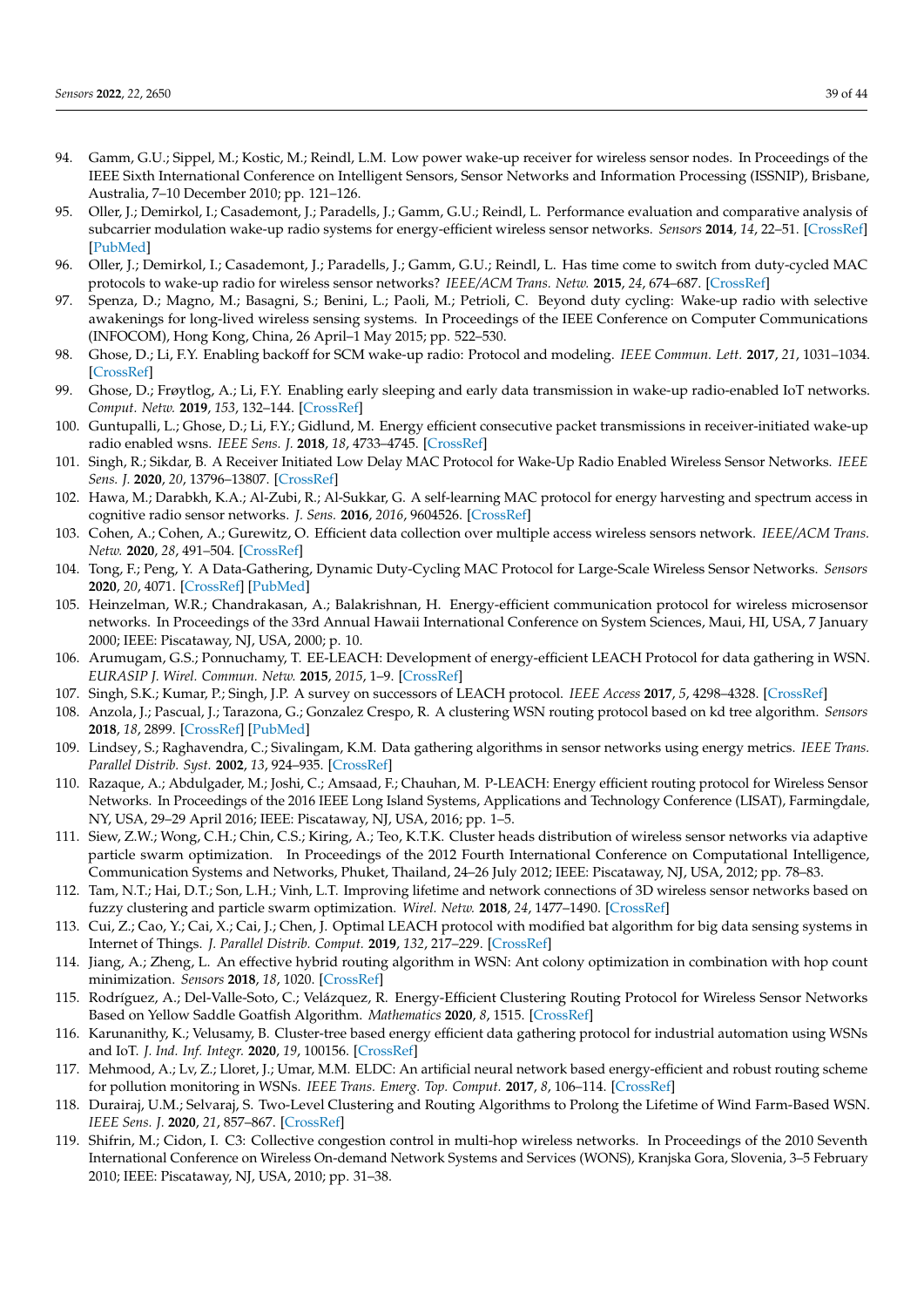- <span id="page-38-0"></span>94. Gamm, G.U.; Sippel, M.; Kostic, M.; Reindl, L.M. Low power wake-up receiver for wireless sensor nodes. In Proceedings of the IEEE Sixth International Conference on Intelligent Sensors, Sensor Networks and Information Processing (ISSNIP), Brisbane, Australia, 7–10 December 2010; pp. 121–126.
- <span id="page-38-1"></span>95. Oller, J.; Demirkol, I.; Casademont, J.; Paradells, J.; Gamm, G.U.; Reindl, L. Performance evaluation and comparative analysis of subcarrier modulation wake-up radio systems for energy-efficient wireless sensor networks. *Sensors* **2014**, *14*, 22–51. [\[CrossRef\]](http://dx.doi.org/10.3390/s140100022) [\[PubMed\]](http://www.ncbi.nlm.nih.gov/pubmed/24451452)
- <span id="page-38-2"></span>96. Oller, J.; Demirkol, I.; Casademont, J.; Paradells, J.; Gamm, G.U.; Reindl, L. Has time come to switch from duty-cycled MAC protocols to wake-up radio for wireless sensor networks? *IEEE/ACM Trans. Netw.* **2015**, *24*, 674–687. [\[CrossRef\]](http://dx.doi.org/10.1109/TNET.2014.2387314)
- <span id="page-38-3"></span>97. Spenza, D.; Magno, M.; Basagni, S.; Benini, L.; Paoli, M.; Petrioli, C. Beyond duty cycling: Wake-up radio with selective awakenings for long-lived wireless sensing systems. In Proceedings of the IEEE Conference on Computer Communications (INFOCOM), Hong Kong, China, 26 April–1 May 2015; pp. 522–530.
- <span id="page-38-4"></span>98. Ghose, D.; Li, F.Y. Enabling backoff for SCM wake-up radio: Protocol and modeling. *IEEE Commun. Lett.* **2017**, *21*, 1031–1034. [\[CrossRef\]](http://dx.doi.org/10.1109/LCOMM.2017.2653779)
- <span id="page-38-5"></span>99. Ghose, D.; Frøytlog, A.; Li, F.Y. Enabling early sleeping and early data transmission in wake-up radio-enabled IoT networks. *Comput. Netw.* **2019**, *153*, 132–144. [\[CrossRef\]](http://dx.doi.org/10.1016/j.comnet.2019.03.002)
- <span id="page-38-6"></span>100. Guntupalli, L.; Ghose, D.; Li, F.Y.; Gidlund, M. Energy efficient consecutive packet transmissions in receiver-initiated wake-up radio enabled wsns. *IEEE Sens. J.* **2018**, *18*, 4733–4745. [\[CrossRef\]](http://dx.doi.org/10.1109/JSEN.2018.2825540)
- <span id="page-38-7"></span>101. Singh, R.; Sikdar, B. A Receiver Initiated Low Delay MAC Protocol for Wake-Up Radio Enabled Wireless Sensor Networks. *IEEE Sens. J.* **2020**, *20*, 13796–13807. [\[CrossRef\]](http://dx.doi.org/10.1109/JSEN.2020.3003929)
- <span id="page-38-8"></span>102. Hawa, M.; Darabkh, K.A.; Al-Zubi, R.; Al-Sukkar, G. A self-learning MAC protocol for energy harvesting and spectrum access in cognitive radio sensor networks. *J. Sens.* **2016**, *2016*, 9604526. [\[CrossRef\]](http://dx.doi.org/10.1155/2016/9604526)
- <span id="page-38-9"></span>103. Cohen, A.; Cohen, A.; Gurewitz, O. Efficient data collection over multiple access wireless sensors network. *IEEE/ACM Trans. Netw.* **2020**, *28*, 491–504. [\[CrossRef\]](http://dx.doi.org/10.1109/TNET.2020.2964764)
- <span id="page-38-10"></span>104. Tong, F.; Peng, Y. A Data-Gathering, Dynamic Duty-Cycling MAC Protocol for Large-Scale Wireless Sensor Networks. *Sensors* **2020**, *20*, 4071. [\[CrossRef\]](http://dx.doi.org/10.3390/s20154071) [\[PubMed\]](http://www.ncbi.nlm.nih.gov/pubmed/32707806)
- <span id="page-38-11"></span>105. Heinzelman, W.R.; Chandrakasan, A.; Balakrishnan, H. Energy-efficient communication protocol for wireless microsensor networks. In Proceedings of the 33rd Annual Hawaii International Conference on System Sciences, Maui, HI, USA, 7 January 2000; IEEE: Piscataway, NJ, USA, 2000; p. 10.
- <span id="page-38-12"></span>106. Arumugam, G.S.; Ponnuchamy, T. EE-LEACH: Development of energy-efficient LEACH Protocol for data gathering in WSN. *EURASIP J. Wirel. Commun. Netw.* **2015**, *2015*, 1–9. [\[CrossRef\]](http://dx.doi.org/10.1186/s13638-015-0306-5)
- <span id="page-38-13"></span>107. Singh, S.K.; Kumar, P.; Singh, J.P. A survey on successors of LEACH protocol. *IEEE Access* **2017**, *5*, 4298–4328. [\[CrossRef\]](http://dx.doi.org/10.1109/ACCESS.2017.2666082)
- <span id="page-38-14"></span>108. Anzola, J.; Pascual, J.; Tarazona, G.; Gonzalez Crespo, R. A clustering WSN routing protocol based on kd tree algorithm. *Sensors* **2018**, *18*, 2899. [\[CrossRef\]](http://dx.doi.org/10.3390/s18092899) [\[PubMed\]](http://www.ncbi.nlm.nih.gov/pubmed/30200484)
- <span id="page-38-15"></span>109. Lindsey, S.; Raghavendra, C.; Sivalingam, K.M. Data gathering algorithms in sensor networks using energy metrics. *IEEE Trans. Parallel Distrib. Syst.* **2002**, *13*, 924–935. [\[CrossRef\]](http://dx.doi.org/10.1109/TPDS.2002.1036066)
- <span id="page-38-16"></span>110. Razaque, A.; Abdulgader, M.; Joshi, C.; Amsaad, F.; Chauhan, M. P-LEACH: Energy efficient routing protocol for Wireless Sensor Networks. In Proceedings of the 2016 IEEE Long Island Systems, Applications and Technology Conference (LISAT), Farmingdale, NY, USA, 29–29 April 2016; IEEE: Piscataway, NJ, USA, 2016; pp. 1–5.
- <span id="page-38-17"></span>111. Siew, Z.W.; Wong, C.H.; Chin, C.S.; Kiring, A.; Teo, K.T.K. Cluster heads distribution of wireless sensor networks via adaptive particle swarm optimization. In Proceedings of the 2012 Fourth International Conference on Computational Intelligence, Communication Systems and Networks, Phuket, Thailand, 24–26 July 2012; IEEE: Piscataway, NJ, USA, 2012; pp. 78–83.
- <span id="page-38-18"></span>112. Tam, N.T.; Hai, D.T.; Son, L.H.; Vinh, L.T. Improving lifetime and network connections of 3D wireless sensor networks based on fuzzy clustering and particle swarm optimization. *Wirel. Netw.* **2018**, *24*, 1477–1490. [\[CrossRef\]](http://dx.doi.org/10.1007/s11276-016-1412-y)
- <span id="page-38-19"></span>113. Cui, Z.; Cao, Y.; Cai, X.; Cai, J.; Chen, J. Optimal LEACH protocol with modified bat algorithm for big data sensing systems in Internet of Things. *J. Parallel Distrib. Comput.* **2019**, *132*, 217–229. [\[CrossRef\]](http://dx.doi.org/10.1016/j.jpdc.2017.12.014)
- <span id="page-38-20"></span>114. Jiang, A.; Zheng, L. An effective hybrid routing algorithm in WSN: Ant colony optimization in combination with hop count minimization. *Sensors* **2018**, *18*, 1020. [\[CrossRef\]](http://dx.doi.org/10.3390/s18041020)
- <span id="page-38-21"></span>115. Rodríguez, A.; Del-Valle-Soto, C.; Velázquez, R. Energy-Efficient Clustering Routing Protocol for Wireless Sensor Networks Based on Yellow Saddle Goatfish Algorithm. *Mathematics* **2020**, *8*, 1515. [\[CrossRef\]](http://dx.doi.org/10.3390/math8091515)
- <span id="page-38-22"></span>116. Karunanithy, K.; Velusamy, B. Cluster-tree based energy efficient data gathering protocol for industrial automation using WSNs and IoT. *J. Ind. Inf. Integr.* **2020**, *19*, 100156. [\[CrossRef\]](http://dx.doi.org/10.1016/j.jii.2020.100156)
- <span id="page-38-23"></span>117. Mehmood, A.; Lv, Z.; Lloret, J.; Umar, M.M. ELDC: An artificial neural network based energy-efficient and robust routing scheme for pollution monitoring in WSNs. *IEEE Trans. Emerg. Top. Comput.* **2017**, *8*, 106–114. [\[CrossRef\]](http://dx.doi.org/10.1109/TETC.2017.2671847)
- <span id="page-38-24"></span>118. Durairaj, U.M.; Selvaraj, S. Two-Level Clustering and Routing Algorithms to Prolong the Lifetime of Wind Farm-Based WSN. *IEEE Sens. J.* **2020**, *21*, 857–867. [\[CrossRef\]](http://dx.doi.org/10.1109/JSEN.2020.3015734)
- <span id="page-38-25"></span>119. Shifrin, M.; Cidon, I. C3: Collective congestion control in multi-hop wireless networks. In Proceedings of the 2010 Seventh International Conference on Wireless On-demand Network Systems and Services (WONS), Kranjska Gora, Slovenia, 3–5 February 2010; IEEE: Piscataway, NJ, USA, 2010; pp. 31–38.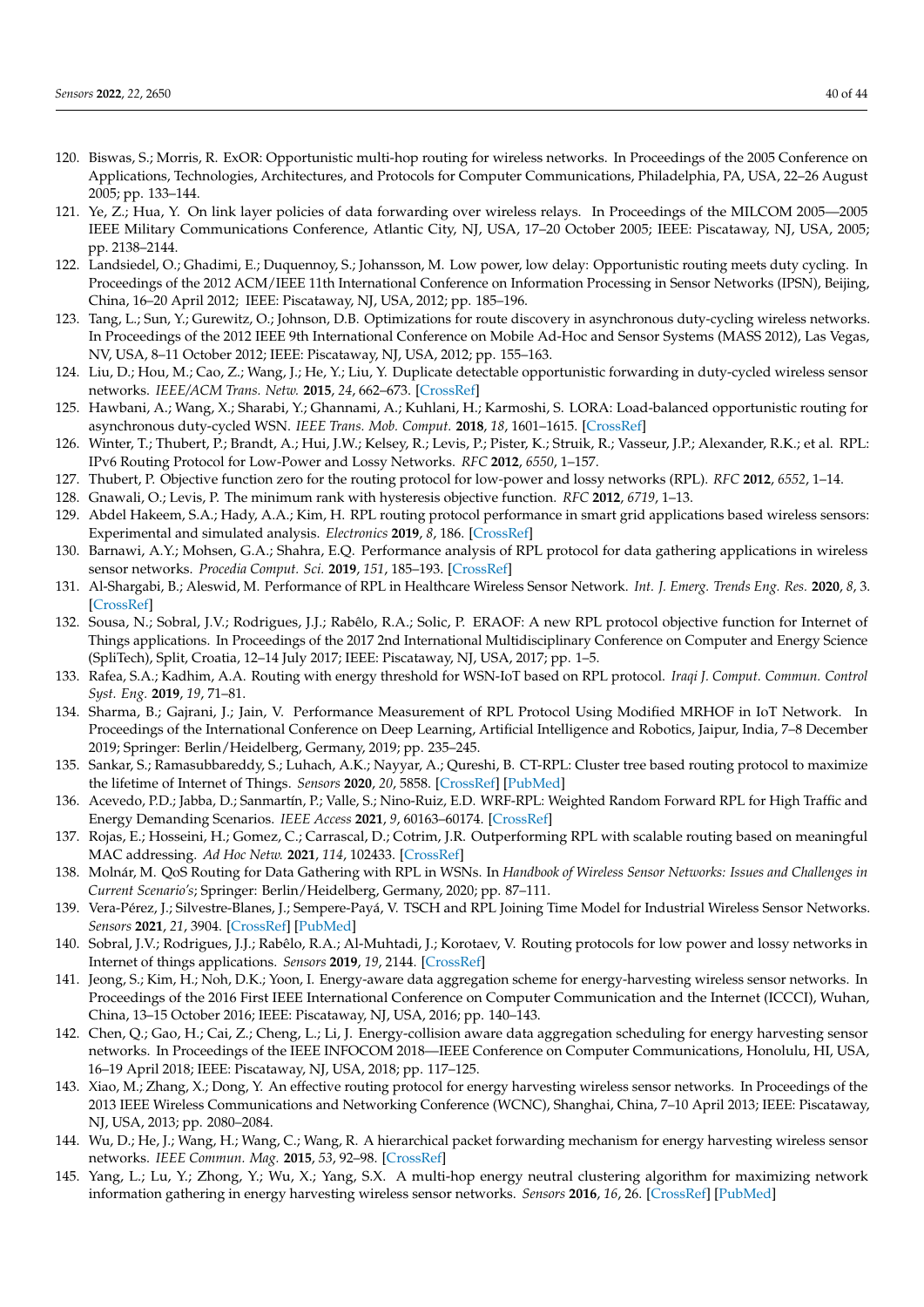- <span id="page-39-0"></span>120. Biswas, S.; Morris, R. ExOR: Opportunistic multi-hop routing for wireless networks. In Proceedings of the 2005 Conference on Applications, Technologies, Architectures, and Protocols for Computer Communications, Philadelphia, PA, USA, 22–26 August 2005; pp. 133–144.
- <span id="page-39-1"></span>121. Ye, Z.; Hua, Y. On link layer policies of data forwarding over wireless relays. In Proceedings of the MILCOM 2005—2005 IEEE Military Communications Conference, Atlantic City, NJ, USA, 17–20 October 2005; IEEE: Piscataway, NJ, USA, 2005; pp. 2138–2144.
- <span id="page-39-2"></span>122. Landsiedel, O.; Ghadimi, E.; Duquennoy, S.; Johansson, M. Low power, low delay: Opportunistic routing meets duty cycling. In Proceedings of the 2012 ACM/IEEE 11th International Conference on Information Processing in Sensor Networks (IPSN), Beijing, China, 16–20 April 2012; IEEE: Piscataway, NJ, USA, 2012; pp. 185–196.
- <span id="page-39-3"></span>123. Tang, L.; Sun, Y.; Gurewitz, O.; Johnson, D.B. Optimizations for route discovery in asynchronous duty-cycling wireless networks. In Proceedings of the 2012 IEEE 9th International Conference on Mobile Ad-Hoc and Sensor Systems (MASS 2012), Las Vegas, NV, USA, 8–11 October 2012; IEEE: Piscataway, NJ, USA, 2012; pp. 155–163.
- <span id="page-39-4"></span>124. Liu, D.; Hou, M.; Cao, Z.; Wang, J.; He, Y.; Liu, Y. Duplicate detectable opportunistic forwarding in duty-cycled wireless sensor networks. *IEEE/ACM Trans. Netw.* **2015**, *24*, 662–673. [\[CrossRef\]](http://dx.doi.org/10.1109/TNET.2014.2387440)
- <span id="page-39-5"></span>125. Hawbani, A.; Wang, X.; Sharabi, Y.; Ghannami, A.; Kuhlani, H.; Karmoshi, S. LORA: Load-balanced opportunistic routing for asynchronous duty-cycled WSN. *IEEE Trans. Mob. Comput.* **2018**, *18*, 1601–1615. [\[CrossRef\]](http://dx.doi.org/10.1109/TMC.2018.2865485)
- <span id="page-39-6"></span>126. Winter, T.; Thubert, P.; Brandt, A.; Hui, J.W.; Kelsey, R.; Levis, P.; Pister, K.; Struik, R.; Vasseur, J.P.; Alexander, R.K.; et al. RPL: IPv6 Routing Protocol for Low-Power and Lossy Networks. *RFC* **2012**, *6550*, 1–157.
- <span id="page-39-7"></span>127. Thubert, P. Objective function zero for the routing protocol for low-power and lossy networks (RPL). *RFC* **2012**, *6552*, 1–14.
- <span id="page-39-8"></span>128. Gnawali, O.; Levis, P. The minimum rank with hysteresis objective function. *RFC* **2012**, *6719*, 1–13.
- <span id="page-39-9"></span>129. Abdel Hakeem, S.A.; Hady, A.A.; Kim, H. RPL routing protocol performance in smart grid applications based wireless sensors: Experimental and simulated analysis. *Electronics* **2019**, *8*, 186. [\[CrossRef\]](http://dx.doi.org/10.3390/electronics8020186)
- <span id="page-39-10"></span>130. Barnawi, A.Y.; Mohsen, G.A.; Shahra, E.Q. Performance analysis of RPL protocol for data gathering applications in wireless sensor networks. *Procedia Comput. Sci.* **2019**, *151*, 185–193. [\[CrossRef\]](http://dx.doi.org/10.1016/j.procs.2019.04.028)
- <span id="page-39-11"></span>131. Al-Shargabi, B.; Aleswid, M. Performance of RPL in Healthcare Wireless Sensor Network. *Int. J. Emerg. Trends Eng. Res.* **2020**, *8*, 3. [\[CrossRef\]](http://dx.doi.org/10.30534/ijeter/2020/31832020)
- <span id="page-39-12"></span>132. Sousa, N.; Sobral, J.V.; Rodrigues, J.J.; Rabêlo, R.A.; Solic, P. ERAOF: A new RPL protocol objective function for Internet of Things applications. In Proceedings of the 2017 2nd International Multidisciplinary Conference on Computer and Energy Science (SpliTech), Split, Croatia, 12–14 July 2017; IEEE: Piscataway, NJ, USA, 2017; pp. 1–5.
- <span id="page-39-13"></span>133. Rafea, S.A.; Kadhim, A.A. Routing with energy threshold for WSN-IoT based on RPL protocol. *Iraqi J. Comput. Commun. Control Syst. Eng.* **2019**, *19*, 71–81.
- <span id="page-39-14"></span>134. Sharma, B.; Gajrani, J.; Jain, V. Performance Measurement of RPL Protocol Using Modified MRHOF in IoT Network. In Proceedings of the International Conference on Deep Learning, Artificial Intelligence and Robotics, Jaipur, India, 7–8 December 2019; Springer: Berlin/Heidelberg, Germany, 2019; pp. 235–245.
- <span id="page-39-15"></span>135. Sankar, S.; Ramasubbareddy, S.; Luhach, A.K.; Nayyar, A.; Qureshi, B. CT-RPL: Cluster tree based routing protocol to maximize the lifetime of Internet of Things. *Sensors* **2020**, *20*, 5858. [\[CrossRef\]](http://dx.doi.org/10.3390/s20205858) [\[PubMed\]](http://www.ncbi.nlm.nih.gov/pubmed/33081218)
- <span id="page-39-16"></span>136. Acevedo, P.D.; Jabba, D.; Sanmartín, P.; Valle, S.; Nino-Ruiz, E.D. WRF-RPL: Weighted Random Forward RPL for High Traffic and Energy Demanding Scenarios. *IEEE Access* **2021**, *9*, 60163–60174. [\[CrossRef\]](http://dx.doi.org/10.1109/ACCESS.2021.3074436)
- <span id="page-39-17"></span>137. Rojas, E.; Hosseini, H.; Gomez, C.; Carrascal, D.; Cotrim, J.R. Outperforming RPL with scalable routing based on meaningful MAC addressing. *Ad Hoc Netw.* **2021**, *114*, 102433. [\[CrossRef\]](http://dx.doi.org/10.1016/j.adhoc.2021.102433)
- <span id="page-39-18"></span>138. Molnár, M. QoS Routing for Data Gathering with RPL in WSNs. In *Handbook of Wireless Sensor Networks: Issues and Challenges in Current Scenario's*; Springer: Berlin/Heidelberg, Germany, 2020; pp. 87–111.
- <span id="page-39-19"></span>139. Vera-Pérez, J.; Silvestre-Blanes, J.; Sempere-Payá, V. TSCH and RPL Joining Time Model for Industrial Wireless Sensor Networks. *Sensors* **2021**, *21*, 3904. [\[CrossRef\]](http://dx.doi.org/10.3390/s21113904) [\[PubMed\]](http://www.ncbi.nlm.nih.gov/pubmed/34198793)
- <span id="page-39-20"></span>140. Sobral, J.V.; Rodrigues, J.J.; Rabêlo, R.A.; Al-Muhtadi, J.; Korotaev, V. Routing protocols for low power and lossy networks in Internet of things applications. *Sensors* **2019**, *19*, 2144. [\[CrossRef\]](http://dx.doi.org/10.3390/s19092144)
- <span id="page-39-21"></span>141. Jeong, S.; Kim, H.; Noh, D.K.; Yoon, I. Energy-aware data aggregation scheme for energy-harvesting wireless sensor networks. In Proceedings of the 2016 First IEEE International Conference on Computer Communication and the Internet (ICCCI), Wuhan, China, 13–15 October 2016; IEEE: Piscataway, NJ, USA, 2016; pp. 140–143.
- <span id="page-39-22"></span>142. Chen, Q.; Gao, H.; Cai, Z.; Cheng, L.; Li, J. Energy-collision aware data aggregation scheduling for energy harvesting sensor networks. In Proceedings of the IEEE INFOCOM 2018—IEEE Conference on Computer Communications, Honolulu, HI, USA, 16–19 April 2018; IEEE: Piscataway, NJ, USA, 2018; pp. 117–125.
- <span id="page-39-23"></span>143. Xiao, M.; Zhang, X.; Dong, Y. An effective routing protocol for energy harvesting wireless sensor networks. In Proceedings of the 2013 IEEE Wireless Communications and Networking Conference (WCNC), Shanghai, China, 7–10 April 2013; IEEE: Piscataway, NJ, USA, 2013; pp. 2080–2084.
- <span id="page-39-24"></span>144. Wu, D.; He, J.; Wang, H.; Wang, C.; Wang, R. A hierarchical packet forwarding mechanism for energy harvesting wireless sensor networks. *IEEE Commun. Mag.* **2015**, *53*, 92–98. [\[CrossRef\]](http://dx.doi.org/10.1109/MCOM.2015.7180514)
- <span id="page-39-25"></span>145. Yang, L.; Lu, Y.; Zhong, Y.; Wu, X.; Yang, S.X. A multi-hop energy neutral clustering algorithm for maximizing network information gathering in energy harvesting wireless sensor networks. *Sensors* **2016**, *16*, 26. [\[CrossRef\]](http://dx.doi.org/10.3390/s16010026) [\[PubMed\]](http://www.ncbi.nlm.nih.gov/pubmed/26712764)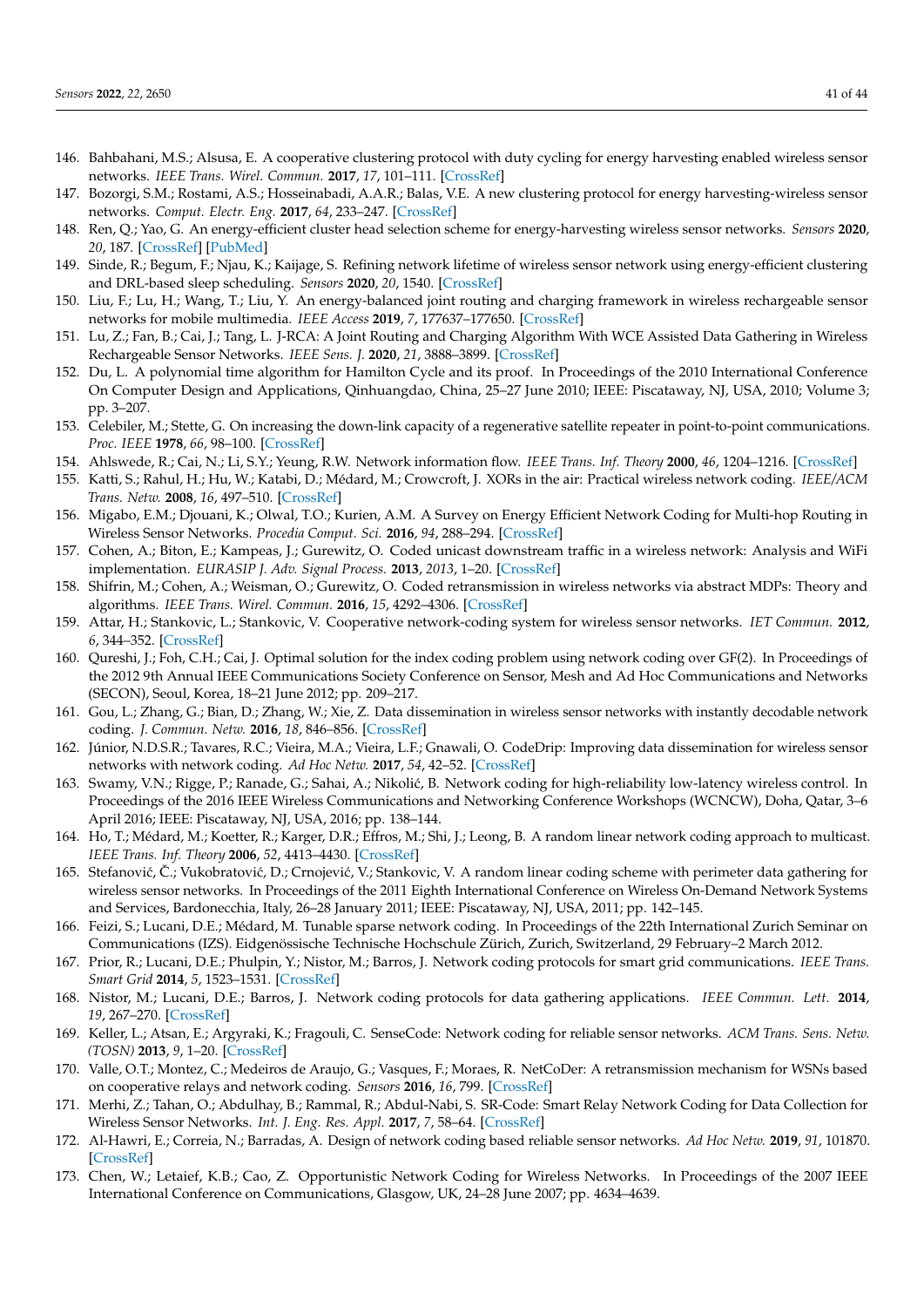- <span id="page-40-0"></span>146. Bahbahani, M.S.; Alsusa, E. A cooperative clustering protocol with duty cycling for energy harvesting enabled wireless sensor networks. *IEEE Trans. Wirel. Commun.* **2017**, *17*, 101–111. [\[CrossRef\]](http://dx.doi.org/10.1109/TWC.2017.2762674)
- <span id="page-40-1"></span>147. Bozorgi, S.M.; Rostami, A.S.; Hosseinabadi, A.A.R.; Balas, V.E. A new clustering protocol for energy harvesting-wireless sensor networks. *Comput. Electr. Eng.* **2017**, *64*, 233–247. [\[CrossRef\]](http://dx.doi.org/10.1016/j.compeleceng.2017.08.022)
- <span id="page-40-2"></span>148. Ren, Q.; Yao, G. An energy-efficient cluster head selection scheme for energy-harvesting wireless sensor networks. *Sensors* **2020**, *20*, 187. [\[CrossRef\]](http://dx.doi.org/10.3390/s20010187) [\[PubMed\]](http://www.ncbi.nlm.nih.gov/pubmed/31905712)
- <span id="page-40-3"></span>149. Sinde, R.; Begum, F.; Njau, K.; Kaijage, S. Refining network lifetime of wireless sensor network using energy-efficient clustering and DRL-based sleep scheduling. *Sensors* **2020**, *20*, 1540. [\[CrossRef\]](http://dx.doi.org/10.3390/s20051540)
- <span id="page-40-4"></span>150. Liu, F.; Lu, H.; Wang, T.; Liu, Y. An energy-balanced joint routing and charging framework in wireless rechargeable sensor networks for mobile multimedia. *IEEE Access* **2019**, *7*, 177637–177650. [\[CrossRef\]](http://dx.doi.org/10.1109/ACCESS.2019.2958268)
- <span id="page-40-5"></span>151. Lu, Z.; Fan, B.; Cai, J.; Tang, L. J-RCA: A Joint Routing and Charging Algorithm With WCE Assisted Data Gathering in Wireless Rechargeable Sensor Networks. *IEEE Sens. J.* **2020**, *21*, 3888–3899. [\[CrossRef\]](http://dx.doi.org/10.1109/JSEN.2020.3023301)
- <span id="page-40-6"></span>152. Du, L. A polynomial time algorithm for Hamilton Cycle and its proof. In Proceedings of the 2010 International Conference On Computer Design and Applications, Qinhuangdao, China, 25–27 June 2010; IEEE: Piscataway, NJ, USA, 2010; Volume 3; pp. 3–207.
- <span id="page-40-7"></span>153. Celebiler, M.; Stette, G. On increasing the down-link capacity of a regenerative satellite repeater in point-to-point communications. *Proc. IEEE* **1978**, *66*, 98–100. [\[CrossRef\]](http://dx.doi.org/10.1109/PROC.1978.10848)
- <span id="page-40-8"></span>154. Ahlswede, R.; Cai, N.; Li, S.Y.; Yeung, R.W. Network information flow. *IEEE Trans. Inf. Theory* **2000**, *46*, 1204–1216. [\[CrossRef\]](http://dx.doi.org/10.1109/18.850663)
- <span id="page-40-9"></span>155. Katti, S.; Rahul, H.; Hu, W.; Katabi, D.; Médard, M.; Crowcroft, J. XORs in the air: Practical wireless network coding. *IEEE/ACM Trans. Netw.* **2008**, *16*, 497–510. [\[CrossRef\]](http://dx.doi.org/10.1109/TNET.2008.923722)
- <span id="page-40-10"></span>156. Migabo, E.M.; Djouani, K.; Olwal, T.O.; Kurien, A.M. A Survey on Energy Efficient Network Coding for Multi-hop Routing in Wireless Sensor Networks. *Procedia Comput. Sci.* **2016**, *94*, 288–294. [\[CrossRef\]](http://dx.doi.org/10.1016/j.procs.2016.08.043)
- <span id="page-40-11"></span>157. Cohen, A.; Biton, E.; Kampeas, J.; Gurewitz, O. Coded unicast downstream traffic in a wireless network: Analysis and WiFi implementation. *EURASIP J. Adv. Signal Process.* **2013**, *2013*, 1–20. [\[CrossRef\]](http://dx.doi.org/10.1186/1687-6180-2013-25)
- 158. Shifrin, M.; Cohen, A.; Weisman, O.; Gurewitz, O. Coded retransmission in wireless networks via abstract MDPs: Theory and algorithms. *IEEE Trans. Wirel. Commun.* **2016**, *15*, 4292–4306. [\[CrossRef\]](http://dx.doi.org/10.1109/TWC.2016.2538762)
- 159. Attar, H.; Stankovic, L.; Stankovic, V. Cooperative network-coding system for wireless sensor networks. *IET Commun.* **2012**, *6*, 344–352. [\[CrossRef\]](http://dx.doi.org/10.1049/iet-com.2011.0143)
- 160. Qureshi, J.; Foh, C.H.; Cai, J. Optimal solution for the index coding problem using network coding over GF(2). In Proceedings of the 2012 9th Annual IEEE Communications Society Conference on Sensor, Mesh and Ad Hoc Communications and Networks (SECON), Seoul, Korea, 18–21 June 2012; pp. 209–217.
- 161. Gou, L.; Zhang, G.; Bian, D.; Zhang, W.; Xie, Z. Data dissemination in wireless sensor networks with instantly decodable network coding. *J. Commun. Netw.* **2016**, *18*, 846–856. [\[CrossRef\]](http://dx.doi.org/10.1109/JCN.2016.000113)
- <span id="page-40-12"></span>162. Júnior, N.D.S.R.; Tavares, R.C.; Vieira, M.A.; Vieira, L.F.; Gnawali, O. CodeDrip: Improving data dissemination for wireless sensor networks with network coding. *Ad Hoc Netw.* **2017**, *54*, 42–52. [\[CrossRef\]](http://dx.doi.org/10.1016/j.adhoc.2016.09.023)
- <span id="page-40-13"></span>163. Swamy, V.N.; Rigge, P.; Ranade, G.; Sahai, A.; Nikolić, B. Network coding for high-reliability low-latency wireless control. In Proceedings of the 2016 IEEE Wireless Communications and Networking Conference Workshops (WCNCW), Doha, Qatar, 3–6 April 2016; IEEE: Piscataway, NJ, USA, 2016; pp. 138–144.
- <span id="page-40-14"></span>164. Ho, T.; Médard, M.; Koetter, R.; Karger, D.R.; Effros, M.; Shi, J.; Leong, B. A random linear network coding approach to multicast. *IEEE Trans. Inf. Theory* **2006**, *52*, 4413–4430. [\[CrossRef\]](http://dx.doi.org/10.1109/TIT.2006.881746)
- <span id="page-40-15"></span>165. Stefanović, Č.; Vukobratović, D.; Crnojević, V.; Stankovic, V. A random linear coding scheme with perimeter data gathering for wireless sensor networks. In Proceedings of the 2011 Eighth International Conference on Wireless On-Demand Network Systems and Services, Bardonecchia, Italy, 26–28 January 2011; IEEE: Piscataway, NJ, USA, 2011; pp. 142–145.
- <span id="page-40-16"></span>166. Feizi, S.; Lucani, D.E.; Médard, M. Tunable sparse network coding. In Proceedings of the 22th International Zurich Seminar on Communications (IZS). Eidgenössische Technische Hochschule Zürich, Zurich, Switzerland, 29 February–2 March 2012.
- <span id="page-40-17"></span>167. Prior, R.; Lucani, D.E.; Phulpin, Y.; Nistor, M.; Barros, J. Network coding protocols for smart grid communications. *IEEE Trans. Smart Grid* **2014**, *5*, 1523–1531. [\[CrossRef\]](http://dx.doi.org/10.1109/TSG.2013.2288868)
- <span id="page-40-18"></span>168. Nistor, M.; Lucani, D.E.; Barros, J. Network coding protocols for data gathering applications. *IEEE Commun. Lett.* **2014**, *19*, 267–270. [\[CrossRef\]](http://dx.doi.org/10.1109/LCOMM.2014.2385070)
- <span id="page-40-19"></span>169. Keller, L.; Atsan, E.; Argyraki, K.; Fragouli, C. SenseCode: Network coding for reliable sensor networks. *ACM Trans. Sens. Netw. (TOSN)* **2013**, *9*, 1–20. [\[CrossRef\]](http://dx.doi.org/10.1145/2422966.2422982)
- <span id="page-40-20"></span>170. Valle, O.T.; Montez, C.; Medeiros de Araujo, G.; Vasques, F.; Moraes, R. NetCoDer: A retransmission mechanism for WSNs based on cooperative relays and network coding. *Sensors* **2016**, *16*, 799. [\[CrossRef\]](http://dx.doi.org/10.3390/s16060799)
- <span id="page-40-21"></span>171. Merhi, Z.; Tahan, O.; Abdulhay, B.; Rammal, R.; Abdul-Nabi, S. SR-Code: Smart Relay Network Coding for Data Collection for Wireless Sensor Networks. *Int. J. Eng. Res. Appl.* **2017**, *7*, 58–64. [\[CrossRef\]](http://dx.doi.org/10.9790/9622-0701025864)
- <span id="page-40-22"></span>172. Al-Hawri, E.; Correia, N.; Barradas, A. Design of network coding based reliable sensor networks. *Ad Hoc Netw.* **2019**, *91*, 101870. [\[CrossRef\]](http://dx.doi.org/10.1016/j.adhoc.2019.101870)
- <span id="page-40-23"></span>173. Chen, W.; Letaief, K.B.; Cao, Z. Opportunistic Network Coding for Wireless Networks. In Proceedings of the 2007 IEEE International Conference on Communications, Glasgow, UK, 24–28 June 2007; pp. 4634–4639.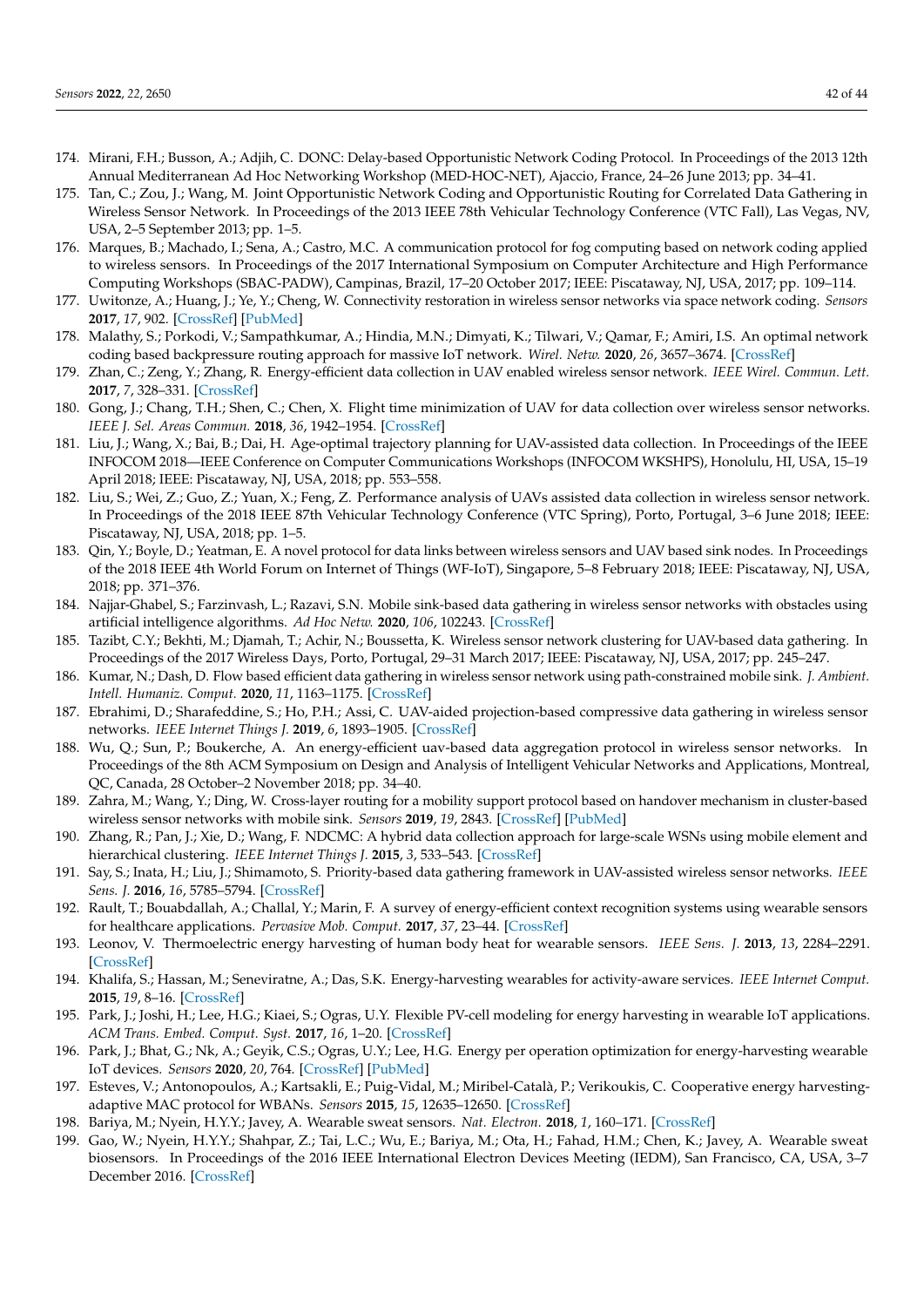- <span id="page-41-0"></span>174. Mirani, F.H.; Busson, A.; Adjih, C. DONC: Delay-based Opportunistic Network Coding Protocol. In Proceedings of the 2013 12th Annual Mediterranean Ad Hoc Networking Workshop (MED-HOC-NET), Ajaccio, France, 24–26 June 2013; pp. 34–41.
- <span id="page-41-1"></span>175. Tan, C.; Zou, J.; Wang, M. Joint Opportunistic Network Coding and Opportunistic Routing for Correlated Data Gathering in Wireless Sensor Network. In Proceedings of the 2013 IEEE 78th Vehicular Technology Conference (VTC Fall), Las Vegas, NV, USA, 2–5 September 2013; pp. 1–5.
- <span id="page-41-2"></span>176. Marques, B.; Machado, I.; Sena, A.; Castro, M.C. A communication protocol for fog computing based on network coding applied to wireless sensors. In Proceedings of the 2017 International Symposium on Computer Architecture and High Performance Computing Workshops (SBAC-PADW), Campinas, Brazil, 17–20 October 2017; IEEE: Piscataway, NJ, USA, 2017; pp. 109–114.
- <span id="page-41-3"></span>177. Uwitonze, A.; Huang, J.; Ye, Y.; Cheng, W. Connectivity restoration in wireless sensor networks via space network coding. *Sensors* **2017**, *17*, 902. [\[CrossRef\]](http://dx.doi.org/10.3390/s17040902) [\[PubMed\]](http://www.ncbi.nlm.nih.gov/pubmed/28425923)
- <span id="page-41-4"></span>178. Malathy, S.; Porkodi, V.; Sampathkumar, A.; Hindia, M.N.; Dimyati, K.; Tilwari, V.; Qamar, F.; Amiri, I.S. An optimal network coding based backpressure routing approach for massive IoT network. *Wirel. Netw.* **2020**, *26*, 3657–3674. [\[CrossRef\]](http://dx.doi.org/10.1007/s11276-020-02284-5)
- <span id="page-41-5"></span>179. Zhan, C.; Zeng, Y.; Zhang, R. Energy-efficient data collection in UAV enabled wireless sensor network. *IEEE Wirel. Commun. Lett.* **2017**, *7*, 328–331. [\[CrossRef\]](http://dx.doi.org/10.1109/LWC.2017.2776922)
- <span id="page-41-6"></span>180. Gong, J.; Chang, T.H.; Shen, C.; Chen, X. Flight time minimization of UAV for data collection over wireless sensor networks. *IEEE J. Sel. Areas Commun.* **2018**, *36*, 1942–1954. [\[CrossRef\]](http://dx.doi.org/10.1109/JSAC.2018.2864420)
- <span id="page-41-7"></span>181. Liu, J.; Wang, X.; Bai, B.; Dai, H. Age-optimal trajectory planning for UAV-assisted data collection. In Proceedings of the IEEE INFOCOM 2018—IEEE Conference on Computer Communications Workshops (INFOCOM WKSHPS), Honolulu, HI, USA, 15–19 April 2018; IEEE: Piscataway, NJ, USA, 2018; pp. 553–558.
- <span id="page-41-8"></span>182. Liu, S.; Wei, Z.; Guo, Z.; Yuan, X.; Feng, Z. Performance analysis of UAVs assisted data collection in wireless sensor network. In Proceedings of the 2018 IEEE 87th Vehicular Technology Conference (VTC Spring), Porto, Portugal, 3–6 June 2018; IEEE: Piscataway, NJ, USA, 2018; pp. 1–5.
- <span id="page-41-9"></span>183. Qin, Y.; Boyle, D.; Yeatman, E. A novel protocol for data links between wireless sensors and UAV based sink nodes. In Proceedings of the 2018 IEEE 4th World Forum on Internet of Things (WF-IoT), Singapore, 5–8 February 2018; IEEE: Piscataway, NJ, USA, 2018; pp. 371–376.
- <span id="page-41-10"></span>184. Najjar-Ghabel, S.; Farzinvash, L.; Razavi, S.N. Mobile sink-based data gathering in wireless sensor networks with obstacles using artificial intelligence algorithms. *Ad Hoc Netw.* **2020**, *106*, 102243. [\[CrossRef\]](http://dx.doi.org/10.1016/j.adhoc.2020.102243)
- <span id="page-41-11"></span>185. Tazibt, C.Y.; Bekhti, M.; Djamah, T.; Achir, N.; Boussetta, K. Wireless sensor network clustering for UAV-based data gathering. In Proceedings of the 2017 Wireless Days, Porto, Portugal, 29–31 March 2017; IEEE: Piscataway, NJ, USA, 2017; pp. 245–247.
- <span id="page-41-12"></span>186. Kumar, N.; Dash, D. Flow based efficient data gathering in wireless sensor network using path-constrained mobile sink. *J. Ambient. Intell. Humaniz. Comput.* **2020**, *11*, 1163–1175. [\[CrossRef\]](http://dx.doi.org/10.1007/s12652-019-01245-x)
- <span id="page-41-13"></span>187. Ebrahimi, D.; Sharafeddine, S.; Ho, P.H.; Assi, C. UAV-aided projection-based compressive data gathering in wireless sensor networks. *IEEE Internet Things J.* **2019**, *6*, 1893–1905. [\[CrossRef\]](http://dx.doi.org/10.1109/JIOT.2018.2878834)
- <span id="page-41-14"></span>188. Wu, Q.; Sun, P.; Boukerche, A. An energy-efficient uav-based data aggregation protocol in wireless sensor networks. In Proceedings of the 8th ACM Symposium on Design and Analysis of Intelligent Vehicular Networks and Applications, Montreal, QC, Canada, 28 October–2 November 2018; pp. 34–40.
- <span id="page-41-15"></span>189. Zahra, M.; Wang, Y.; Ding, W. Cross-layer routing for a mobility support protocol based on handover mechanism in cluster-based wireless sensor networks with mobile sink. *Sensors* **2019**, *19*, 2843. [\[CrossRef\]](http://dx.doi.org/10.3390/s19132843) [\[PubMed\]](http://www.ncbi.nlm.nih.gov/pubmed/31247981)
- <span id="page-41-16"></span>190. Zhang, R.; Pan, J.; Xie, D.; Wang, F. NDCMC: A hybrid data collection approach for large-scale WSNs using mobile element and hierarchical clustering. *IEEE Internet Things J.* **2015**, *3*, 533–543. [\[CrossRef\]](http://dx.doi.org/10.1109/JIOT.2015.2490162)
- <span id="page-41-17"></span>191. Say, S.; Inata, H.; Liu, J.; Shimamoto, S. Priority-based data gathering framework in UAV-assisted wireless sensor networks. *IEEE Sens. J.* **2016**, *16*, 5785–5794. [\[CrossRef\]](http://dx.doi.org/10.1109/JSEN.2016.2568260)
- <span id="page-41-18"></span>192. Rault, T.; Bouabdallah, A.; Challal, Y.; Marin, F. A survey of energy-efficient context recognition systems using wearable sensors for healthcare applications. *Pervasive Mob. Comput.* **2017**, *37*, 23–44. [\[CrossRef\]](http://dx.doi.org/10.1016/j.pmcj.2016.08.003)
- <span id="page-41-19"></span>193. Leonov, V. Thermoelectric energy harvesting of human body heat for wearable sensors. *IEEE Sens. J.* **2013**, *13*, 2284–2291. [\[CrossRef\]](http://dx.doi.org/10.1109/JSEN.2013.2252526)
- <span id="page-41-20"></span>194. Khalifa, S.; Hassan, M.; Seneviratne, A.; Das, S.K. Energy-harvesting wearables for activity-aware services. *IEEE Internet Comput.* **2015**, *19*, 8–16. [\[CrossRef\]](http://dx.doi.org/10.1109/MIC.2015.115)
- <span id="page-41-21"></span>195. Park, J.; Joshi, H.; Lee, H.G.; Kiaei, S.; Ogras, U.Y. Flexible PV-cell modeling for energy harvesting in wearable IoT applications. *ACM Trans. Embed. Comput. Syst.* **2017**, *16*, 1–20. [\[CrossRef\]](http://dx.doi.org/10.1145/3126568)
- <span id="page-41-22"></span>196. Park, J.; Bhat, G.; Nk, A.; Geyik, C.S.; Ogras, U.Y.; Lee, H.G. Energy per operation optimization for energy-harvesting wearable IoT devices. *Sensors* **2020**, *20*, 764. [\[CrossRef\]](http://dx.doi.org/10.3390/s20030764) [\[PubMed\]](http://www.ncbi.nlm.nih.gov/pubmed/32019219)
- <span id="page-41-23"></span>197. Esteves, V.; Antonopoulos, A.; Kartsakli, E.; Puig-Vidal, M.; Miribel-Català, P.; Verikoukis, C. Cooperative energy harvestingadaptive MAC protocol for WBANs. *Sensors* **2015**, *15*, 12635–12650. [\[CrossRef\]](http://dx.doi.org/10.3390/s150612635)
- <span id="page-41-24"></span>198. Bariya, M.; Nyein, H.Y.Y.; Javey, A. Wearable sweat sensors. *Nat. Electron.* **2018**, *1*, 160–171. [\[CrossRef\]](http://dx.doi.org/10.1038/s41928-018-0043-y)
- 199. Gao, W.; Nyein, H.Y.Y.; Shahpar, Z.; Tai, L.C.; Wu, E.; Bariya, M.; Ota, H.; Fahad, H.M.; Chen, K.; Javey, A. Wearable sweat biosensors. In Proceedings of the 2016 IEEE International Electron Devices Meeting (IEDM), San Francisco, CA, USA, 3–7 December 2016. [\[CrossRef\]](http://dx.doi.org/10.1109/IEDM.2016.7838363)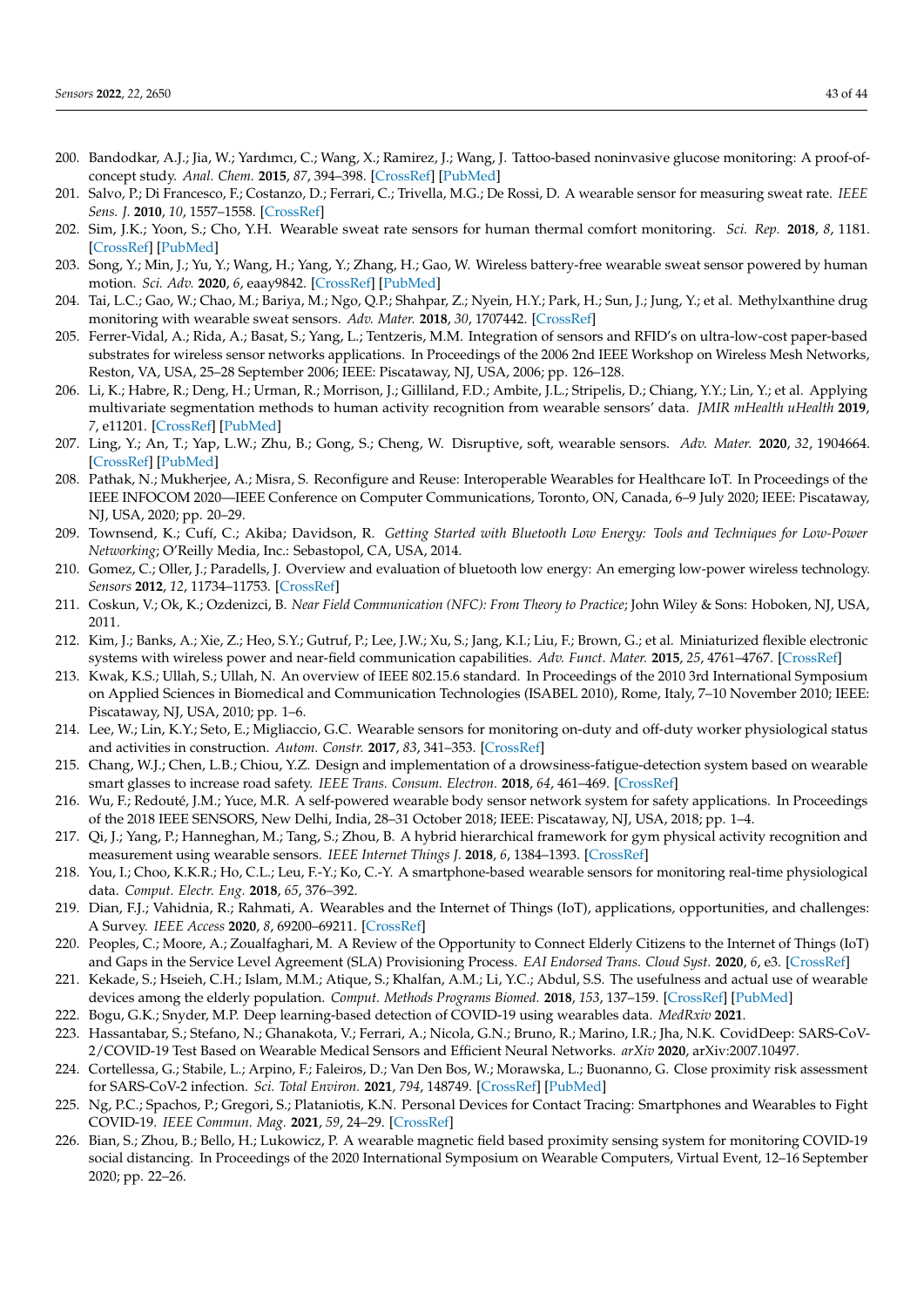- <span id="page-42-0"></span>200. Bandodkar, A.J.; Jia, W.; Yardımcı, C.; Wang, X.; Ramirez, J.; Wang, J. Tattoo-based noninvasive glucose monitoring: A proof-ofconcept study. *Anal. Chem.* **2015**, *87*, 394–398. [\[CrossRef\]](http://dx.doi.org/10.1021/ac504300n) [\[PubMed\]](http://www.ncbi.nlm.nih.gov/pubmed/25496376)
- <span id="page-42-1"></span>201. Salvo, P.; Di Francesco, F.; Costanzo, D.; Ferrari, C.; Trivella, M.G.; De Rossi, D. A wearable sensor for measuring sweat rate. *IEEE Sens. J.* **2010**, *10*, 1557–1558. [\[CrossRef\]](http://dx.doi.org/10.1109/JSEN.2010.2046634)
- <span id="page-42-2"></span>202. Sim, J.K.; Yoon, S.; Cho, Y.H. Wearable sweat rate sensors for human thermal comfort monitoring. *Sci. Rep.* **2018**, *8*, 1181. [\[CrossRef\]](http://dx.doi.org/10.1038/s41598-018-19239-8) [\[PubMed\]](http://www.ncbi.nlm.nih.gov/pubmed/29352237)
- <span id="page-42-3"></span>203. Song, Y.; Min, J.; Yu, Y.; Wang, H.; Yang, Y.; Zhang, H.; Gao, W. Wireless battery-free wearable sweat sensor powered by human motion. *Sci. Adv.* **2020**, *6*, eaay9842. [\[CrossRef\]](http://dx.doi.org/10.1126/sciadv.aay9842) [\[PubMed\]](http://www.ncbi.nlm.nih.gov/pubmed/32998888)
- <span id="page-42-4"></span>204. Tai, L.C.; Gao, W.; Chao, M.; Bariya, M.; Ngo, Q.P.; Shahpar, Z.; Nyein, H.Y.; Park, H.; Sun, J.; Jung, Y.; et al. Methylxanthine drug monitoring with wearable sweat sensors. *Adv. Mater.* **2018**, *30*, 1707442. [\[CrossRef\]](http://dx.doi.org/10.1002/adma.201707442)
- <span id="page-42-5"></span>205. Ferrer-Vidal, A.; Rida, A.; Basat, S.; Yang, L.; Tentzeris, M.M. Integration of sensors and RFID's on ultra-low-cost paper-based substrates for wireless sensor networks applications. In Proceedings of the 2006 2nd IEEE Workshop on Wireless Mesh Networks, Reston, VA, USA, 25–28 September 2006; IEEE: Piscataway, NJ, USA, 2006; pp. 126–128.
- <span id="page-42-6"></span>206. Li, K.; Habre, R.; Deng, H.; Urman, R.; Morrison, J.; Gilliland, F.D.; Ambite, J.L.; Stripelis, D.; Chiang, Y.Y.; Lin, Y.; et al. Applying multivariate segmentation methods to human activity recognition from wearable sensors' data. *JMIR mHealth uHealth* **2019**, *7*, e11201. [\[CrossRef\]](http://dx.doi.org/10.2196/11201) [\[PubMed\]](http://www.ncbi.nlm.nih.gov/pubmed/30730297)
- <span id="page-42-7"></span>207. Ling, Y.; An, T.; Yap, L.W.; Zhu, B.; Gong, S.; Cheng, W. Disruptive, soft, wearable sensors. *Adv. Mater.* **2020**, *32*, 1904664. [\[CrossRef\]](http://dx.doi.org/10.1002/adma.201904664) [\[PubMed\]](http://www.ncbi.nlm.nih.gov/pubmed/31721340)
- <span id="page-42-8"></span>208. Pathak, N.; Mukherjee, A.; Misra, S. Reconfigure and Reuse: Interoperable Wearables for Healthcare IoT. In Proceedings of the IEEE INFOCOM 2020—IEEE Conference on Computer Communications, Toronto, ON, Canada, 6–9 July 2020; IEEE: Piscataway, NJ, USA, 2020; pp. 20–29.
- <span id="page-42-9"></span>209. Townsend, K.; Cufí, C.; Akiba; Davidson, R. *Getting Started with Bluetooth Low Energy: Tools and Techniques for Low-Power Networking*; O'Reilly Media, Inc.: Sebastopol, CA, USA, 2014.
- <span id="page-42-10"></span>210. Gomez, C.; Oller, J.; Paradells, J. Overview and evaluation of bluetooth low energy: An emerging low-power wireless technology. *Sensors* **2012**, *12*, 11734–11753. [\[CrossRef\]](http://dx.doi.org/10.3390/s120911734)
- <span id="page-42-11"></span>211. Coskun, V.; Ok, K.; Ozdenizci, B. *Near Field Communication (NFC): From Theory to Practice*; John Wiley & Sons: Hoboken, NJ, USA, 2011.
- <span id="page-42-12"></span>212. Kim, J.; Banks, A.; Xie, Z.; Heo, S.Y.; Gutruf, P.; Lee, J.W.; Xu, S.; Jang, K.I.; Liu, F.; Brown, G.; et al. Miniaturized flexible electronic systems with wireless power and near-field communication capabilities. *Adv. Funct. Mater.* **2015**, *25*, 4761–4767. [\[CrossRef\]](http://dx.doi.org/10.1002/adfm.201501590)
- <span id="page-42-13"></span>213. Kwak, K.S.; Ullah, S.; Ullah, N. An overview of IEEE 802.15.6 standard. In Proceedings of the 2010 3rd International Symposium on Applied Sciences in Biomedical and Communication Technologies (ISABEL 2010), Rome, Italy, 7–10 November 2010; IEEE: Piscataway, NJ, USA, 2010; pp. 1–6.
- <span id="page-42-14"></span>214. Lee, W.; Lin, K.Y.; Seto, E.; Migliaccio, G.C. Wearable sensors for monitoring on-duty and off-duty worker physiological status and activities in construction. *Autom. Constr.* **2017**, *83*, 341–353. [\[CrossRef\]](http://dx.doi.org/10.1016/j.autcon.2017.06.012)
- <span id="page-42-15"></span>215. Chang, W.J.; Chen, L.B.; Chiou, Y.Z. Design and implementation of a drowsiness-fatigue-detection system based on wearable smart glasses to increase road safety. *IEEE Trans. Consum. Electron.* **2018**, *64*, 461–469. [\[CrossRef\]](http://dx.doi.org/10.1109/TCE.2018.2872162)
- <span id="page-42-16"></span>216. Wu, F.; Redouté, J.M.; Yuce, M.R. A self-powered wearable body sensor network system for safety applications. In Proceedings of the 2018 IEEE SENSORS, New Delhi, India, 28–31 October 2018; IEEE: Piscataway, NJ, USA, 2018; pp. 1–4.
- <span id="page-42-17"></span>217. Qi, J.; Yang, P.; Hanneghan, M.; Tang, S.; Zhou, B. A hybrid hierarchical framework for gym physical activity recognition and measurement using wearable sensors. *IEEE Internet Things J.* **2018**, *6*, 1384–1393. [\[CrossRef\]](http://dx.doi.org/10.1109/JIOT.2018.2846359)
- <span id="page-42-18"></span>218. You, I.; Choo, K.K.R.; Ho, C.L.; Leu, F.-Y.; Ko, C.-Y. A smartphone-based wearable sensors for monitoring real-time physiological data. *Comput. Electr. Eng.* **2018**, *65*, 376–392.
- <span id="page-42-19"></span>219. Dian, F.J.; Vahidnia, R.; Rahmati, A. Wearables and the Internet of Things (IoT), applications, opportunities, and challenges: A Survey. *IEEE Access* **2020**, *8*, 69200–69211. [\[CrossRef\]](http://dx.doi.org/10.1109/ACCESS.2020.2986329)
- <span id="page-42-20"></span>220. Peoples, C.; Moore, A.; Zoualfaghari, M. A Review of the Opportunity to Connect Elderly Citizens to the Internet of Things (IoT) and Gaps in the Service Level Agreement (SLA) Provisioning Process. *EAI Endorsed Trans. Cloud Syst.* **2020**, *6*, e3. [\[CrossRef\]](http://dx.doi.org/10.4108/eai.22-5-2020.165993)
- <span id="page-42-21"></span>221. Kekade, S.; Hseieh, C.H.; Islam, M.M.; Atique, S.; Khalfan, A.M.; Li, Y.C.; Abdul, S.S. The usefulness and actual use of wearable devices among the elderly population. *Comput. Methods Programs Biomed.* **2018**, *153*, 137–159. [\[CrossRef\]](http://dx.doi.org/10.1016/j.cmpb.2017.10.008) [\[PubMed\]](http://www.ncbi.nlm.nih.gov/pubmed/29157447)
- <span id="page-42-22"></span>222. Bogu, G.K.; Snyder, M.P. Deep learning-based detection of COVID-19 using wearables data. *MedRxiv* **2021**.
- <span id="page-42-23"></span>223. Hassantabar, S.; Stefano, N.; Ghanakota, V.; Ferrari, A.; Nicola, G.N.; Bruno, R.; Marino, I.R.; Jha, N.K. CovidDeep: SARS-CoV-2/COVID-19 Test Based on Wearable Medical Sensors and Efficient Neural Networks. *arXiv* **2020**, arXiv:2007.10497.
- <span id="page-42-24"></span>224. Cortellessa, G.; Stabile, L.; Arpino, F.; Faleiros, D.; Van Den Bos, W.; Morawska, L.; Buonanno, G. Close proximity risk assessment for SARS-CoV-2 infection. *Sci. Total Environ.* **2021**, *794*, 148749. [\[CrossRef\]](http://dx.doi.org/10.1016/j.scitotenv.2021.148749) [\[PubMed\]](http://www.ncbi.nlm.nih.gov/pubmed/34225157)
- <span id="page-42-25"></span>225. Ng, P.C.; Spachos, P.; Gregori, S.; Plataniotis, K.N. Personal Devices for Contact Tracing: Smartphones and Wearables to Fight COVID-19. *IEEE Commun. Mag.* **2021**, *59*, 24–29. [\[CrossRef\]](http://dx.doi.org/10.1109/MCOM.001.2100002)
- <span id="page-42-26"></span>226. Bian, S.; Zhou, B.; Bello, H.; Lukowicz, P. A wearable magnetic field based proximity sensing system for monitoring COVID-19 social distancing. In Proceedings of the 2020 International Symposium on Wearable Computers, Virtual Event, 12–16 September 2020; pp. 22–26.